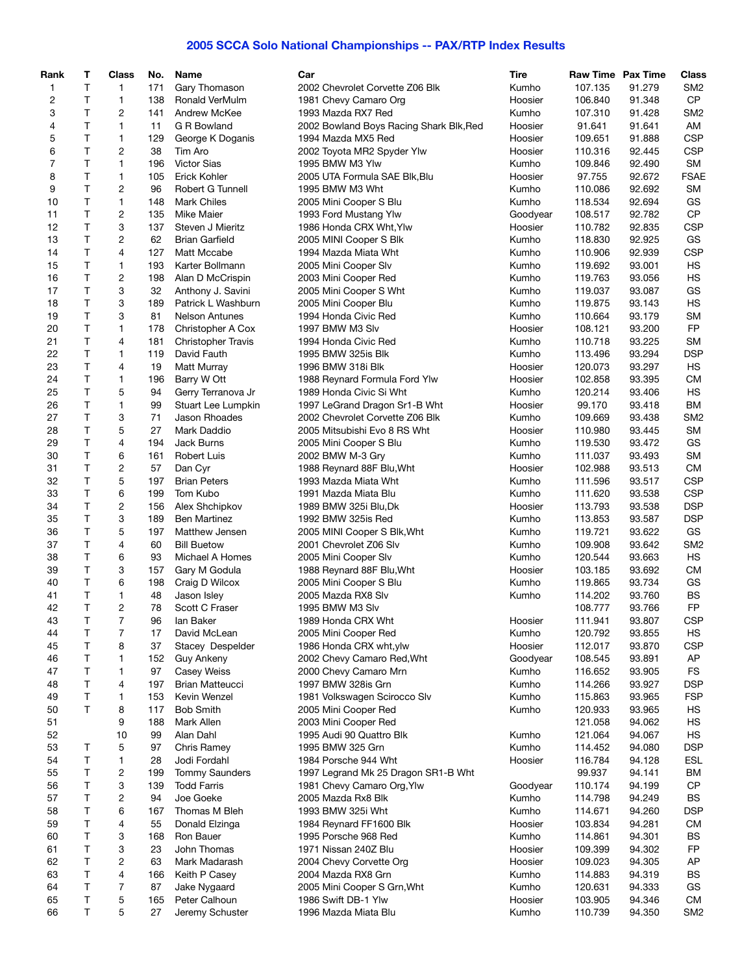## **2005 SCCA Solo National Championships -- PAX/RTP Index Results**

| Rank           | т       | Class        | No.       | <b>Name</b>                         | Car                                                              | Tire     | Raw Time Pax Time |                  | <b>Class</b>    |
|----------------|---------|--------------|-----------|-------------------------------------|------------------------------------------------------------------|----------|-------------------|------------------|-----------------|
| 1              | T.      | 1            | 171       | Gary Thomason                       | 2002 Chevrolet Corvette Z06 Blk                                  | Kumho    | 107.135           | 91.279           | SM <sub>2</sub> |
| 2              | T       | 1            | 138       | Ronald VerMulm                      | 1981 Chevy Camaro Org                                            | Hoosier  | 106.840           | 91.348           | CP              |
| 3              | T.      | 2            | 141       | Andrew McKee                        | 1993 Mazda RX7 Red                                               | Kumho    | 107.310           | 91.428           | SM <sub>2</sub> |
| 4              | T       | $\mathbf{1}$ | 11        | G R Bowland                         | 2002 Bowland Boys Racing Shark Blk, Red                          | Hoosier  | 91.641            | 91.641           | AM              |
| 5              | Τ       | 1            | 129       | George K Doganis                    | 1994 Mazda MX5 Red                                               | Hoosier  | 109.651           | 91.888           | <b>CSP</b>      |
| 6              | T.      | 2            | 38        | Tim Aro                             | 2002 Toyota MR2 Spyder Ylw                                       | Hoosier  | 110.316           | 92.445           | <b>CSP</b>      |
| $\overline{7}$ | T       | $\mathbf{1}$ | 196       | <b>Victor Sias</b>                  | 1995 BMW M3 Ylw                                                  | Kumho    | 109.846           | 92.490           | <b>SM</b>       |
| 8              | Τ       | 1            | 105       | Erick Kohler                        | 2005 UTA Formula SAE Blk, Blu                                    | Hoosier  | 97.755            | 92.672           | <b>FSAE</b>     |
| 9              | T       | 2            | 96        | Robert G Tunnell                    | 1995 BMW M3 Wht                                                  | Kumho    | 110.086           | 92.692           | <b>SM</b>       |
| 10             | T       | $\mathbf{1}$ | 148       | <b>Mark Chiles</b>                  | 2005 Mini Cooper S Blu                                           | Kumho    | 118.534           | 92.694           | GS              |
| 11             | T.      | 2            | 135       | <b>Mike Maier</b>                   | 1993 Ford Mustang Ylw                                            | Goodyear | 108.517           | 92.782           | <b>CP</b>       |
| 12             | Τ       | 3            | 137       | Steven J Mieritz                    | 1986 Honda CRX Wht, Ylw                                          | Hoosier  | 110.782           | 92.835           | <b>CSP</b>      |
| 13             | T       | 2            | 62        | <b>Brian Garfield</b>               | 2005 MINI Cooper S Blk                                           | Kumho    | 118.830           | 92.925           | GS              |
| 14             | T       | 4            | 127       | Matt Mccabe                         | 1994 Mazda Miata Wht                                             | Kumho    | 110.906           | 92.939           | <b>CSP</b>      |
| 15             | T.      | $\mathbf{1}$ | 193       | Karter Bollmann                     | 2005 Mini Cooper Slv                                             | Kumho    | 119.692           | 93.001           | <b>HS</b>       |
| 16             | Τ       | 2            | 198       | Alan D McCrispin                    | 2003 Mini Cooper Red                                             | Kumho    | 119.763           | 93.056           | <b>HS</b>       |
| 17             | Τ       | 3            | 32        | Anthony J. Savini                   | 2005 Mini Cooper S Wht                                           | Kumho    | 119.037           | 93.087           | GS              |
| 18             | T       | 3            | 189       | Patrick L Washburn                  | 2005 Mini Cooper Blu                                             | Kumho    | 119.875           | 93.143           | <b>HS</b>       |
| 19             | T.      | 3            | 81        | <b>Nelson Antunes</b>               | 1994 Honda Civic Red                                             | Kumho    | 110.664           | 93.179           | <b>SM</b>       |
| 20             | T       | 1            | 178       | Christopher A Cox                   | 1997 BMW M3 Slv                                                  | Hoosier  | 108.121           | 93.200           | <b>FP</b>       |
| 21             | T       | 4            | 181       | <b>Christopher Travis</b>           | 1994 Honda Civic Red                                             | Kumho    | 110.718           | 93.225           | <b>SM</b>       |
| 22             | T       | 1            | 119       | David Fauth                         | 1995 BMW 325is Blk                                               | Kumho    | 113.496           | 93.294           | <b>DSP</b>      |
| 23             | T       | 4            | 19        | Matt Murray                         | 1996 BMW 318i Blk                                                | Hoosier  | 120.073           | 93.297           | HS              |
| 24             | T       | 1            | 196       | Barry W Ott                         | 1988 Reynard Formula Ford Ylw                                    | Hoosier  | 102.858           | 93.395           | <b>CM</b>       |
| 25             | T       | 5            | 94        | Gerry Terranova Jr                  | 1989 Honda Civic Si Wht                                          | Kumho    | 120.214           | 93.406           | HS              |
| 26             | Τ       | 1            | 99        |                                     |                                                                  | Hoosier  | 99.170            |                  | <b>BM</b>       |
| 27             | T.      | 3            | 71        | Stuart Lee Lumpkin<br>Jason Rhoades | 1997 LeGrand Dragon Sr1-B Wht<br>2002 Chevrolet Corvette Z06 Blk | Kumho    | 109.669           | 93.418<br>93.438 | SM <sub>2</sub> |
|                | T       | 5            |           |                                     |                                                                  |          |                   |                  | <b>SM</b>       |
| 28             | T.      | 4            | 27<br>194 | Mark Daddio                         | 2005 Mitsubishi Evo 8 RS Wht                                     | Hoosier  | 110.980           | 93.445           | GS              |
| 29             |         |              |           | Jack Burns                          | 2005 Mini Cooper S Blu                                           | Kumho    | 119.530           | 93.472           |                 |
| 30             | T       | 6            | 161       | <b>Robert Luis</b>                  | 2002 BMW M-3 Gry                                                 | Kumho    | 111.037           | 93.493           | <b>SM</b>       |
| 31             | T       | 2            | 57        | Dan Cyr                             | 1988 Reynard 88F Blu, Wht                                        | Hoosier  | 102.988           | 93.513           | CM              |
| 32             | T       | 5            | 197       | <b>Brian Peters</b>                 | 1993 Mazda Miata Wht                                             | Kumho    | 111.596           | 93.517           | <b>CSP</b>      |
| 33             | Τ       | 6            | 199       | Tom Kubo                            | 1991 Mazda Miata Blu                                             | Kumho    | 111.620           | 93.538           | <b>CSP</b>      |
| 34             | Τ       | 2            | 156       | Alex Shchipkov                      | 1989 BMW 325i Blu, Dk                                            | Hoosier  | 113.793           | 93.538           | <b>DSP</b>      |
| 35             | T.      | 3            | 189       | <b>Ben Martinez</b>                 | 1992 BMW 325is Red                                               | Kumho    | 113.853           | 93.587           | <b>DSP</b>      |
| 36             | T.      | 5            | 197       | Matthew Jensen                      | 2005 MINI Cooper S Blk, Wht                                      | Kumho    | 119.721           | 93.622           | GS              |
| 37             | T       | 4            | 60        | <b>Bill Buetow</b>                  | 2001 Chevrolet Z06 Slv                                           | Kumho    | 109.908           | 93.642           | SM <sub>2</sub> |
| 38             | T       | 6            | 93        | Michael A Homes                     | 2005 Mini Cooper Slv                                             | Kumho    | 120.544           | 93.663           | HS              |
| 39             | Τ       | 3            | 157       | Gary M Godula                       | 1988 Reynard 88F Blu, Wht                                        | Hoosier  | 103.185           | 93.692           | <b>CM</b>       |
| 40             | Τ       | 6            | 198       | Craig D Wilcox                      | 2005 Mini Cooper S Blu                                           | Kumho    | 119.865           | 93.734           | GS              |
| 41             | Τ       | 1            | 48        | Jason Isley                         | 2005 Mazda RX8 Slv                                               | Kumho    | 114.202           | 93.760           | BS              |
| 42             | T       | 2            | 78        | Scott C Fraser                      | 1995 BMW M3 Slv                                                  |          | 108.777           | 93.766           | <b>FP</b>       |
| 43             | $\sf T$ | 7            | 96        | lan Baker                           | 1989 Honda CRX Wht                                               | Hoosier  | 111.941           | 93.807           | <b>CSP</b>      |
| 44             | Τ       | 7            | 17        | David McLean                        | 2005 Mini Cooper Red                                             | Kumho    | 120.792           | 93.855           | HS              |
| 45             | Τ       | 8            | 37        | Stacey Despelder                    | 1986 Honda CRX wht, ylw                                          | Hoosier  | 112.017           | 93.870           | <b>CSP</b>      |
| 46             | Τ       | 1            | 152       | Guy Ankeny                          | 2002 Chevy Camaro Red, Wht                                       | Goodyear | 108.545           | 93.891           | AP              |
| 47             | Τ       | 1            | 97        | <b>Casey Weiss</b>                  | 2000 Chevy Camaro Mrn                                            | Kumho    | 116.652           | 93.905           | <b>FS</b>       |
| 48             | Т       | 4            | 197       | <b>Brian Matteucci</b>              | 1997 BMW 328is Grn                                               | Kumho    | 114.266           | 93.927           | <b>DSP</b>      |
| 49             | Τ       | 1            | 153       | Kevin Wenzel                        | 1981 Volkswagen Scirocco Slv                                     | Kumho    | 115.863           | 93.965           | <b>FSP</b>      |
| 50             | T       | 8            | 117       | <b>Bob Smith</b>                    | 2005 Mini Cooper Red                                             | Kumho    | 120.933           | 93.965           | HS              |
| 51             |         | 9            | 188       | Mark Allen                          | 2003 Mini Cooper Red                                             |          | 121.058           | 94.062           | HS              |
| 52             |         | 10           | 99        | Alan Dahl                           | 1995 Audi 90 Quattro Blk                                         | Kumho    | 121.064           | 94.067           | HS              |
| 53             | Τ       | 5            | 97        | Chris Ramey                         | 1995 BMW 325 Grn                                                 | Kumho    | 114.452           | 94.080           | <b>DSP</b>      |
| 54             | Τ       | 1            | 28        | Jodi Fordahl                        | 1984 Porsche 944 Wht                                             | Hoosier  | 116.784           | 94.128           | <b>ESL</b>      |
| 55             | Τ       | 2            | 199       | <b>Tommy Saunders</b>               | 1997 Legrand Mk 25 Dragon SR1-B Wht                              |          | 99.937            | 94.141           | <b>BM</b>       |
| 56             | Τ       | 3            | 139       | <b>Todd Farris</b>                  | 1981 Chevy Camaro Org, Ylw                                       | Goodyear | 110.174           | 94.199           | CP              |
| 57             | Τ       | 2            | 94        | Joe Goeke                           | 2005 Mazda Rx8 Blk                                               | Kumho    | 114.798           | 94.249           | <b>BS</b>       |
| 58             | Τ       | 6            | 167       | Thomas M Bleh                       | 1993 BMW 325i Wht                                                | Kumho    | 114.671           | 94.260           | <b>DSP</b>      |
| 59             | Τ       | 4            | 55        | Donald Elzinga                      | 1984 Reynard FF1600 Blk                                          | Hoosier  | 103.834           | 94.281           | <b>CM</b>       |
| 60             | Τ       | 3            | 168       | Ron Bauer                           | 1995 Porsche 968 Red                                             | Kumho    | 114.861           | 94.301           | <b>BS</b>       |
| 61             | Τ       | 3            | 23        | John Thomas                         | 1971 Nissan 240Z Blu                                             | Hoosier  | 109.399           | 94.302           | FP              |
| 62             | Τ       | 2            | 63        | Mark Madarash                       | 2004 Chevy Corvette Org                                          | Hoosier  | 109.023           | 94.305           | AP              |
| 63             | Τ       | 4            | 166       | Keith P Casey                       | 2004 Mazda RX8 Grn                                               | Kumho    | 114.883           | 94.319           | <b>BS</b>       |
| 64             | Τ       | 7            | 87        | Jake Nygaard                        | 2005 Mini Cooper S Grn, Wht                                      | Kumho    | 120.631           | 94.333           | GS              |
| 65             | Τ       | 5            | 165       | Peter Calhoun                       | 1986 Swift DB-1 Ylw                                              | Hoosier  | 103.905           | 94.346           | <b>CM</b>       |
| 66             | Т       | 5            | 27        | Jeremy Schuster                     | 1996 Mazda Miata Blu                                             | Kumho    | 110.739           | 94.350           | SM <sub>2</sub> |
|                |         |              |           |                                     |                                                                  |          |                   |                  |                 |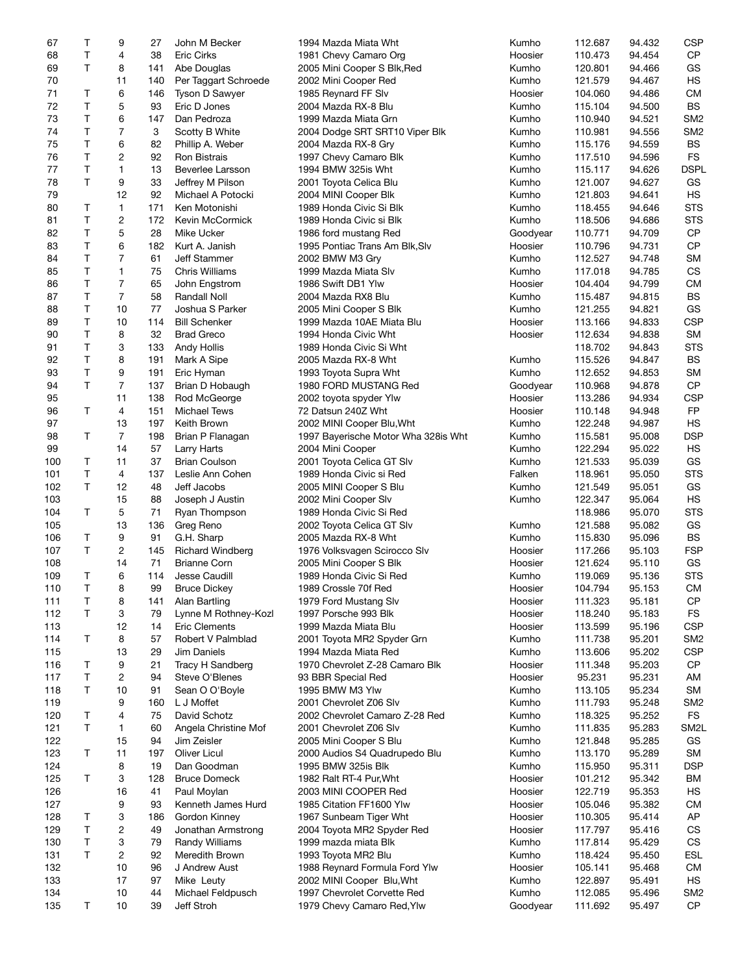| 67  | т            | 9              | 27  | John M Becker           | 1994 Mazda Miata Wht                | Kumho    | 112.687 | 94.432 | <b>CSP</b>        |
|-----|--------------|----------------|-----|-------------------------|-------------------------------------|----------|---------|--------|-------------------|
| 68  | Τ            | 4              | 38  | <b>Eric Cirks</b>       | 1981 Chevy Camaro Org               | Hoosier  | 110.473 | 94.454 | <b>CP</b>         |
| 69  | T            | 8              | 141 | Abe Douglas             | 2005 Mini Cooper S Blk, Red         | Kumho    | 120.801 | 94.466 | GS                |
|     |              |                |     |                         |                                     |          |         |        |                   |
| 70  |              | 11             | 140 | Per Taggart Schroede    | 2002 Mini Cooper Red                | Kumho    | 121.579 | 94.467 | <b>HS</b>         |
| 71  | Τ            | 6              | 146 | Tyson D Sawyer          | 1985 Reynard FF Slv                 | Hoosier  | 104.060 | 94.486 | <b>CM</b>         |
| 72  | $\mathsf{T}$ | 5              | 93  | Eric D Jones            | 2004 Mazda RX-8 Blu                 | Kumho    | 115.104 | 94.500 | BS                |
| 73  | $\mathsf T$  | 6              | 147 | Dan Pedroza             | 1999 Mazda Miata Grn                | Kumho    | 110.940 | 94.521 | SM <sub>2</sub>   |
| 74  | $\mathsf{T}$ | $\overline{7}$ | 3   | Scotty B White          | 2004 Dodge SRT SRT10 Viper Blk      | Kumho    | 110.981 | 94.556 | SM <sub>2</sub>   |
|     |              |                |     |                         |                                     |          |         |        |                   |
| 75  | Τ            | 6              | 82  | Phillip A. Weber        | 2004 Mazda RX-8 Gry                 | Kumho    | 115.176 | 94.559 | <b>BS</b>         |
| 76  | $\mathsf T$  | $\overline{c}$ | 92  | Ron Bistrais            | 1997 Chevy Camaro Blk               | Kumho    | 117.510 | 94.596 | <b>FS</b>         |
| 77  | $\sf T$      | 1              | 13  | Beverlee Larsson        | 1994 BMW 325is Wht                  | Kumho    | 115.117 | 94.626 | <b>DSPL</b>       |
| 78  | Τ            | 9              | 33  | Jeffrey M Pilson        | 2001 Toyota Celica Blu              | Kumho    | 121.007 | 94.627 | GS                |
| 79  |              | 12             | 92  | Michael A Potocki       | 2004 MINI Cooper Blk                | Kumho    | 121.803 | 94.641 | HS                |
|     |              |                |     |                         |                                     |          |         |        |                   |
| 80  | Τ            | 1              | 171 | Ken Motonishi           | 1989 Honda Civic Si Blk             | Kumho    | 118.455 | 94.646 | <b>STS</b>        |
| 81  | $\mathsf T$  | 2              | 172 | Kevin McCormick         | 1989 Honda Civic si Blk             | Kumho    | 118.506 | 94.686 | <b>STS</b>        |
| 82  | Τ            | 5              | 28  | Mike Ucker              | 1986 ford mustang Red               | Goodyear | 110.771 | 94.709 | <b>CP</b>         |
| 83  | $\mathsf{T}$ | 6              | 182 | Kurt A. Janish          | 1995 Pontiac Trans Am Blk, Slv      | Hoosier  | 110.796 | 94.731 | <b>CP</b>         |
| 84  | $\sf T$      | $\overline{7}$ | 61  | Jeff Stammer            | 2002 BMW M3 Gry                     | Kumho    | 112.527 | 94.748 | <b>SM</b>         |
|     |              |                |     |                         |                                     |          |         |        | <b>CS</b>         |
| 85  | Τ            | 1              | 75  | Chris Williams          | 1999 Mazda Miata Slv                | Kumho    | 117.018 | 94.785 |                   |
| 86  | $\mathsf{T}$ | 7              | 65  | John Engstrom           | 1986 Swift DB1 Ylw                  | Hoosier  | 104.404 | 94.799 | <b>CM</b>         |
| 87  | Τ            | 7              | 58  | <b>Randall Noll</b>     | 2004 Mazda RX8 Blu                  | Kumho    | 115.487 | 94.815 | <b>BS</b>         |
| 88  | $\mathsf T$  | 10             | 77  | Joshua S Parker         | 2005 Mini Cooper S Blk              | Kumho    | 121.255 | 94.821 | GS                |
| 89  | Τ            | 10             | 114 | <b>Bill Schenker</b>    | 1999 Mazda 10AE Miata Blu           | Hoosier  | 113.166 | 94.833 | <b>CSP</b>        |
|     |              |                |     |                         |                                     |          |         |        |                   |
| 90  | T            | 8              | 32  | <b>Brad Greco</b>       | 1994 Honda Civic Wht                | Hoosier  | 112.634 | 94.838 | <b>SM</b>         |
| 91  | $\sf T$      | 3              | 133 | <b>Andy Hollis</b>      | 1989 Honda Civic Si Wht             |          | 118.702 | 94.843 | <b>STS</b>        |
| 92  | Τ            | 8              | 191 | Mark A Sipe             | 2005 Mazda RX-8 Wht                 | Kumho    | 115.526 | 94.847 | <b>BS</b>         |
| 93  | $\mathsf T$  | 9              | 191 | Eric Hyman              | 1993 Toyota Supra Wht               | Kumho    | 112.652 | 94.853 | <b>SM</b>         |
| 94  | $\mathsf{T}$ | 7              | 137 | Brian D Hobaugh         | 1980 FORD MUSTANG Red               | Goodyear | 110.968 | 94.878 | <b>CP</b>         |
|     |              |                |     |                         |                                     |          |         |        |                   |
| 95  |              | 11             | 138 | Rod McGeorge            | 2002 toyota spyder Ylw              | Hoosier  | 113.286 | 94.934 | <b>CSP</b>        |
| 96  | Τ            | 4              | 151 | <b>Michael Tews</b>     | 72 Datsun 240Z Wht                  | Hoosier  | 110.148 | 94.948 | <b>FP</b>         |
| 97  |              | 13             | 197 | Keith Brown             | 2002 MINI Cooper Blu, Wht           | Kumho    | 122.248 | 94.987 | HS                |
| 98  | Τ            | $\overline{7}$ | 198 | Brian P Flanagan        | 1997 Bayerische Motor Wha 328is Wht | Kumho    | 115.581 | 95.008 | <b>DSP</b>        |
| 99  |              | 14             | 57  | Larry Harts             | 2004 Mini Cooper                    | Kumho    | 122.294 | 95.022 | <b>HS</b>         |
|     |              |                |     |                         |                                     |          |         |        |                   |
| 100 | Т            | 11             | 37  | <b>Brian Coulson</b>    | 2001 Toyota Celica GT Slv           | Kumho    | 121.533 | 95.039 | GS                |
| 101 | $\mathsf T$  | 4              | 137 | Leslie Ann Cohen        | 1989 Honda Civic si Red             | Falken   | 118.961 | 95.050 | <b>STS</b>        |
| 102 | $\mathsf T$  | 12             | 48  | Jeff Jacobs             | 2005 MINI Cooper S Blu              | Kumho    | 121.549 | 95.051 | GS                |
| 103 |              | 15             | 88  | Joseph J Austin         | 2002 Mini Cooper Slv                | Kumho    | 122.347 | 95.064 | <b>HS</b>         |
| 104 | Τ            | 5              | 71  | Ryan Thompson           | 1989 Honda Civic Si Red             |          | 118.986 | 95.070 | <b>STS</b>        |
|     |              |                |     |                         |                                     |          |         |        |                   |
| 105 |              | 13             | 136 | Greg Reno               | 2002 Toyota Celica GT Slv           | Kumho    | 121.588 | 95.082 | GS                |
| 106 | Τ            | 9              | 91  | G.H. Sharp              | 2005 Mazda RX-8 Wht                 | Kumho    | 115.830 | 95.096 | <b>BS</b>         |
| 107 | Τ            | 2              | 145 | <b>Richard Windberg</b> | 1976 Volksvagen Scirocco Slv        | Hoosier  | 117.266 | 95.103 | <b>FSP</b>        |
| 108 |              | 14             | 71  | <b>Brianne Corn</b>     | 2005 Mini Cooper S Blk              | Hoosier  | 121.624 | 95.110 | GS                |
| 109 | Τ            | 6              | 114 | Jesse Caudill           | 1989 Honda Civic Si Red             | Kumho    | 119.069 | 95.136 | <b>STS</b>        |
|     | Τ            | 8              | 99  |                         |                                     |          |         |        | CM.               |
| 110 |              |                |     | <b>Bruce Dickey</b>     | 1989 Crossle 70f Red                | Hoosier  | 104.794 | 95.153 |                   |
| 111 | Т            | 8              | 141 | Alan Bartling           | 1979 Ford Mustang Slv               | Hoosier  | 111.323 | 95.181 | <b>CP</b>         |
| 112 | T            | 3              | 79  | Lynne M Rothney-Kozl    | 1997 Porsche 993 Blk                | Hoosier  | 118.240 | 95.183 | <b>FS</b>         |
| 113 |              | 12             | 14  | <b>Eric Clements</b>    | 1999 Mazda Miata Blu                | Hoosier  | 113.599 | 95.196 | <b>CSP</b>        |
| 114 | Т            | 8              | 57  | Robert V Palmblad       | 2001 Toyota MR2 Spyder Grn          | Kumho    | 111.738 | 95.201 | SM <sub>2</sub>   |
| 115 |              | 13             | 29  | Jim Daniels             | 1994 Mazda Miata Red                | Kumho    | 113.606 | 95.202 | <b>CSP</b>        |
|     |              |                |     |                         |                                     |          |         |        |                   |
| 116 | T            | 9              | 21  | Tracy H Sandberg        | 1970 Chevrolet Z-28 Camaro Blk      | Hoosier  | 111.348 | 95.203 | <b>CP</b>         |
| 117 | Τ            | 2              | 94  | Steve O'Blenes          | 93 BBR Special Red                  | Hoosier  | 95.231  | 95.231 | AM                |
| 118 | Τ            | 10             | 91  | Sean O O'Boyle          | 1995 BMW M3 Ylw                     | Kumho    | 113.105 | 95.234 | <b>SM</b>         |
| 119 |              | 9              | 160 | L J Moffet              | 2001 Chevrolet Z06 Slv              | Kumho    | 111.793 | 95.248 | SM <sub>2</sub>   |
| 120 | Τ            | 4              | 75  | David Schotz            | 2002 Chevrolet Camaro Z-28 Red      | Kumho    | 118.325 | 95.252 | <b>FS</b>         |
|     |              |                |     |                         |                                     |          |         |        |                   |
| 121 | Τ            | 1              | 60  | Angela Christine Mof    | 2001 Chevrolet Z06 Slv              | Kumho    | 111.835 | 95.283 | SM <sub>2</sub> L |
| 122 |              | 15             | 94  | Jim Zeisler             | 2005 Mini Cooper S Blu              | Kumho    | 121.848 | 95.285 | GS                |
| 123 | Τ            | 11             | 197 | <b>Oliver Licul</b>     | 2000 Audios S4 Quadrupedo Blu       | Kumho    | 113.170 | 95.289 | <b>SM</b>         |
| 124 |              | 8              | 19  | Dan Goodman             | 1995 BMW 325is Blk                  | Kumho    | 115.950 | 95.311 | <b>DSP</b>        |
| 125 | Τ            | 3              | 128 | <b>Bruce Domeck</b>     | 1982 Ralt RT-4 Pur, Wht             | Hoosier  | 101.212 | 95.342 | ВM                |
|     |              |                |     |                         |                                     |          |         |        |                   |
| 126 |              | 16             | 41  | Paul Moylan             | 2003 MINI COOPER Red                | Hoosier  | 122.719 | 95.353 | <b>HS</b>         |
| 127 |              | 9              | 93  | Kenneth James Hurd      | 1985 Citation FF1600 Ylw            | Hoosier  | 105.046 | 95.382 | <b>CM</b>         |
| 128 | Τ            | 3              | 186 | Gordon Kinney           | 1967 Sunbeam Tiger Wht              | Hoosier  | 110.305 | 95.414 | AP                |
| 129 | Τ            | 2              | 49  | Jonathan Armstrong      | 2004 Toyota MR2 Spyder Red          | Hoosier  | 117.797 | 95.416 | CS                |
| 130 | Τ            | 3              | 79  | <b>Randy Williams</b>   | 1999 mazda miata Blk                | Kumho    | 117.814 | 95.429 | CS                |
|     |              |                |     |                         |                                     |          |         |        |                   |
| 131 | T            | 2              | 92  | Meredith Brown          | 1993 Toyota MR2 Blu                 | Kumho    | 118.424 | 95.450 | <b>ESL</b>        |
| 132 |              | 10             | 96  | J Andrew Aust           | 1988 Reynard Formula Ford Ylw       | Hoosier  | 105.141 | 95.468 | СM                |
| 133 |              | 17             | 97  | Mike Leuty              | 2002 MINI Cooper Blu, Wht           | Kumho    | 122.897 | 95.491 | HS                |
| 134 |              | 10             | 44  | Michael Feldpusch       | 1997 Chevrolet Corvette Red         | Kumho    | 112.085 | 95.496 | SM <sub>2</sub>   |
| 135 | Τ            | 10             | 39  | Jeff Stroh              | 1979 Chevy Camaro Red, Ylw          | Goodyear | 111.692 | 95.497 | CP                |
|     |              |                |     |                         |                                     |          |         |        |                   |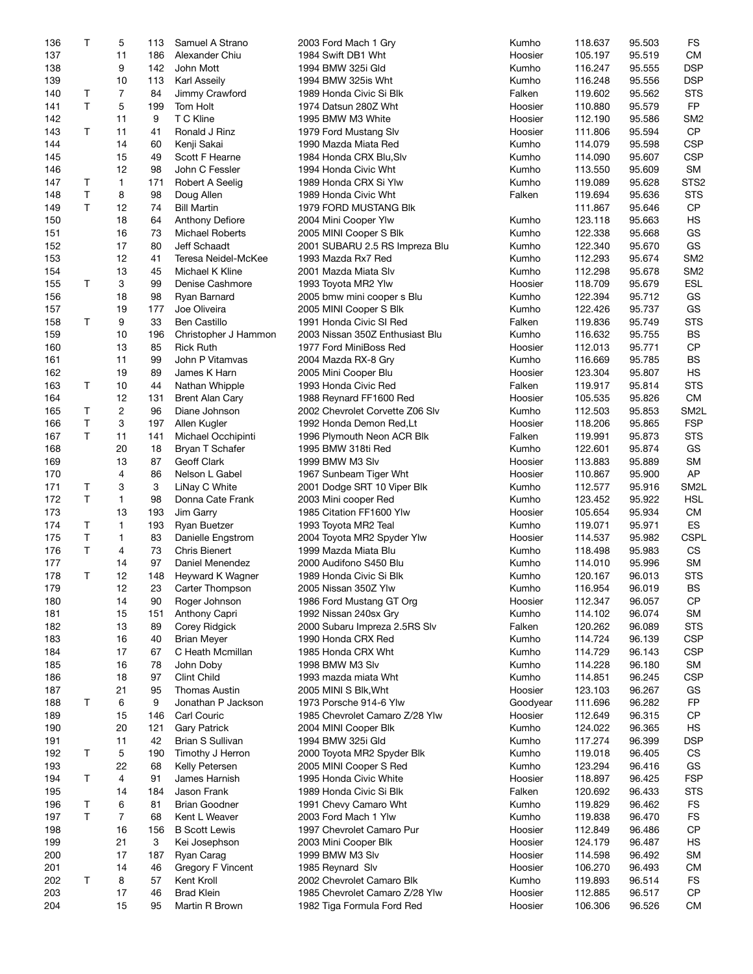| 136        | Т            | 5        | 113      | Samuel A Strano                     | 2003 Ford Mach 1 Gry                                         | Kumho              | 118.637            | 95.503           | FS                |
|------------|--------------|----------|----------|-------------------------------------|--------------------------------------------------------------|--------------------|--------------------|------------------|-------------------|
| 137        |              | 11       | 186      | Alexander Chiu                      | 1984 Swift DB1 Wht                                           | Hoosier            | 105.197            | 95.519           | <b>CM</b>         |
| 138        |              | 9        | 142      | John Mott                           | 1994 BMW 325i Gld                                            | Kumho              | 116.247            | 95.555           | <b>DSP</b>        |
| 139        |              | 10       | 113      | Karl Asseily                        | 1994 BMW 325is Wht                                           | Kumho              | 116.248            | 95.556           | <b>DSP</b>        |
|            |              |          |          |                                     |                                                              |                    |                    |                  |                   |
| 140        | Τ            | 7        | 84       | Jimmy Crawford                      | 1989 Honda Civic Si Blk                                      | Falken             | 119.602            | 95.562           | <b>STS</b>        |
| 141        | T            | 5        | 199      | Tom Holt                            | 1974 Datsun 280Z Wht                                         | Hoosier            | 110.880            | 95.579           | FP                |
| 142        |              | 11       | 9        | T C Kline                           | 1995 BMW M3 White                                            | Hoosier            | 112.190            | 95.586           | SM <sub>2</sub>   |
| 143        | T            | 11       | 41       | Ronald J Rinz                       | 1979 Ford Mustang Slv                                        | Hoosier            | 111.806            | 95.594           | <b>CP</b>         |
| 144        |              | 14       | 60       | Kenji Sakai                         | 1990 Mazda Miata Red                                         | Kumho              | 114.079            | 95.598           | <b>CSP</b>        |
| 145        |              | 15       | 49       | Scott F Hearne                      | 1984 Honda CRX Blu, Slv                                      | Kumho              | 114.090            | 95.607           | <b>CSP</b>        |
| 146        |              | 12       | 98       | John C Fessler                      | 1994 Honda Civic Wht                                         | Kumho              | 113.550            | 95.609           | <b>SM</b>         |
| 147        | Τ            | 1        | 171      | Robert A Seelig                     | 1989 Honda CRX Si Ylw                                        | Kumho              | 119.089            | 95.628           | STS <sub>2</sub>  |
|            |              |          |          |                                     |                                                              |                    |                    |                  |                   |
| 148        | $\mathsf{T}$ | 8        | 98       | Doug Allen                          | 1989 Honda Civic Wht                                         | Falken             | 119.694            | 95.636           | <b>STS</b>        |
| 149        | T            | 12       | 74       | <b>Bill Martin</b>                  | 1979 FORD MUSTANG BIK                                        |                    | 111.867            | 95.646           | <b>CP</b>         |
| 150        |              | 18       | 64       | <b>Anthony Defiore</b>              | 2004 Mini Cooper Ylw                                         | Kumho              | 123.118            | 95.663           | HS                |
| 151        |              | 16       | 73       | <b>Michael Roberts</b>              | 2005 MINI Cooper S Blk                                       | Kumho              | 122.338            | 95.668           | GS                |
| 152        |              | 17       | 80       | Jeff Schaadt                        | 2001 SUBARU 2.5 RS Impreza Blu                               | Kumho              | 122.340            | 95.670           | GS                |
| 153        |              | 12       | 41       | Teresa Neidel-McKee                 | 1993 Mazda Rx7 Red                                           | Kumho              | 112.293            | 95.674           | SM <sub>2</sub>   |
| 154        |              | 13       | 45       | Michael K Kline                     | 2001 Mazda Miata Slv                                         | Kumho              | 112.298            | 95.678           | SM <sub>2</sub>   |
| 155        | T            | 3        | 99       | Denise Cashmore                     | 1993 Toyota MR2 Ylw                                          | Hoosier            | 118.709            | 95.679           | <b>ESL</b>        |
|            |              |          |          |                                     |                                                              |                    |                    |                  |                   |
| 156        |              | 18       | 98       | Ryan Barnard                        | 2005 bmw mini cooper s Blu                                   | Kumho              | 122.394            | 95.712           | GS                |
| 157        |              | 19       | 177      | Joe Oliveira                        | 2005 MINI Cooper S Blk                                       | Kumho              | 122.426            | 95.737           | GS                |
| 158        | T            | 9        | 33       | Ben Castillo                        | 1991 Honda Civic SI Red                                      | Falken             | 119.836            | 95.749           | <b>STS</b>        |
| 159        |              | 10       | 196      | Christopher J Hammon                | 2003 Nissan 350Z Enthusiast Blu                              | Kumho              | 116.632            | 95.755           | <b>BS</b>         |
| 160        |              | 13       | 85       | <b>Rick Ruth</b>                    | 1977 Ford MiniBoss Red                                       | Hoosier            | 112.013            | 95.771           | <b>CP</b>         |
| 161        |              | 11       | 99       | John P Vitamvas                     | 2004 Mazda RX-8 Gry                                          | Kumho              | 116.669            | 95.785           | <b>BS</b>         |
| 162        |              | 19       | 89       | James K Harn                        | 2005 Mini Cooper Blu                                         | Hoosier            | 123.304            | 95.807           | HS                |
|            |              |          |          |                                     |                                                              |                    |                    |                  |                   |
| 163        | T            | 10       | 44       | Nathan Whipple                      | 1993 Honda Civic Red                                         | Falken             | 119.917            | 95.814           | <b>STS</b>        |
| 164        |              | 12       | 131      | <b>Brent Alan Cary</b>              | 1988 Reynard FF1600 Red                                      | Hoosier            | 105.535            | 95.826           | <b>CM</b>         |
| 165        | Τ            | 2        | 96       | Diane Johnson                       | 2002 Chevrolet Corvette Z06 Slv                              | Kumho              | 112.503            | 95.853           | SM <sub>2</sub> L |
| 166        | T            | 3        | 197      | Allen Kugler                        | 1992 Honda Demon Red,Lt                                      | Hoosier            | 118.206            | 95.865           | <b>FSP</b>        |
| 167        | T            | 11       | 141      | Michael Occhipinti                  | 1996 Plymouth Neon ACR Blk                                   | Falken             | 119.991            | 95.873           | <b>STS</b>        |
| 168        |              | 20       | 18       | Bryan T Schafer                     | 1995 BMW 318ti Red                                           | Kumho              | 122.601            | 95.874           | GS                |
| 169        |              | 13       | 87       | Geoff Clark                         | 1999 BMW M3 Slv                                              | Hoosier            | 113.883            | 95.889           | <b>SM</b>         |
|            |              |          |          |                                     |                                                              |                    |                    |                  | AP                |
| 170        |              | 4        | 86       | Nelson L Gabel                      | 1967 Sunbeam Tiger Wht                                       | Hoosier            | 110.867            | 95.900           |                   |
| 171        | Τ            | 3        | 3        | LiNay C White                       | 2001 Dodge SRT 10 Viper Blk                                  | Kumho              | 112.577            | 95.916           | SM <sub>2</sub> L |
| 172        | Τ            | 1        | 98       | Donna Cate Frank                    | 2003 Mini cooper Red                                         | Kumho              | 123.452            | 95.922           | <b>HSL</b>        |
| 173        |              | 13       | 193      | Jim Garry                           | 1985 Citation FF1600 Ylw                                     | Hoosier            | 105.654            | 95.934           | <b>CM</b>         |
| 174        | Τ            | 1        | 193      | Ryan Buetzer                        | 1993 Toyota MR2 Teal                                         | Kumho              | 119.071            | 95.971           | ES                |
| 175        | $\mathsf T$  | 1        | 83       | Danielle Engstrom                   | 2004 Toyota MR2 Spyder Ylw                                   | Hoosier            | 114.537            | 95.982           | <b>CSPL</b>       |
| 176        | T            | 4        | 73       | <b>Chris Bienert</b>                | 1999 Mazda Miata Blu                                         | Kumho              | 118.498            | 95.983           | CS                |
|            |              |          |          |                                     |                                                              |                    |                    |                  | <b>SM</b>         |
| 177        |              | 14       | 97       | Daniel Menendez                     | 2000 Audifono S450 Blu                                       | Kumho              | 114.010            | 95.996           |                   |
| 178        | T            | 12       | 148      | Heyward K Wagner                    | 1989 Honda Civic Si Blk                                      | Kumho              | 120.167            | 96.013           | <b>STS</b>        |
| 179        |              | 12       | 23       | Carter Thompson                     | 2005 Nissan 350Z Ylw                                         | Kumho              | 116.954            | 96.019           | <b>BS</b>         |
| 180        |              | 14       | 90       | Roger Johnson                       | 1986 Ford Mustang GT Org                                     | Hoosier            | 112.347            | 96.057           | CP                |
| 181        |              | 15       | 151      | Anthony Capri                       | 1992 Nissan 240sx Gry                                        | Kumho              | 114.102            | 96.074           | <b>SM</b>         |
| 182        |              | 13       | 89       | Corey Ridgick                       | 2000 Subaru Impreza 2.5RS Slv                                | Falken             | 120.262            | 96.089           | <b>STS</b>        |
| 183        |              | 16       | 40       | <b>Brian Meyer</b>                  | 1990 Honda CRX Red                                           | Kumho              | 114.724            | 96.139           | <b>CSP</b>        |
|            |              | 17       |          | C Heath Mcmillan                    | 1985 Honda CRX Wht                                           |                    |                    |                  | <b>CSP</b>        |
| 184        |              |          | 67       |                                     |                                                              | Kumho              | 114.729            | 96.143           |                   |
| 185        |              | 16       | 78       | John Doby                           | 1998 BMW M3 Slv                                              | Kumho              | 114.228            | 96.180           | <b>SM</b>         |
| 186        |              | 18       | 97       | <b>Clint Child</b>                  | 1993 mazda miata Wht                                         | Kumho              | 114.851            | 96.245           | <b>CSP</b>        |
| 187        |              | 21       | 95       | <b>Thomas Austin</b>                | 2005 MINI S Blk, Wht                                         | Hoosier            | 123.103            | 96.267           | GS                |
| 188        | T            | 6        | 9        | Jonathan P Jackson                  | 1973 Porsche 914-6 Ylw                                       | Goodyear           | 111.696            | 96.282           | FP                |
| 189        |              | 15       | 146      | Carl Couric                         | 1985 Chevrolet Camaro Z/28 Ylw                               | Hoosier            | 112.649            | 96.315           | CP                |
| 190        |              | 20       | 121      | <b>Gary Patrick</b>                 | 2004 MINI Cooper Blk                                         | Kumho              | 124.022            | 96.365           | HS                |
|            |              |          |          |                                     |                                                              |                    |                    |                  |                   |
| 191        |              | 11       | 42       | Brian S Sullivan                    | 1994 BMW 325i Gld                                            | Kumho              | 117.274            | 96.399           | <b>DSP</b>        |
| 192        | Τ            | 5        | 190      | Timothy J Herron                    | 2000 Toyota MR2 Spyder Blk                                   | Kumho              | 119.018            | 96.405           | CS                |
| 193        |              | 22       | 68       | Kelly Petersen                      | 2005 MINI Cooper S Red                                       | Kumho              | 123.294            | 96.416           | GS                |
| 194        | Τ            | 4        | 91       | James Harnish                       | 1995 Honda Civic White                                       | Hoosier            | 118.897            | 96.425           | <b>FSP</b>        |
| 195        |              | 14       | 184      | Jason Frank                         | 1989 Honda Civic Si Blk                                      | Falken             | 120.692            | 96.433           | <b>STS</b>        |
| 196        | Τ            | 6        | 81       | <b>Brian Goodner</b>                | 1991 Chevy Camaro Wht                                        | Kumho              | 119.829            | 96.462           | <b>FS</b>         |
|            | T            | 7        |          |                                     |                                                              |                    |                    |                  | <b>FS</b>         |
| 197        |              |          | 68       | Kent L Weaver                       | 2003 Ford Mach 1 Ylw                                         | Kumho              | 119.838            | 96.470           |                   |
| 198        |              | 16       | 156      | <b>B</b> Scott Lewis                | 1997 Chevrolet Camaro Pur                                    | Hoosier            | 112.849            | 96.486           | <b>CP</b>         |
| 199        |              | 21       | 3        | Kei Josephson                       | 2003 Mini Cooper Blk                                         | Hoosier            | 124.179            | 96.487           | HS                |
| 200        |              | 17       | 187      | Ryan Carag                          | 1999 BMW M3 Slv                                              | Hoosier            | 114.598            | 96.492           | <b>SM</b>         |
|            |              | 14       | 46       | Gregory F Vincent                   | 1985 Reynard Slv                                             | Hoosier            | 106.270            | 96.493           | СM                |
| 201        |              |          |          |                                     |                                                              |                    |                    |                  |                   |
|            | Τ            |          |          |                                     |                                                              |                    |                    |                  | FS                |
| 202        |              | 8        | 57       | Kent Kroll                          | 2002 Chevrolet Camaro Blk                                    | Kumho              | 119.893            | 96.514           |                   |
| 203<br>204 |              | 17<br>15 | 46<br>95 | <b>Brad Klein</b><br>Martin R Brown | 1985 Chevrolet Camaro Z/28 Ylw<br>1982 Tiga Formula Ford Red | Hoosier<br>Hoosier | 112.885<br>106.306 | 96.517<br>96.526 | CP<br><b>CM</b>   |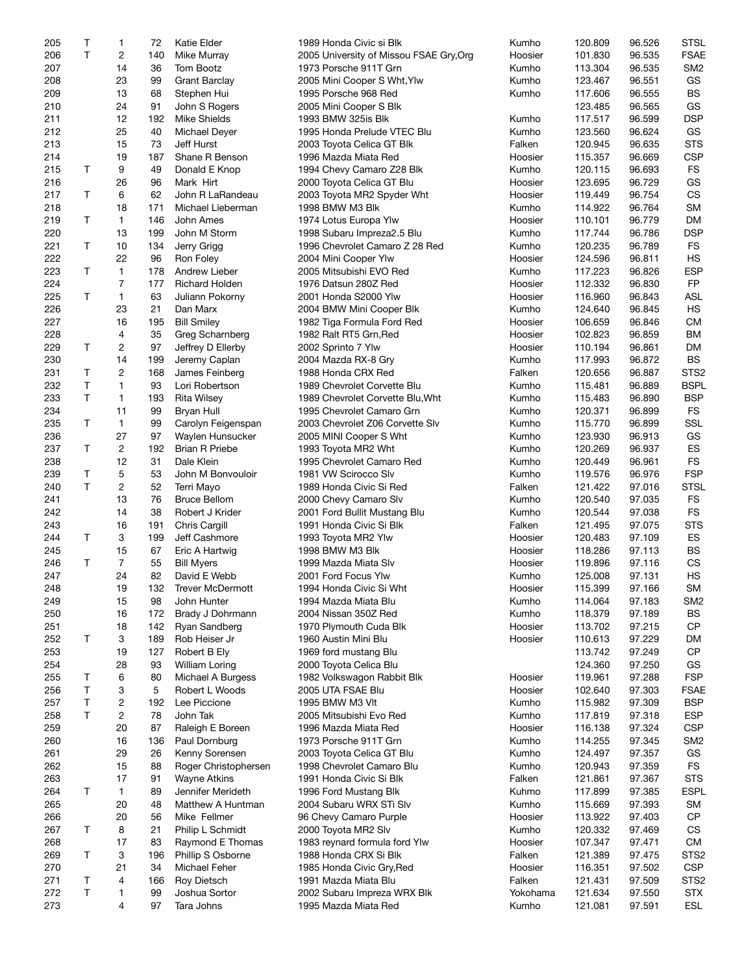| 205 | Τ  | 1                       | 72  | Katie Elder           | 1989 Honda Civic si Blk                 | Kumho    | 120.809 | 96.526 | <b>STSL</b>      |
|-----|----|-------------------------|-----|-----------------------|-----------------------------------------|----------|---------|--------|------------------|
| 206 | T  | 2                       | 140 | Mike Murray           | 2005 University of Missou FSAE Gry, Org | Hoosier  | 101.830 | 96.535 | <b>FSAE</b>      |
| 207 |    | 14                      | 36  | Tom Bootz             | 1973 Porsche 911T Grn                   | Kumho    | 113.304 | 96.535 | SM <sub>2</sub>  |
| 208 |    | 23                      | 99  | Grant Barclay         | 2005 Mini Cooper S Wht, Ylw             | Kumho    | 123.467 | 96.551 | GS               |
| 209 |    | 13                      | 68  | Stephen Hui           | 1995 Porsche 968 Red                    | Kumho    | 117.606 | 96.555 | <b>BS</b>        |
| 210 |    | 24                      | 91  | John S Rogers         | 2005 Mini Cooper S Blk                  |          | 123.485 | 96.565 | GS               |
| 211 |    | 12                      | 192 | <b>Mike Shields</b>   | 1993 BMW 325is Blk                      | Kumho    | 117.517 | 96.599 | <b>DSP</b>       |
| 212 |    | 25                      | 40  | Michael Deyer         | 1995 Honda Prelude VTEC Blu             | Kumho    | 123.560 | 96.624 | GS               |
| 213 |    | 15                      | 73  | Jeff Hurst            | 2003 Toyota Celica GT Blk               | Falken   | 120.945 | 96.635 | <b>STS</b>       |
| 214 |    | 19                      | 187 | Shane R Benson        | 1996 Mazda Miata Red                    | Hoosier  | 115.357 | 96.669 | <b>CSP</b>       |
|     |    |                         |     |                       |                                         |          |         |        |                  |
| 215 | Τ  | 9                       | 49  | Donald E Knop         | 1994 Chevy Camaro Z28 Blk               | Kumho    | 120.115 | 96.693 | FS<br>GS         |
| 216 |    | 26                      | 96  | Mark Hirt             | 2000 Toyota Celica GT Blu               | Hoosier  | 123.695 | 96.729 |                  |
| 217 | Τ  | 6                       | 62  | John R LaRandeau      | 2003 Toyota MR2 Spyder Wht              | Hoosier  | 119.449 | 96.754 | CS               |
| 218 |    | 18                      | 171 | Michael Lieberman     | 1998 BMW M3 Blk                         | Kumho    | 114.922 | 96.764 | <b>SM</b>        |
| 219 | T  | $\mathbf{1}$            | 146 | John Ames             | 1974 Lotus Europa Ylw                   | Hoosier  | 110.101 | 96.779 | DM               |
| 220 |    | 13                      | 199 | John M Storm          | 1998 Subaru Impreza2.5 Blu              | Kumho    | 117.744 | 96.786 | <b>DSP</b>       |
| 221 | Τ  | 10                      | 134 | Jerry Grigg           | 1996 Chevrolet Camaro Z 28 Red          | Kumho    | 120.235 | 96.789 | <b>FS</b>        |
| 222 |    | 22                      | 96  | Ron Foley             | 2004 Mini Cooper Ylw                    | Hoosier  | 124.596 | 96.811 | <b>HS</b>        |
| 223 | T  | $\mathbf{1}$            | 178 | Andrew Lieber         | 2005 Mitsubishi EVO Red                 | Kumho    | 117.223 | 96.826 | <b>ESP</b>       |
| 224 |    | 7                       | 177 | <b>Richard Holden</b> | 1976 Datsun 280Z Red                    | Hoosier  | 112.332 | 96.830 | <b>FP</b>        |
| 225 | Τ  | $\mathbf{1}$            | 63  | Juliann Pokorny       | 2001 Honda S2000 Ylw                    | Hoosier  | 116.960 | 96.843 | <b>ASL</b>       |
| 226 |    | 23                      | 21  | Dan Marx              | 2004 BMW Mini Cooper Blk                | Kumho    | 124.640 | 96.845 | HS               |
| 227 |    | 16                      | 195 | <b>Bill Smiley</b>    | 1982 Tiga Formula Ford Red              | Hoosier  | 106.659 | 96.846 | <b>CM</b>        |
| 228 |    | 4                       | 35  | Greg Scharnberg       | 1982 Ralt RT5 Grn, Red                  | Hoosier  | 102.823 | 96.859 | ВM               |
| 229 | Τ  | $\overline{c}$          | 97  | Jeffrey D Ellerby     | 2002 Sprinto 7 Ylw                      | Hoosier  | 110.194 | 96.861 | DM               |
| 230 |    | 14                      | 199 | Jeremy Caplan         | 2004 Mazda RX-8 Gry                     | Kumho    | 117.993 | 96.872 | <b>BS</b>        |
| 231 | Τ  | $\overline{c}$          | 168 | James Feinberg        | 1988 Honda CRX Red                      | Falken   | 120.656 | 96.887 | STS <sub>2</sub> |
| 232 | T  | 1                       | 93  | Lori Robertson        | 1989 Chevrolet Corvette Blu             | Kumho    | 115.481 | 96.889 | <b>BSPL</b>      |
| 233 | T  | $\mathbf{1}$            | 193 | <b>Rita Wilsey</b>    | 1989 Chevrolet Corvette Blu, Wht        | Kumho    | 115.483 | 96.890 | <b>BSP</b>       |
| 234 |    | 11                      | 99  | Bryan Hull            | 1995 Chevrolet Camaro Grn               | Kumho    | 120.371 | 96.899 | <b>FS</b>        |
| 235 | Τ  | $\mathbf{1}$            | 99  | Carolyn Feigenspan    | 2003 Chevrolet Z06 Corvette Slv         | Kumho    | 115.770 | 96.899 | SSL              |
| 236 |    | 27                      | 97  |                       |                                         | Kumho    | 123.930 | 96.913 | GS               |
|     |    |                         |     | Waylen Hunsucker      | 2005 MINI Cooper S Wht                  |          |         |        | ES               |
| 237 | T  | 2                       | 192 | <b>Brian R Priebe</b> | 1993 Toyota MR2 Wht                     | Kumho    | 120.269 | 96.937 |                  |
| 238 |    | 12                      | 31  | Dale Klein            | 1995 Chevrolet Camaro Red               | Kumho    | 120.449 | 96.961 | <b>FS</b>        |
| 239 | т  | 5                       | 53  | John M Bonvouloir     | 1981 VW Scirocco Slv                    | Kumho    | 119.576 | 96.976 | <b>FSP</b>       |
| 240 | T  | $\overline{\mathbf{c}}$ | 52  | Terri Mayo            | 1989 Honda Civic Si Red                 | Falken   | 121.422 | 97.016 | <b>STSL</b>      |
| 241 |    | 13                      | 76  | <b>Bruce Bellom</b>   | 2000 Chevy Camaro Slv                   | Kumho    | 120.540 | 97.035 | <b>FS</b>        |
| 242 |    | 14                      | 38  | Robert J Krider       | 2001 Ford Bullit Mustang Blu            | Kumho    | 120.544 | 97.038 | <b>FS</b>        |
| 243 |    | 16                      | 191 | <b>Chris Cargill</b>  | 1991 Honda Civic Si Blk                 | Falken   | 121.495 | 97.075 | <b>STS</b>       |
| 244 | T  | 3                       | 199 | Jeff Cashmore         | 1993 Toyota MR2 Ylw                     | Hoosier  | 120.483 | 97.109 | ES               |
| 245 |    | 15                      | 67  | Eric A Hartwig        | 1998 BMW M3 Blk                         | Hoosier  | 118.286 | 97.113 | <b>BS</b>        |
| 246 | Τ  | 7                       | 55  | <b>Bill Myers</b>     | 1999 Mazda Miata Slv                    | Hoosier  | 119.896 | 97.116 | CS               |
| 247 |    | 24                      | 82  | David E Webb          | 2001 Ford Focus Ylw                     | Kumho    | 125.008 | 97.131 | <b>HS</b>        |
| 248 |    | 19                      |     | 132 Trever McDermott  | 1994 Honda Civic Si Wht                 | Hoosier  | 115.399 | 97.166 | SM               |
| 249 |    | 15                      | 98  | John Hunter           | 1994 Mazda Miata Blu                    | Kumho    | 114.064 | 97.183 | SM <sub>2</sub>  |
| 250 |    | 16                      | 172 | Brady J Dohrmann      | 2004 Nissan 350Z Red                    | Kumho    | 118.379 | 97.189 | <b>BS</b>        |
| 251 |    | 18                      | 142 | Ryan Sandberg         | 1970 Plymouth Cuda Blk                  | Hoosier  | 113.702 | 97.215 | <b>CP</b>        |
| 252 | Τ  | 3                       | 189 | Rob Heiser Jr         | 1960 Austin Mini Blu                    | Hoosier  | 110.613 | 97.229 | <b>DM</b>        |
| 253 |    | 19                      | 127 | Robert B Ely          | 1969 ford mustang Blu                   |          | 113.742 | 97.249 | <b>CP</b>        |
| 254 |    | 28                      | 93  | William Loring        | 2000 Toyota Celica Blu                  |          | 124.360 | 97.250 | GS               |
| 255 | Τ  | 6                       | 80  | Michael A Burgess     | 1982 Volkswagon Rabbit Blk              | Hoosier  | 119.961 | 97.288 | <b>FSP</b>       |
| 256 | Τ  | 3                       | 5   | Robert L Woods        | 2005 UTA FSAE Blu                       | Hoosier  | 102.640 | 97.303 | <b>FSAE</b>      |
| 257 | Τ  | 2                       | 192 | Lee Piccione          | 1995 BMW M3 VIt                         | Kumho    | 115.982 | 97.309 | <b>BSP</b>       |
| 258 | T  |                         |     | John Tak              |                                         | Kumho    |         | 97.318 | <b>ESP</b>       |
|     |    | 2                       | 78  |                       | 2005 Mitsubishi Evo Red                 |          | 117.819 |        |                  |
| 259 |    | 20                      | 87  | Raleigh E Boreen      | 1996 Mazda Miata Red                    | Hoosier  | 116.138 | 97.324 | <b>CSP</b>       |
| 260 |    | 16                      | 136 | Paul Dornburg         | 1973 Porsche 911T Grn                   | Kumho    | 114.255 | 97.345 | SM <sub>2</sub>  |
| 261 |    | 29                      | 26  | Kenny Sorensen        | 2003 Toyota Celica GT Blu               | Kumho    | 124.497 | 97.357 | GS               |
| 262 |    | 15                      | 88  | Roger Christophersen  | 1998 Chevrolet Camaro Blu               | Kumho    | 120.943 | 97.359 | <b>FS</b>        |
| 263 |    | 17                      | 91  | <b>Wayne Atkins</b>   | 1991 Honda Civic Si Blk                 | Falken   | 121.861 | 97.367 | <b>STS</b>       |
| 264 | т  | $\mathbf{1}$            | 89  | Jennifer Merideth     | 1996 Ford Mustang Blk                   | Kuhmo    | 117.899 | 97.385 | <b>ESPL</b>      |
| 265 |    | 20                      | 48  | Matthew A Huntman     | 2004 Subaru WRX STi Slv                 | Kumho    | 115.669 | 97.393 | <b>SM</b>        |
| 266 |    | 20                      | 56  | Mike Fellmer          | 96 Chevy Camaro Purple                  | Hoosier  | 113.922 | 97.403 | CP               |
| 267 | Τ  | 8                       | 21  | Philip L Schmidt      | 2000 Toyota MR2 Slv                     | Kumho    | 120.332 | 97.469 | CS               |
| 268 |    | 17                      | 83  | Raymond E Thomas      | 1983 reynard formula ford Ylw           | Hoosier  | 107.347 | 97.471 | <b>CM</b>        |
| 269 | T  | 3                       | 196 | Phillip S Osborne     | 1988 Honda CRX Si Blk                   | Falken   | 121.389 | 97.475 | STS <sub>2</sub> |
| 270 |    | 21                      | 34  | Michael Feher         | 1985 Honda Civic Gry, Red               | Hoosier  | 116.351 | 97.502 | <b>CSP</b>       |
| 271 | Τ  | 4                       | 166 | Roy Dietsch           | 1991 Mazda Miata Blu                    | Falken   | 121.431 | 97.509 | STS <sub>2</sub> |
| 272 | T. | 1                       | 99  | Joshua Sortor         | 2002 Subaru Impreza WRX Blk             | Yokohama | 121.634 | 97.550 | <b>STX</b>       |
| 273 |    | 4                       | 97  | Tara Johns            | 1995 Mazda Miata Red                    | Kumho    | 121.081 | 97.591 | ESL              |
|     |    |                         |     |                       |                                         |          |         |        |                  |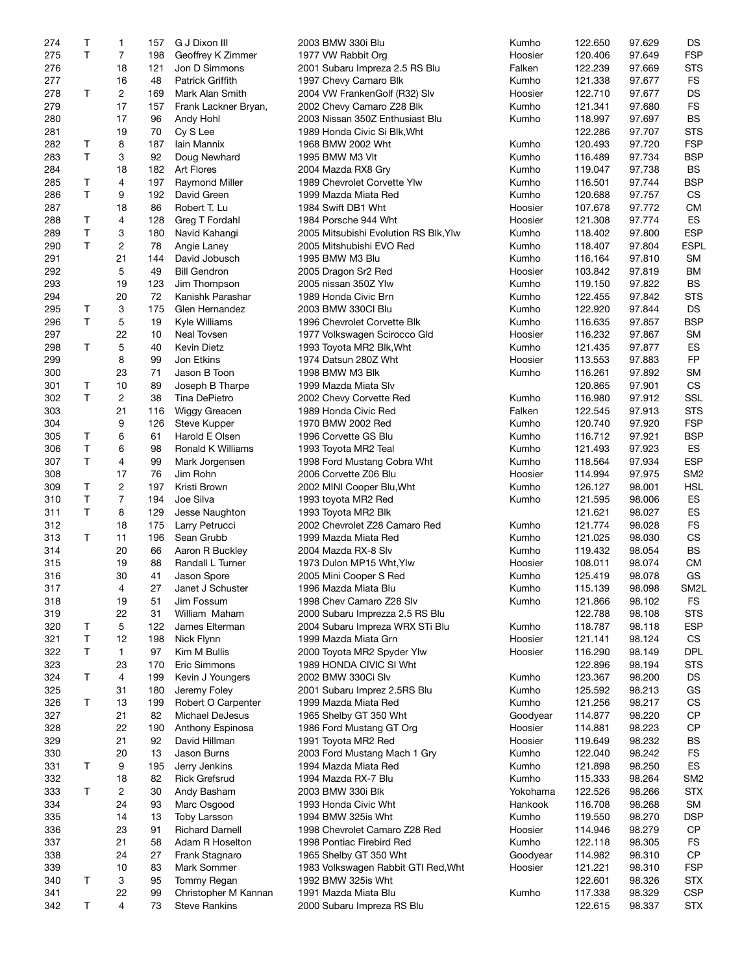|            | Τ            | 1       | 157      | G J Dixon III                                | 2003 BMW 330i Blu                                  | Kumho    | 122.650            | 97.629           | DS                       |
|------------|--------------|---------|----------|----------------------------------------------|----------------------------------------------------|----------|--------------------|------------------|--------------------------|
| 275        | T            | 7       | 198      | Geoffrey K Zimmer                            | 1977 VW Rabbit Org                                 | Hoosier  | 120.406            | 97.649           | <b>FSP</b>               |
| 276        |              | 18      | 121      | Jon D Simmons                                | 2001 Subaru Impreza 2.5 RS Blu                     | Falken   | 122.239            | 97.669           | <b>STS</b>               |
|            |              |         |          |                                              |                                                    |          |                    |                  |                          |
| 277        |              | 16      | 48       | <b>Patrick Griffith</b>                      | 1997 Chevy Camaro Blk                              | Kumho    | 121.338            | 97.677           | <b>FS</b>                |
| 278        | T            | 2       | 169      | Mark Alan Smith                              | 2004 VW FrankenGolf (R32) Slv                      | Hoosier  | 122.710            | 97.677           | <b>DS</b>                |
| 279        |              | 17      | 157      | Frank Lackner Bryan,                         | 2002 Chevy Camaro Z28 Blk                          | Kumho    | 121.341            | 97.680           | <b>FS</b>                |
| 280        |              | 17      | 96       | Andy Hohl                                    | 2003 Nissan 350Z Enthusiast Blu                    | Kumho    | 118.997            | 97.697           | <b>BS</b>                |
|            |              |         |          |                                              |                                                    |          |                    |                  |                          |
| 281        |              | 19      | 70       | Cy S Lee                                     | 1989 Honda Civic Si Blk, Wht                       |          | 122.286            | 97.707           | <b>STS</b>               |
| 282        | Τ            | 8       | 187      | lain Mannix                                  | 1968 BMW 2002 Wht                                  | Kumho    | 120.493            | 97.720           | <b>FSP</b>               |
| 283        | T            | 3       | 92       | Doug Newhard                                 | 1995 BMW M3 VIt                                    | Kumho    | 116.489            | 97.734           | <b>BSP</b>               |
| 284        |              | 18      | 182      | Art Flores                                   | 2004 Mazda RX8 Gry                                 | Kumho    | 119.047            | 97.738           | <b>BS</b>                |
| 285        | Τ            | 4       | 197      | Raymond Miller                               | 1989 Chevrolet Corvette Ylw                        | Kumho    | 116.501            | 97.744           | <b>BSP</b>               |
|            |              |         |          |                                              |                                                    |          |                    |                  |                          |
| 286        | T.           | 9       | 192      | David Green                                  | 1999 Mazda Miata Red                               | Kumho    | 120.688            | 97.757           | CS                       |
| 287        |              | 18      | 86       | Robert T. Lu                                 | 1984 Swift DB1 Wht                                 | Hoosier  | 107.678            | 97.772           | <b>CM</b>                |
| 288        | Τ            | 4       | 128      | Greg T Fordahl                               | 1984 Porsche 944 Wht                               | Hoosier  | 121.308            | 97.774           | ES                       |
| 289        | T            | 3       | 180      | Navid Kahangi                                | 2005 Mitsubishi Evolution RS Blk, Ylw              | Kumho    | 118.402            | 97.800           | <b>ESP</b>               |
|            |              |         |          |                                              |                                                    |          |                    |                  |                          |
| 290        | T            | 2       | 78       | Angie Laney                                  | 2005 Mitshubishi EVO Red                           | Kumho    | 118.407            | 97.804           | <b>ESPL</b>              |
| 291        |              | 21      | 144      | David Jobusch                                | 1995 BMW M3 Blu                                    | Kumho    | 116.164            | 97.810           | <b>SM</b>                |
| 292        |              | 5       | 49       | <b>Bill Gendron</b>                          | 2005 Dragon Sr2 Red                                | Hoosier  | 103.842            | 97.819           | <b>BM</b>                |
| 293        |              | 19      | 123      | Jim Thompson                                 | 2005 nissan 350Z Ylw                               | Kumho    | 119.150            | 97.822           | BS                       |
|            |              |         |          |                                              |                                                    |          |                    |                  |                          |
| 294        |              | 20      | 72       | Kanishk Parashar                             | 1989 Honda Civic Brn                               | Kumho    | 122.455            | 97.842           | <b>STS</b>               |
| 295        | Τ            | 3       | 175      | Glen Hernandez                               | 2003 BMW 330Cl Blu                                 | Kumho    | 122.920            | 97.844           | <b>DS</b>                |
| 296        | T            | 5       | 19       | Kyle Williams                                | 1996 Chevrolet Corvette Blk                        | Kumho    | 116.635            | 97.857           | <b>BSP</b>               |
| 297        |              | 22      | 10       | Neal Tovsen                                  | 1977 Volkswagen Scirocco Gld                       | Hoosier  | 116.232            | 97.867           | <b>SM</b>                |
|            |              |         |          |                                              |                                                    |          |                    |                  | ES                       |
| 298        | T            | 5       | 40       | Kevin Dietz                                  | 1993 Toyota MR2 Blk, Wht                           | Kumho    | 121.435            | 97.877           |                          |
| 299        |              | 8       | 99       | Jon Etkins                                   | 1974 Datsun 280Z Wht                               | Hoosier  | 113.553            | 97.883           | <b>FP</b>                |
| 300        |              | 23      | 71       | Jason B Toon                                 | 1998 BMW M3 Blk                                    | Kumho    | 116.261            | 97.892           | <b>SM</b>                |
| 301        | Τ            | 10      | 89       | Joseph B Tharpe                              | 1999 Mazda Miata Slv                               |          | 120.865            | 97.901           | CS                       |
| 302        | T.           | 2       | 38       | Tina DePietro                                |                                                    | Kumho    | 116.980            | 97.912           | SSL                      |
|            |              |         |          |                                              | 2002 Chevy Corvette Red                            |          |                    |                  |                          |
| 303        |              | 21      | 116      | Wiggy Greacen                                | 1989 Honda Civic Red                               | Falken   | 122.545            | 97.913           | <b>STS</b>               |
| 304        |              | 9       | 126      | <b>Steve Kupper</b>                          | 1970 BMW 2002 Red                                  | Kumho    | 120.740            | 97.920           | <b>FSP</b>               |
| 305        | Т            | 6       | 61       | Harold E Olsen                               | 1996 Corvette GS Blu                               | Kumho    | 116.712            | 97.921           | <b>BSP</b>               |
| 306        | $\mathsf{T}$ | 6       | 98       | Ronald K Williams                            | 1993 Toyota MR2 Teal                               | Kumho    | 121.493            | 97.923           | ES                       |
|            |              |         |          |                                              |                                                    |          |                    |                  |                          |
| 307        | T            | 4       | 99       | Mark Jorgensen                               | 1998 Ford Mustang Cobra Wht                        | Kumho    | 118.564            | 97.934           | <b>ESP</b>               |
| 308        |              | 17      | 76       | Jim Rohn                                     | 2006 Corvette Z06 Blu                              | Hoosier  | 114.994            | 97.975           | SM <sub>2</sub>          |
|            |              |         |          |                                              |                                                    |          |                    |                  |                          |
|            |              |         |          |                                              |                                                    |          |                    |                  |                          |
| 309        | Τ            | 2       | 197      | Kristi Brown                                 | 2002 MINI Cooper Blu, Wht                          | Kumho    | 126.127            | 98.001           | <b>HSL</b>               |
| 310        | T            | 7       | 194      | Joe Silva                                    | 1993 toyota MR2 Red                                | Kumho    | 121.595            | 98.006           | ES                       |
| 311        | T            | 8       | 129      | Jesse Naughton                               | 1993 Toyota MR2 Blk                                |          | 121.621            | 98.027           | ES                       |
| 312        |              | 18      | 175      | Larry Petrucci                               | 2002 Chevrolet Z28 Camaro Red                      | Kumho    | 121.774            | 98.028           | <b>FS</b>                |
| 313        | T            | 11      | 196      | Sean Grubb                                   | 1999 Mazda Miata Red                               | Kumho    | 121.025            | 98.030           | <b>CS</b>                |
|            |              |         |          |                                              |                                                    |          |                    |                  |                          |
| 314        |              | 20      | 66       | Aaron R Buckley                              | 2004 Mazda RX-8 Slv                                | Kumho    | 119.432            | 98.054           | BS                       |
| 315        |              | 19      | 88       | Randall L Turner                             | 1973 Dulon MP15 Wht, Ylw                           | Hoosier  | 108.011            | 98.074           | <b>CM</b>                |
| 316        |              | 30      | 41       | Jason Spore                                  | 2005 Mini Cooper S Red                             | Kumho    | 125.419            | 98.078           | GS                       |
| 317        |              | 4       | 27       | Janet J Schuster                             | 1996 Mazda Miata Blu                               | Kumho    | 115.139            | 98.098           | SM <sub>2</sub> L        |
|            |              |         |          |                                              |                                                    |          |                    |                  |                          |
| 318        |              | 19      | 51       | Jim Fossum                                   | 1998 Chev Camaro Z28 Slv                           | Kumho    | 121.866            | 98.102           | <b>FS</b>                |
| 319        |              | 22      | 31       | William Maham                                | 2000 Subaru Imprezza 2.5 RS Blu                    |          | 122.788            | 98.108           | <b>STS</b>               |
| 320        | Τ            | 5       | 122      | James Elterman                               | 2004 Subaru Impreza WRX STi Blu                    | Kumho    | 118.787            | 98.118           | <b>ESP</b>               |
| 321        | Τ            | 12      | 198      | Nick Flynn                                   | 1999 Mazda Miata Grn                               | Hoosier  | 121.141            | 98.124           | CS                       |
|            | T            |         |          |                                              |                                                    |          |                    |                  |                          |
| 322        |              | 1       | 97       | Kim M Bullis                                 | 2000 Toyota MR2 Spyder Ylw                         | Hoosier  | 116.290            | 98.149           | <b>DPL</b>               |
| 323        |              | 23      | 170      | Eric Simmons                                 | 1989 HONDA CIVIC SI Wht                            |          | 122.896            | 98.194           | <b>STS</b>               |
| 324        | T            | 4       | 199      | Kevin J Youngers                             | 2002 BMW 330Ci Slv                                 | Kumho    | 123.367            | 98.200           | <b>DS</b>                |
| 325        |              | 31      | 180      | Jeremy Foley                                 | 2001 Subaru Imprez 2.5RS Blu                       | Kumho    | 125.592            | 98.213           | GS                       |
|            | Т            |         |          |                                              |                                                    |          |                    |                  |                          |
| 326        |              | 13      | 199      | Robert O Carpenter                           | 1999 Mazda Miata Red                               | Kumho    | 121.256            | 98.217           | CS                       |
| 327        |              | 21      | 82       | Michael DeJesus                              | 1965 Shelby GT 350 Wht                             | Goodyear | 114.877            | 98.220           | СP                       |
| 328        |              | 22      | 190      | Anthony Espinosa                             | 1986 Ford Mustang GT Org                           | Hoosier  | 114.881            | 98.223           | <b>CP</b>                |
| 329        |              | 21      | 92       | David Hillman                                | 1991 Toyota MR2 Red                                | Hoosier  | 119.649            | 98.232           | <b>BS</b>                |
| 330        |              | 20      | 13       | Jason Burns                                  | 2003 Ford Mustang Mach 1 Gry                       | Kumho    | 122.040            | 98.242           | <b>FS</b>                |
|            |              |         |          |                                              |                                                    |          |                    |                  |                          |
| 331        | Τ            | 9       | 195      | Jerry Jenkins                                | 1994 Mazda Miata Red                               | Kumho    | 121.898            | 98.250           | ES                       |
| 332        |              | 18      | 82       | <b>Rick Grefsrud</b>                         | 1994 Mazda RX-7 Blu                                | Kumho    | 115.333            | 98.264           | SM <sub>2</sub>          |
| 333        | T            | 2       | 30       | Andy Basham                                  | 2003 BMW 330i Blk                                  | Yokohama | 122.526            | 98.266           | <b>STX</b>               |
| 334        |              | 24      | 93       | Marc Osgood                                  | 1993 Honda Civic Wht                               | Hankook  | 116.708            | 98.268           | <b>SM</b>                |
|            |              |         |          |                                              |                                                    |          |                    |                  |                          |
| 335        |              | 14      | 13       | <b>Toby Larsson</b>                          | 1994 BMW 325is Wht                                 | Kumho    | 119.550            | 98.270           | <b>DSP</b>               |
| 336        |              | 23      | 91       | <b>Richard Darnell</b>                       | 1998 Chevrolet Camaro Z28 Red                      | Hoosier  | 114.946            | 98.279           | <b>CP</b>                |
| 337        |              | 21      | 58       | Adam R Hoselton                              | 1998 Pontiac Firebird Red                          | Kumho    | 122.118            | 98.305           | <b>FS</b>                |
| 338        |              | 24      | 27       | Frank Stagnaro                               | 1965 Shelby GT 350 Wht                             | Goodyear | 114.982            | 98.310           | <b>CP</b>                |
|            |              |         |          |                                              |                                                    |          |                    |                  |                          |
| 339        |              | 10      | 83       | Mark Sommer                                  | 1983 Volkswagen Rabbit GTI Red, Wht                | Hoosier  | 121.221            | 98.310           | <b>FSP</b>               |
| 340        | Т            | 3       | 95       | Tommy Regan                                  | 1992 BMW 325is Wht                                 |          | 122.601            | 98.326           | <b>STX</b>               |
| 341<br>342 | T            | 22<br>4 | 99<br>73 | Christopher M Kannan<br><b>Steve Rankins</b> | 1991 Mazda Miata Blu<br>2000 Subaru Impreza RS Blu | Kumho    | 117.338<br>122.615 | 98.329<br>98.337 | <b>CSP</b><br><b>STX</b> |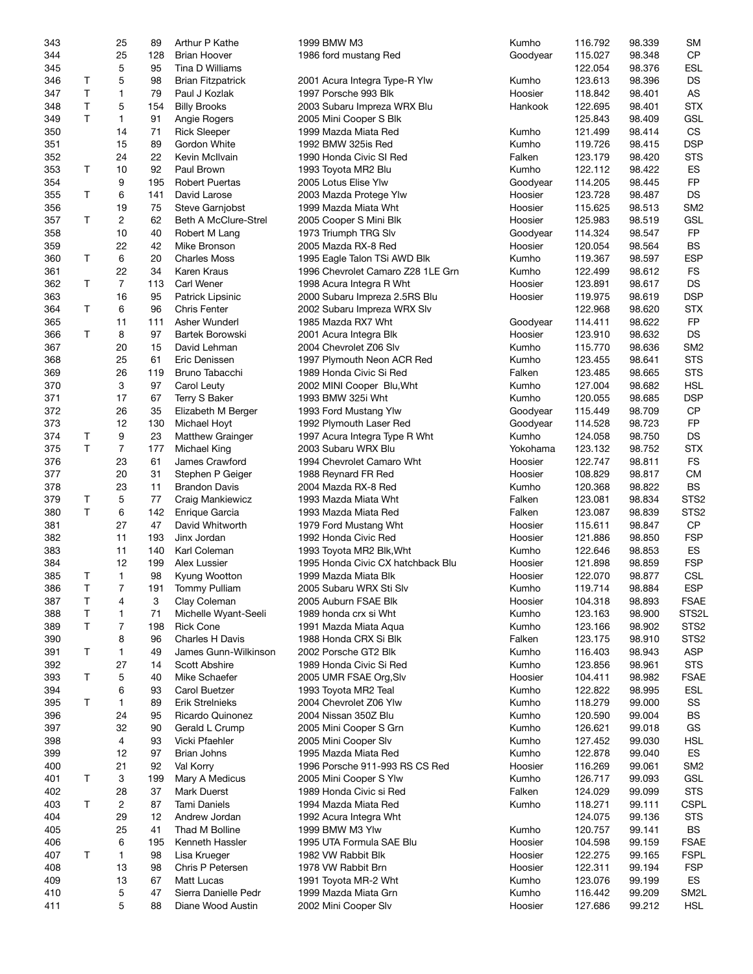| 343 |    | 25             | 89  | Arthur P Kathe           | 1999 BMW M3                       | Kumho    | 116.792 | 98.339 | <b>SM</b>         |
|-----|----|----------------|-----|--------------------------|-----------------------------------|----------|---------|--------|-------------------|
| 344 |    | 25             | 128 | <b>Brian Hoover</b>      | 1986 ford mustang Red             | Goodyear | 115.027 | 98.348 | <b>CP</b>         |
| 345 |    | 5              | 95  | Tina D Williams          |                                   |          | 122.054 | 98.376 | <b>ESL</b>        |
| 346 | Τ  | 5              | 98  | <b>Brian Fitzpatrick</b> | 2001 Acura Integra Type-R Ylw     | Kumho    | 123.613 | 98.396 | DS                |
| 347 | T. | 1              | 79  | Paul J Kozlak            | 1997 Porsche 993 Blk              | Hoosier  | 118.842 | 98.401 | AS                |
| 348 | T  | 5              | 154 | <b>Billy Brooks</b>      | 2003 Subaru Impreza WRX Blu       | Hankook  | 122.695 | 98.401 | <b>STX</b>        |
| 349 | Τ  | $\mathbf{1}$   | 91  | Angie Rogers             | 2005 Mini Cooper S Blk            |          | 125.843 | 98.409 | GSL               |
| 350 |    | 14             | 71  | <b>Rick Sleeper</b>      | 1999 Mazda Miata Red              | Kumho    | 121.499 | 98.414 | CS                |
| 351 |    | 15             | 89  | Gordon White             | 1992 BMW 325is Red                | Kumho    | 119.726 | 98.415 | <b>DSP</b>        |
| 352 |    | 24             | 22  | Kevin McIlvain           | 1990 Honda Civic SI Red           | Falken   | 123.179 | 98.420 | <b>STS</b>        |
| 353 | Т  | 10             | 92  | Paul Brown               | 1993 Toyota MR2 Blu               | Kumho    | 122.112 | 98.422 | ES                |
| 354 |    | 9              | 195 | <b>Robert Puertas</b>    | 2005 Lotus Elise Ylw              | Goodyear | 114.205 | 98.445 | FP                |
|     |    |                |     |                          |                                   |          |         |        |                   |
| 355 | Τ  | 6              | 141 | David Larose             | 2003 Mazda Protege Ylw            | Hoosier  | 123.728 | 98.487 | DS                |
| 356 |    | 19             | 75  | Steve Garnjobst          | 1999 Mazda Miata Wht              | Hoosier  | 115.625 | 98.513 | SM <sub>2</sub>   |
| 357 | T  | $\overline{c}$ | 62  | Beth A McClure-Strel     | 2005 Cooper S Mini Blk            | Hoosier  | 125.983 | 98.519 | GSL               |
| 358 |    | 10             | 40  | Robert M Lang            | 1973 Triumph TRG Slv              | Goodyear | 114.324 | 98.547 | <b>FP</b>         |
| 359 |    | 22             | 42  | Mike Bronson             | 2005 Mazda RX-8 Red               | Hoosier  | 120.054 | 98.564 | <b>BS</b>         |
| 360 | Т  | 6              | 20  | <b>Charles Moss</b>      | 1995 Eagle Talon TSi AWD Blk      | Kumho    | 119.367 | 98.597 | <b>ESP</b>        |
| 361 |    | 22             | 34  | Karen Kraus              | 1996 Chevrolet Camaro Z28 1LE Grn | Kumho    | 122.499 | 98.612 | <b>FS</b>         |
| 362 | Τ  | $\overline{7}$ | 113 | <b>Carl Wener</b>        | 1998 Acura Integra R Wht          | Hoosier  | 123.891 | 98.617 | <b>DS</b>         |
| 363 |    | 16             | 95  | Patrick Lipsinic         | 2000 Subaru Impreza 2.5RS Blu     | Hoosier  | 119.975 | 98.619 | <b>DSP</b>        |
| 364 | T  | 6              | 96  | <b>Chris Fenter</b>      | 2002 Subaru Impreza WRX Slv       |          | 122.968 | 98.620 | <b>STX</b>        |
| 365 |    | 11             | 111 | Asher Wunderl            | 1985 Mazda RX7 Wht                | Goodyear | 114.411 | 98.622 | <b>FP</b>         |
| 366 | T  | 8              | 97  | Bartek Borowski          | 2001 Acura Integra Blk            | Hoosier  | 123.910 | 98.632 | DS                |
| 367 |    | 20             | 15  | David Lehman             | 2004 Chevrolet Z06 Slv            | Kumho    | 115.770 | 98.636 | SM <sub>2</sub>   |
| 368 |    | 25             | 61  | Eric Denissen            | 1997 Plymouth Neon ACR Red        | Kumho    | 123.455 | 98.641 | <b>STS</b>        |
| 369 |    | 26             | 119 | Bruno Tabacchi           | 1989 Honda Civic Si Red           | Falken   | 123.485 | 98.665 | <b>STS</b>        |
| 370 |    | 3              | 97  | Carol Leuty              | 2002 MINI Cooper Blu, Wht         | Kumho    | 127.004 | 98.682 | <b>HSL</b>        |
| 371 |    | 17             | 67  | Terry S Baker            | 1993 BMW 325i Wht                 | Kumho    | 120.055 | 98.685 | <b>DSP</b>        |
| 372 |    | 26             | 35  | Elizabeth M Berger       | 1993 Ford Mustang Ylw             | Goodyear | 115.449 | 98.709 | <b>CP</b>         |
| 373 |    | 12             | 130 | Michael Hoyt             | 1992 Plymouth Laser Red           | Goodyear | 114.528 | 98.723 | <b>FP</b>         |
| 374 | Т  | 9              | 23  | <b>Matthew Grainger</b>  | 1997 Acura Integra Type R Wht     | Kumho    | 124.058 | 98.750 | DS                |
| 375 | T. | $\overline{7}$ | 177 | Michael King             | 2003 Subaru WRX Blu               | Yokohama | 123.132 | 98.752 | <b>STX</b>        |
| 376 |    | 23             | 61  | James Crawford           | 1994 Chevrolet Camaro Wht         | Hoosier  | 122.747 |        | <b>FS</b>         |
| 377 |    | 20             | 31  |                          |                                   |          |         | 98.811 | <b>CM</b>         |
|     |    |                |     | Stephen P Geiger         | 1988 Reynard FR Red               | Hoosier  | 108.829 | 98.817 | <b>BS</b>         |
| 378 |    | 23             | 11  | <b>Brandon Davis</b>     | 2004 Mazda RX-8 Red               | Kumho    | 120.368 | 98.822 |                   |
| 379 | Τ  | 5              | 77  | Craig Mankiewicz         | 1993 Mazda Miata Wht              | Falken   | 123.081 | 98.834 | STS <sub>2</sub>  |
| 380 | T  | 6              | 142 | Enrique Garcia           | 1993 Mazda Miata Red              | Falken   | 123.087 | 98.839 | STS <sub>2</sub>  |
| 381 |    | 27             | 47  | David Whitworth          | 1979 Ford Mustang Wht             | Hoosier  | 115.611 | 98.847 | <b>CP</b>         |
| 382 |    | 11             | 193 | Jinx Jordan              | 1992 Honda Civic Red              | Hoosier  | 121.886 | 98.850 | <b>FSP</b>        |
| 383 |    | 11             | 140 | Karl Coleman             | 1993 Toyota MR2 Blk, Wht          | Kumho    | 122.646 | 98.853 | ES                |
| 384 |    | 12             | 199 | Alex Lussier             | 1995 Honda Civic CX hatchback Blu | Hoosier  | 121.898 | 98.859 | <b>FSP</b>        |
| 385 | Τ  | $\mathbf{1}$   | 98  | Kyung Wootton            | 1999 Mazda Miata Blk              | Hoosier  | 122.070 | 98.877 | CSL               |
| 386 | T. | $\overline{7}$ |     | 191 Tommy Pulliam        | 2005 Subaru WRX Sti Slv           | Kumho    | 119.714 | 98.884 | <b>ESP</b>        |
| 387 | Τ  | 4              | 3   | Clay Coleman             | 2005 Auburn FSAE Blk              | Hoosier  | 104.318 | 98.893 | <b>FSAE</b>       |
| 388 | Τ  | 1              | 71  | Michelle Wyant-Seeli     | 1989 honda crx si Wht             | Kumho    | 123.163 | 98.900 | STS2L             |
| 389 | T. | $\overline{7}$ | 198 | <b>Rick Cone</b>         | 1991 Mazda Miata Aqua             | Kumho    | 123.166 | 98.902 | STS <sub>2</sub>  |
| 390 |    | 8              | 96  | <b>Charles H Davis</b>   | 1988 Honda CRX Si Blk             | Falken   | 123.175 | 98.910 | STS <sub>2</sub>  |
| 391 | Τ  | 1              | 49  | James Gunn-Wilkinson     | 2002 Porsche GT2 Blk              | Kumho    | 116.403 | 98.943 | ASP               |
| 392 |    | 27             | 14  | Scott Abshire            | 1989 Honda Civic Si Red           | Kumho    | 123.856 | 98.961 | <b>STS</b>        |
| 393 | T  | 5              | 40  | Mike Schaefer            | 2005 UMR FSAE Org, Slv            | Hoosier  | 104.411 | 98.982 | <b>FSAE</b>       |
| 394 |    | 6              | 93  | Carol Buetzer            | 1993 Toyota MR2 Teal              | Kumho    | 122.822 | 98.995 | <b>ESL</b>        |
| 395 | T  | 1              | 89  | <b>Erik Strelnieks</b>   | 2004 Chevrolet Z06 Ylw            | Kumho    | 118.279 | 99.000 | SS                |
| 396 |    | 24             | 95  | Ricardo Quinonez         | 2004 Nissan 350Z Blu              | Kumho    | 120.590 | 99.004 | BS                |
| 397 |    | 32             | 90  | Gerald L Crump           | 2005 Mini Cooper S Grn            | Kumho    | 126.621 | 99.018 | GS                |
| 398 |    | 4              | 93  | Vicki Pfaehler           | 2005 Mini Cooper Slv              | Kumho    | 127.452 | 99.030 | <b>HSL</b>        |
| 399 |    | 12             | 97  | <b>Brian Johns</b>       | 1995 Mazda Miata Red              | Kumho    | 122.878 | 99.040 | ES                |
|     |    |                |     |                          |                                   |          |         |        | SM <sub>2</sub>   |
| 400 |    | 21             | 92  | Val Korry                | 1996 Porsche 911-993 RS CS Red    | Hoosier  | 116.269 | 99.061 |                   |
| 401 | Τ  | 3              | 199 | Mary A Medicus           | 2005 Mini Cooper S Ylw            | Kumho    | 126.717 | 99.093 | <b>GSL</b>        |
| 402 |    | 28             | 37  | Mark Duerst              | 1989 Honda Civic si Red           | Falken   | 124.029 | 99.099 | <b>STS</b>        |
| 403 | T  | 2              | 87  | Tami Daniels             | 1994 Mazda Miata Red              | Kumho    | 118.271 | 99.111 | <b>CSPL</b>       |
| 404 |    | 29             | 12  | Andrew Jordan            | 1992 Acura Integra Wht            |          | 124.075 | 99.136 | <b>STS</b>        |
| 405 |    | 25             | 41  | Thad M Bolline           | 1999 BMW M3 Ylw                   | Kumho    | 120.757 | 99.141 | BS                |
| 406 |    | 6              | 195 | Kenneth Hassler          | 1995 UTA Formula SAE Blu          | Hoosier  | 104.598 | 99.159 | <b>FSAE</b>       |
| 407 | T  | 1              | 98  | Lisa Krueger             | 1982 VW Rabbit Blk                | Hoosier  | 122.275 | 99.165 | <b>FSPL</b>       |
| 408 |    | 13             | 98  | Chris P Petersen         | 1978 VW Rabbit Brn                | Hoosier  | 122.311 | 99.194 | <b>FSP</b>        |
| 409 |    | 13             | 67  | Matt Lucas               | 1991 Toyota MR-2 Wht              | Kumho    | 123.076 | 99.199 | ES                |
| 410 |    | 5              | 47  | Sierra Danielle Pedr     | 1999 Mazda Miata Grn              | Kumho    | 116.442 | 99.209 | SM <sub>2</sub> L |
| 411 |    | 5              | 88  | Diane Wood Austin        | 2002 Mini Cooper Slv              | Hoosier  | 127.686 | 99.212 | <b>HSL</b>        |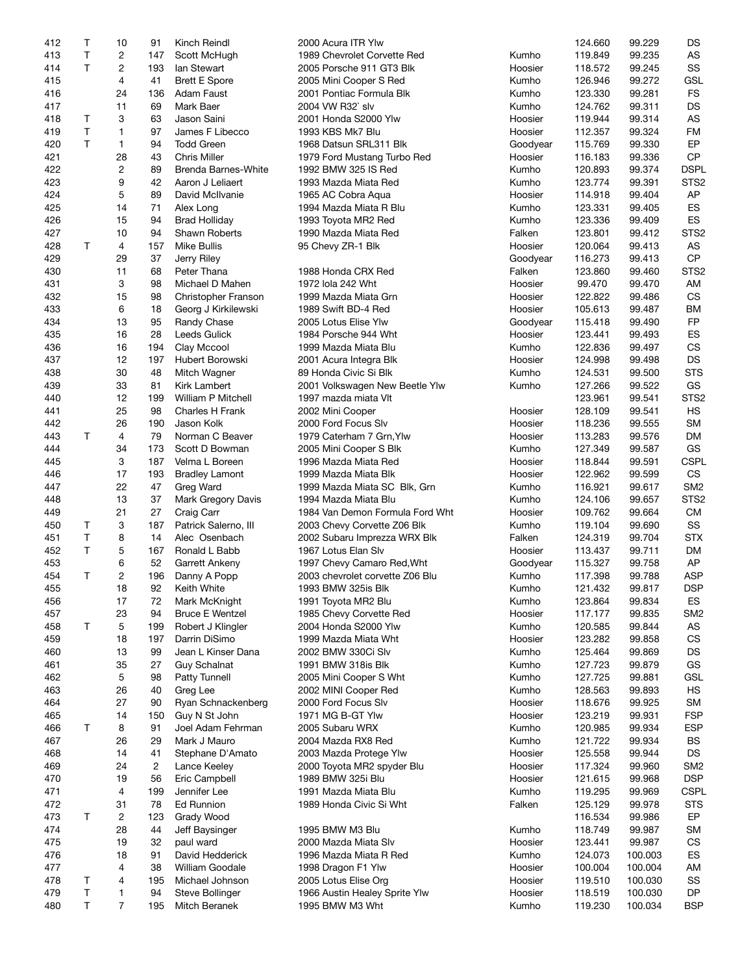| 412 | Т           | 10             | 91             | Kinch Reindl               | 2000 Acura ITR Ylw              |          | 124.660 | 99.229  | DS               |
|-----|-------------|----------------|----------------|----------------------------|---------------------------------|----------|---------|---------|------------------|
| 413 | Τ           | 2              | 147            | Scott McHugh               | 1989 Chevrolet Corvette Red     | Kumho    | 119.849 | 99.235  | AS               |
| 414 | T           | 2              | 193            | lan Stewart                | 2005 Porsche 911 GT3 Blk        | Hoosier  | 118.572 | 99.245  | SS               |
| 415 |             | $\overline{4}$ | 41             | <b>Brett E Spore</b>       | 2005 Mini Cooper S Red          | Kumho    | 126.946 | 99.272  | <b>GSL</b>       |
|     |             |                |                |                            |                                 |          |         |         | <b>FS</b>        |
| 416 |             | 24             | 136            | Adam Faust                 | 2001 Pontiac Formula Blk        | Kumho    | 123.330 | 99.281  |                  |
| 417 |             | 11             | 69             | Mark Baer                  | 2004 VW R32` slv                | Kumho    | 124.762 | 99.311  | DS               |
| 418 | T           | 3              | 63             | Jason Saini                | 2001 Honda S2000 Ylw            | Hoosier  | 119.944 | 99.314  | AS               |
| 419 | T           | 1              | 97             | James F Libecco            | 1993 KBS Mk7 Blu                | Hoosier  | 112.357 | 99.324  | FM               |
| 420 | T           | 1              | 94             | <b>Todd Green</b>          | 1968 Datsun SRL311 Blk          | Goodyear | 115.769 | 99.330  | EP               |
| 421 |             | 28             | 43             | Chris Miller               | 1979 Ford Mustang Turbo Red     | Hoosier  | 116.183 | 99.336  | <b>CP</b>        |
| 422 |             | $\overline{c}$ | 89             | <b>Brenda Barnes-White</b> | 1992 BMW 325 IS Red             | Kumho    | 120.893 | 99.374  | <b>DSPL</b>      |
| 423 |             | 9              | 42             | Aaron J Leliaert           | 1993 Mazda Miata Red            | Kumho    | 123.774 | 99.391  | STS <sub>2</sub> |
|     |             |                |                |                            |                                 |          |         |         |                  |
| 424 |             | 5              | 89             | David McIlvanie            | 1965 AC Cobra Aqua              | Hoosier  | 114.918 | 99.404  | AP               |
| 425 |             | 14             | 71             | Alex Long                  | 1994 Mazda Miata R Blu          | Kumho    | 123.331 | 99.405  | ES               |
| 426 |             | 15             | 94             | <b>Brad Holliday</b>       | 1993 Toyota MR2 Red             | Kumho    | 123.336 | 99.409  | ES               |
| 427 |             | 10             | 94             | Shawn Roberts              | 1990 Mazda Miata Red            | Falken   | 123.801 | 99.412  | STS <sub>2</sub> |
| 428 | Т           | 4              | 157            | <b>Mike Bullis</b>         | 95 Chevy ZR-1 Blk               | Hoosier  | 120.064 | 99.413  | AS               |
| 429 |             | 29             | 37             | Jerry Riley                |                                 | Goodyear | 116.273 | 99.413  | CP               |
| 430 |             | 11             | 68             | Peter Thana                | 1988 Honda CRX Red              | Falken   | 123.860 | 99.460  | STS <sub>2</sub> |
| 431 |             | 3              | 98             | Michael D Mahen            | 1972 lola 242 Wht               | Hoosier  | 99.470  | 99.470  | AM               |
|     |             |                |                |                            |                                 |          |         |         |                  |
| 432 |             | 15             | 98             | Christopher Franson        | 1999 Mazda Miata Grn            | Hoosier  | 122.822 | 99.486  | <b>CS</b>        |
| 433 |             | 6              | 18             | Georg J Kirkilewski        | 1989 Swift BD-4 Red             | Hoosier  | 105.613 | 99.487  | BM               |
| 434 |             | 13             | 95             | Randy Chase                | 2005 Lotus Elise Ylw            | Goodyear | 115.418 | 99.490  | <b>FP</b>        |
| 435 |             | 16             | 28             | Leeds Gulick               | 1984 Porsche 944 Wht            | Hoosier  | 123.441 | 99.493  | ES               |
| 436 |             | 16             | 194            | Clay Mccool                | 1999 Mazda Miata Blu            | Kumho    | 122.836 | 99.497  | <b>CS</b>        |
| 437 |             | 12             | 197            | Hubert Borowski            | 2001 Acura Integra Blk          | Hoosier  | 124.998 | 99.498  | <b>DS</b>        |
| 438 |             | 30             | 48             |                            | 89 Honda Civic Si Blk           | Kumho    |         |         | <b>STS</b>       |
|     |             |                |                | Mitch Wagner               |                                 |          | 124.531 | 99.500  |                  |
| 439 |             | 33             | 81             | <b>Kirk Lambert</b>        | 2001 Volkswagen New Beetle Ylw  | Kumho    | 127.266 | 99.522  | GS               |
| 440 |             | 12             | 199            | William P Mitchell         | 1997 mazda miata VIt            |          | 123.961 | 99.541  | STS <sub>2</sub> |
| 441 |             | 25             | 98             | Charles H Frank            | 2002 Mini Cooper                | Hoosier  | 128.109 | 99.541  | <b>HS</b>        |
| 442 |             | 26             | 190            | Jason Kolk                 | 2000 Ford Focus Slv             | Hoosier  | 118.236 | 99.555  | <b>SM</b>        |
| 443 | T           | 4              | 79             | Norman C Beaver            | 1979 Caterham 7 Grn, Ylw        | Hoosier  | 113.283 | 99.576  | DM               |
| 444 |             | 34             | 173            | Scott D Bowman             | 2005 Mini Cooper S Blk          | Kumho    | 127.349 | 99.587  | GS               |
| 445 |             | 3              | 187            | Velma L Boreen             | 1996 Mazda Miata Red            | Hoosier  | 118.844 | 99.591  | <b>CSPL</b>      |
|     |             |                |                |                            |                                 |          |         |         |                  |
| 446 |             | 17             | 193            | <b>Bradley Lamont</b>      | 1999 Mazda Miata Blk            | Hoosier  | 122.962 | 99.599  | <b>CS</b>        |
| 447 |             | 22             | 47             | Greg Ward                  | 1999 Mazda Miata SC Blk, Grn    | Kumho    | 116.921 | 99.617  | SM <sub>2</sub>  |
| 448 |             | 13             | 37             | Mark Gregory Davis         | 1994 Mazda Miata Blu            | Kumho    | 124.106 | 99.657  | STS <sub>2</sub> |
| 449 |             | 21             | 27             | Craig Carr                 | 1984 Van Demon Formula Ford Wht | Hoosier  | 109.762 | 99.664  | <b>CM</b>        |
| 450 | Τ           | 3              | 187            | Patrick Salerno, III       | 2003 Chevy Corvette Z06 Blk     | Kumho    | 119.104 | 99.690  | SS               |
| 451 | $\mathsf T$ | 8              | 14             | Alec Osenbach              | 2002 Subaru Imprezza WRX Blk    | Falken   | 124.319 | 99.704  | <b>STX</b>       |
| 452 | T           | 5              | 167            | Ronald L Babb              | 1967 Lotus Elan Slv             | Hoosier  | 113.437 | 99.711  | DM               |
|     |             |                |                |                            |                                 |          |         |         |                  |
| 453 |             | 6              | 52             | Garrett Ankeny             | 1997 Chevy Camaro Red, Wht      | Goodyear | 115.327 | 99.758  | AP               |
| 454 | T           | $\overline{c}$ | 196            | Danny A Popp               | 2003 chevrolet corvette Z06 Blu | Kumho    | 117.398 | 99.788  | <b>ASP</b>       |
| 455 |             | 18             | 92             | Keith White                | 1993 BMW 325is Blk              | Kumho    | 121.432 | 99.817  | <b>DSP</b>       |
| 456 |             | 17             | 72             | Mark McKnight              | 1991 Toyota MR2 Blu             | Kumho    | 123.864 | 99.834  | ES               |
| 457 |             | 23             | 94             | <b>Bruce E Wentzel</b>     | 1985 Chevy Corvette Red         | Hoosier  | 117.177 | 99.835  | SM <sub>2</sub>  |
| 458 | T           | 5              | 199            | Robert J Klingler          | 2004 Honda S2000 Ylw            | Kumho    | 120.585 | 99.844  | AS               |
| 459 |             | 18             | 197            | Darrin DiSimo              | 1999 Mazda Miata Wht            | Hoosier  | 123.282 | 99.858  | CS               |
|     |             |                |                |                            |                                 |          |         |         |                  |
| 460 |             | 13             | 99             | Jean L Kinser Dana         | 2002 BMW 330Ci Slv              | Kumho    | 125.464 | 99.869  | DS               |
| 461 |             | 35             | 27             | Guy Schalnat               | 1991 BMW 318is Blk              | Kumho    | 127.723 | 99.879  | GS               |
| 462 |             | 5              | 98             | <b>Patty Tunnell</b>       | 2005 Mini Cooper S Wht          | Kumho    | 127.725 | 99.881  | <b>GSL</b>       |
| 463 |             | 26             | 40             | Greg Lee                   | 2002 MINI Cooper Red            | Kumho    | 128.563 | 99.893  | HS               |
| 464 |             | 27             | 90             | Ryan Schnackenberg         | 2000 Ford Focus Slv             | Hoosier  | 118.676 | 99.925  | <b>SM</b>        |
| 465 |             | 14             | 150            | Guy N St John              | 1971 MG B-GT Ylw                | Hoosier  | 123.219 | 99.931  | <b>FSP</b>       |
| 466 | Т           | 8              | 91             | Joel Adam Fehrman          | 2005 Subaru WRX                 | Kumho    | 120.985 | 99.934  | <b>ESP</b>       |
|     |             |                |                |                            |                                 |          |         |         |                  |
| 467 |             | 26             | 29             | Mark J Mauro               | 2004 Mazda RX8 Red              | Kumho    | 121.722 | 99.934  | <b>BS</b>        |
| 468 |             | 14             | 41             | Stephane D'Amato           | 2003 Mazda Protege Ylw          | Hoosier  | 125.558 | 99.944  | DS               |
| 469 |             | 24             | $\overline{c}$ | Lance Keeley               | 2000 Toyota MR2 spyder Blu      | Hoosier  | 117.324 | 99.960  | SM <sub>2</sub>  |
| 470 |             | 19             | 56             | Eric Campbell              | 1989 BMW 325i Blu               | Hoosier  | 121.615 | 99.968  | <b>DSP</b>       |
| 471 |             | 4              | 199            | Jennifer Lee               | 1991 Mazda Miata Blu            | Kumho    | 119.295 | 99.969  | <b>CSPL</b>      |
| 472 |             | 31             | 78             | Ed Runnion                 | 1989 Honda Civic Si Wht         | Falken   | 125.129 | 99.978  | <b>STS</b>       |
|     |             |                |                |                            |                                 |          |         |         |                  |
| 473 | Τ           | 2              | 123            | Grady Wood                 |                                 |          | 116.534 | 99.986  | EP               |
| 474 |             | 28             | 44             | Jeff Baysinger             | 1995 BMW M3 Blu                 | Kumho    | 118.749 | 99.987  | SM               |
| 475 |             | 19             | 32             | paul ward                  | 2000 Mazda Miata Slv            | Hoosier  | 123.441 | 99.987  | CS               |
| 476 |             | 18             | 91             | David Hedderick            | 1996 Mazda Miata R Red          | Kumho    | 124.073 | 100.003 | ES               |
| 477 |             | 4              | 38             | William Goodale            | 1998 Dragon F1 Ylw              | Hoosier  | 100.004 | 100.004 | AM               |
| 478 | Т           | 4              | 195            | Michael Johnson            | 2005 Lotus Elise Org            | Hoosier  | 119.510 | 100.030 | SS               |
| 479 | Τ           | 1              | 94             | <b>Steve Bollinger</b>     | 1966 Austin Healey Sprite Ylw   | Hoosier  | 118.519 | 100.030 | DP               |
|     |             |                |                |                            |                                 |          |         |         |                  |
| 480 | Τ           | 7              | 195            | Mitch Beranek              | 1995 BMW M3 Wht                 | Kumho    | 119.230 | 100.034 | <b>BSP</b>       |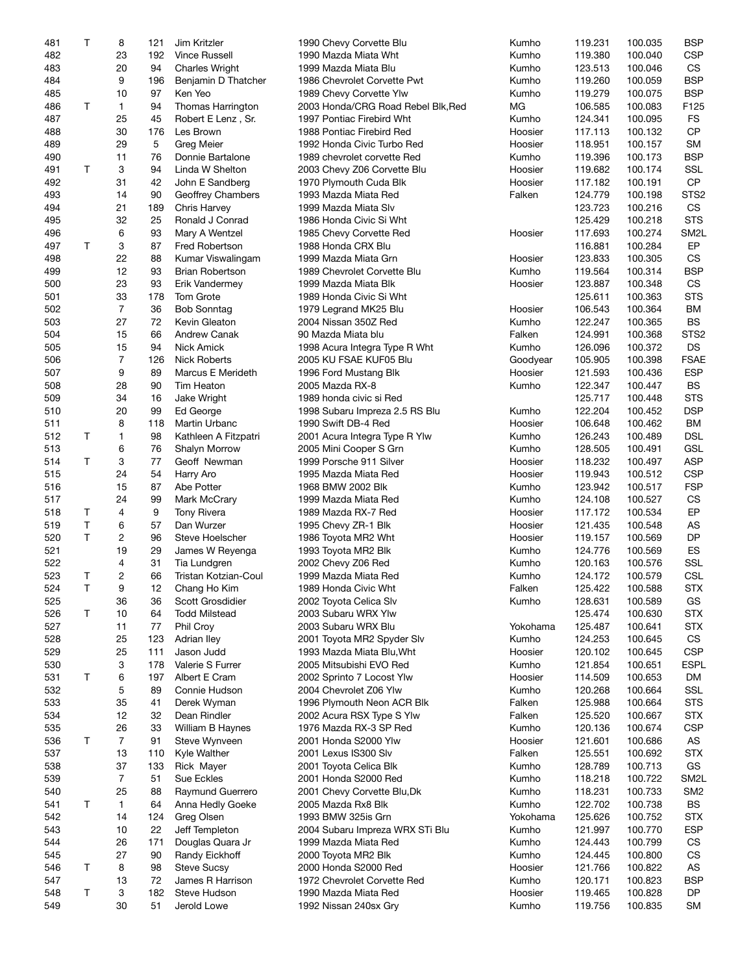| 481 | Т  | 8              | 121 | Jim Kritzler           | 1990 Chevy Corvette Blu            | Kumho    | 119.231 | 100.035 | <b>BSP</b>        |
|-----|----|----------------|-----|------------------------|------------------------------------|----------|---------|---------|-------------------|
| 482 |    | 23             | 192 | <b>Vince Russell</b>   | 1990 Mazda Miata Wht               | Kumho    | 119.380 | 100.040 | <b>CSP</b>        |
| 483 |    | 20             | 94  | <b>Charles Wright</b>  | 1999 Mazda Miata Blu               | Kumho    | 123.513 | 100.046 | <b>CS</b>         |
| 484 |    | 9              | 196 | Benjamin D Thatcher    | 1986 Chevrolet Corvette Pwt        | Kumho    | 119.260 | 100.059 | <b>BSP</b>        |
|     |    |                |     |                        |                                    |          |         |         | <b>BSP</b>        |
| 485 |    | 10             | 97  | Ken Yeo                | 1989 Chevy Corvette Ylw            | Kumho    | 119.279 | 100.075 |                   |
| 486 | T  | $\mathbf{1}$   | 94  | Thomas Harrington      | 2003 Honda/CRG Road Rebel Blk, Red | МG       | 106.585 | 100.083 | F125              |
| 487 |    | 25             | 45  | Robert E Lenz, Sr.     | 1997 Pontiac Firebird Wht          | Kumho    | 124.341 | 100.095 | <b>FS</b>         |
| 488 |    | 30             | 176 | Les Brown              | 1988 Pontiac Firebird Red          | Hoosier  | 117.113 | 100.132 | CP                |
| 489 |    | 29             | 5   | Greg Meier             | 1992 Honda Civic Turbo Red         | Hoosier  | 118.951 | 100.157 | <b>SM</b>         |
| 490 |    | 11             | 76  | Donnie Bartalone       | 1989 chevrolet corvette Red        | Kumho    | 119.396 | 100.173 | <b>BSP</b>        |
| 491 | T. | 3              | 94  | Linda W Shelton        | 2003 Chevy Z06 Corvette Blu        | Hoosier  | 119.682 | 100.174 | SSL               |
| 492 |    | 31             | 42  | John E Sandberg        | 1970 Plymouth Cuda Blk             | Hoosier  | 117.182 | 100.191 | <b>CP</b>         |
|     |    |                |     |                        |                                    |          |         |         |                   |
| 493 |    | 14             | 90  | Geoffrey Chambers      | 1993 Mazda Miata Red               | Falken   | 124.779 | 100.198 | STS <sub>2</sub>  |
| 494 |    | 21             | 189 | Chris Harvey           | 1999 Mazda Miata Slv               |          | 123.723 | 100.216 | CS                |
| 495 |    | 32             | 25  | Ronald J Conrad        | 1986 Honda Civic Si Wht            |          | 125.429 | 100.218 | <b>STS</b>        |
| 496 |    | 6              | 93  | Mary A Wentzel         | 1985 Chevy Corvette Red            | Hoosier  | 117.693 | 100.274 | SM <sub>2</sub> L |
| 497 | Τ  | 3              | 87  | <b>Fred Robertson</b>  | 1988 Honda CRX Blu                 |          | 116.881 | 100.284 | EP                |
| 498 |    | 22             | 88  | Kumar Viswalingam      | 1999 Mazda Miata Grn               | Hoosier  | 123.833 | 100.305 | <b>CS</b>         |
| 499 |    | 12             | 93  | <b>Brian Robertson</b> | 1989 Chevrolet Corvette Blu        | Kumho    | 119.564 | 100.314 | <b>BSP</b>        |
| 500 |    | 23             | 93  | Erik Vandermey         | 1999 Mazda Miata Blk               | Hoosier  | 123.887 | 100.348 | CS                |
|     |    |                |     |                        |                                    |          |         |         |                   |
| 501 |    | 33             | 178 | Tom Grote              | 1989 Honda Civic Si Wht            |          | 125.611 | 100.363 | <b>STS</b>        |
| 502 |    | $\overline{7}$ | 36  | <b>Bob Sonntag</b>     | 1979 Legrand MK25 Blu              | Hoosier  | 106.543 | 100.364 | <b>BM</b>         |
| 503 |    | 27             | 72  | Kevin Gleaton          | 2004 Nissan 350Z Red               | Kumho    | 122.247 | 100.365 | BS                |
| 504 |    | 15             | 66  | <b>Andrew Canak</b>    | 90 Mazda Miata blu                 | Falken   | 124.991 | 100.368 | STS <sub>2</sub>  |
| 505 |    | 15             | 94  | Nick Amick             | 1998 Acura Integra Type R Wht      | Kumho    | 126.096 | 100.372 | DS                |
| 506 |    | 7              | 126 | <b>Nick Roberts</b>    | 2005 KU FSAE KUF05 Blu             | Goodyear | 105.905 | 100.398 | <b>FSAE</b>       |
| 507 |    | 9              | 89  | Marcus E Merideth      | 1996 Ford Mustang Blk              | Hoosier  | 121.593 | 100.436 | <b>ESP</b>        |
|     |    |                |     |                        |                                    |          |         |         |                   |
| 508 |    | 28             | 90  | Tim Heaton             | 2005 Mazda RX-8                    | Kumho    | 122.347 | 100.447 | <b>BS</b>         |
| 509 |    | 34             | 16  | Jake Wright            | 1989 honda civic si Red            |          | 125.717 | 100.448 | <b>STS</b>        |
| 510 |    | 20             | 99  | Ed George              | 1998 Subaru Impreza 2.5 RS Blu     | Kumho    | 122.204 | 100.452 | <b>DSP</b>        |
| 511 |    | 8              | 118 | Martin Urbanc          | 1990 Swift DB-4 Red                | Hoosier  | 106.648 | 100.462 | <b>BM</b>         |
| 512 | T  | 1              | 98  | Kathleen A Fitzpatri   | 2001 Acura Integra Type R Ylw      | Kumho    | 126.243 | 100.489 | <b>DSL</b>        |
| 513 |    | 6              | 76  | Shalyn Morrow          | 2005 Mini Cooper S Grn             | Kumho    | 128.505 | 100.491 | <b>GSL</b>        |
| 514 | T  | 3              | 77  | Geoff Newman           | 1999 Porsche 911 Silver            | Hoosier  | 118.232 | 100.497 | <b>ASP</b>        |
|     |    |                | 54  |                        |                                    |          |         |         | <b>CSP</b>        |
| 515 |    | 24             |     | Harry Aro              | 1995 Mazda Miata Red               | Hoosier  | 119.943 | 100.512 |                   |
| 516 |    | 15             | 87  | Abe Potter             | 1968 BMW 2002 Blk                  | Kumho    | 123.942 | 100.517 | <b>FSP</b>        |
| 517 |    | 24             | 99  | Mark McCrary           | 1999 Mazda Miata Red               | Kumho    | 124.108 | 100.527 | CS                |
| 518 | Τ  | 4              | 9   | <b>Tony Rivera</b>     | 1989 Mazda RX-7 Red                | Hoosier  | 117.172 | 100.534 | EP                |
| 519 | T  | 6              | 57  | Dan Wurzer             | 1995 Chevy ZR-1 Blk                | Hoosier  | 121.435 | 100.548 | <b>AS</b>         |
| 520 | T. | $\overline{c}$ | 96  | Steve Hoelscher        | 1986 Toyota MR2 Wht                | Hoosier  | 119.157 | 100.569 | <b>DP</b>         |
| 521 |    | 19             | 29  | James W Reyenga        | 1993 Toyota MR2 Blk                | Kumho    | 124.776 | 100.569 | ES                |
|     |    |                |     |                        |                                    |          |         |         |                   |
| 522 |    | 4              | 31  | Tia Lundgren           | 2002 Chevy Z06 Red                 | Kumho    | 120.163 | 100.576 | SSL               |
| 523 | Τ  | $\overline{c}$ | 66  | Tristan Kotzian-Coul   | 1999 Mazda Miata Red               | Kumho    | 124.172 | 100.579 | <b>CSL</b>        |
| 524 | T. | 9              | 12  | Chang Ho Kim           | 1989 Honda Civic Wht               | Falken   | 125.422 | 100.588 | <b>STX</b>        |
| 525 |    | 36             | 36  | Scott Grosdidier       | 2002 Toyota Celica Slv             | Kumho    | 128.631 | 100.589 | GS                |
| 526 | Τ  | 10             | 64  | <b>Todd Milstead</b>   | 2003 Subaru WRX Ylw                |          | 125.474 | 100.630 | <b>STX</b>        |
| 527 |    | 11             | 77  | Phil Croy              | 2003 Subaru WRX Blu                | Yokohama | 125.487 | 100.641 | <b>STX</b>        |
| 528 |    | 25             | 123 | Adrian Iley            | 2001 Toyota MR2 Spyder Slv         | Kumho    | 124.253 | 100.645 | CS                |
|     |    | 25             |     | Jason Judd             |                                    |          | 120.102 | 100.645 | <b>CSP</b>        |
| 529 |    |                | 111 |                        | 1993 Mazda Miata Blu, Wht          | Hoosier  |         |         |                   |
| 530 |    | 3              | 178 | Valerie S Furrer       | 2005 Mitsubishi EVO Red            | Kumho    | 121.854 | 100.651 | <b>ESPL</b>       |
| 531 | Τ  | 6              | 197 | Albert E Cram          | 2002 Sprinto 7 Locost Ylw          | Hoosier  | 114.509 | 100.653 | DM                |
| 532 |    | 5              | 89  | Connie Hudson          | 2004 Chevrolet Z06 Ylw             | Kumho    | 120.268 | 100.664 | <b>SSL</b>        |
| 533 |    | 35             | 41  | Derek Wyman            | 1996 Plymouth Neon ACR Blk         | Falken   | 125.988 | 100.664 | <b>STS</b>        |
| 534 |    | 12             | 32  | Dean Rindler           | 2002 Acura RSX Type S Ylw          | Falken   | 125.520 | 100.667 | <b>STX</b>        |
| 535 |    | 26             | 33  | William B Haynes       | 1976 Mazda RX-3 SP Red             | Kumho    | 120.136 | 100.674 | <b>CSP</b>        |
|     |    |                |     |                        |                                    |          |         |         |                   |
| 536 | Τ  | 7              | 91  | Steve Wynveen          | 2001 Honda S2000 Ylw               | Hoosier  | 121.601 | 100.686 | AS                |
| 537 |    | 13             | 110 | Kyle Walther           | 2001 Lexus IS300 Slv               | Falken   | 125.551 | 100.692 | <b>STX</b>        |
| 538 |    | 37             | 133 | Rick Mayer             | 2001 Toyota Celica Blk             | Kumho    | 128.789 | 100.713 | GS                |
| 539 |    | 7              | 51  | Sue Eckles             | 2001 Honda S2000 Red               | Kumho    | 118.218 | 100.722 | SM <sub>2</sub> L |
| 540 |    | 25             | 88  | Raymund Guerrero       | 2001 Chevy Corvette Blu, Dk        | Kumho    | 118.231 | 100.733 | SM <sub>2</sub>   |
| 541 | T  | 1              | 64  | Anna Hedly Goeke       | 2005 Mazda Rx8 Blk                 | Kumho    | 122.702 | 100.738 | BS                |
| 542 |    | 14             | 124 | Greg Olsen             | 1993 BMW 325is Grn                 | Yokohama | 125.626 | 100.752 | <b>STX</b>        |
|     |    |                |     |                        |                                    |          |         |         |                   |
| 543 |    | 10             | 22  | Jeff Templeton         | 2004 Subaru Impreza WRX STi Blu    | Kumho    | 121.997 | 100.770 | <b>ESP</b>        |
| 544 |    | 26             | 171 | Douglas Quara Jr       | 1999 Mazda Miata Red               | Kumho    | 124.443 | 100.799 | CS                |
| 545 |    | 27             | 90  | Randy Eickhoff         | 2000 Toyota MR2 Blk                | Kumho    | 124.445 | 100.800 | CS                |
| 546 | Τ  | 8              | 98  | <b>Steve Sucsy</b>     | 2000 Honda S2000 Red               | Hoosier  | 121.766 | 100.822 | AS                |
| 547 |    | 13             | 72  | James R Harrison       | 1972 Chevrolet Corvette Red        | Kumho    | 120.171 | 100.823 | <b>BSP</b>        |
| 548 | Τ  | 3              | 182 | Steve Hudson           | 1990 Mazda Miata Red               | Hoosier  | 119.465 | 100.828 | DP                |
|     |    |                |     | Jerold Lowe            | 1992 Nissan 240sx Gry              | Kumho    |         |         | <b>SM</b>         |
| 549 |    | 30             | 51  |                        |                                    |          | 119.756 | 100.835 |                   |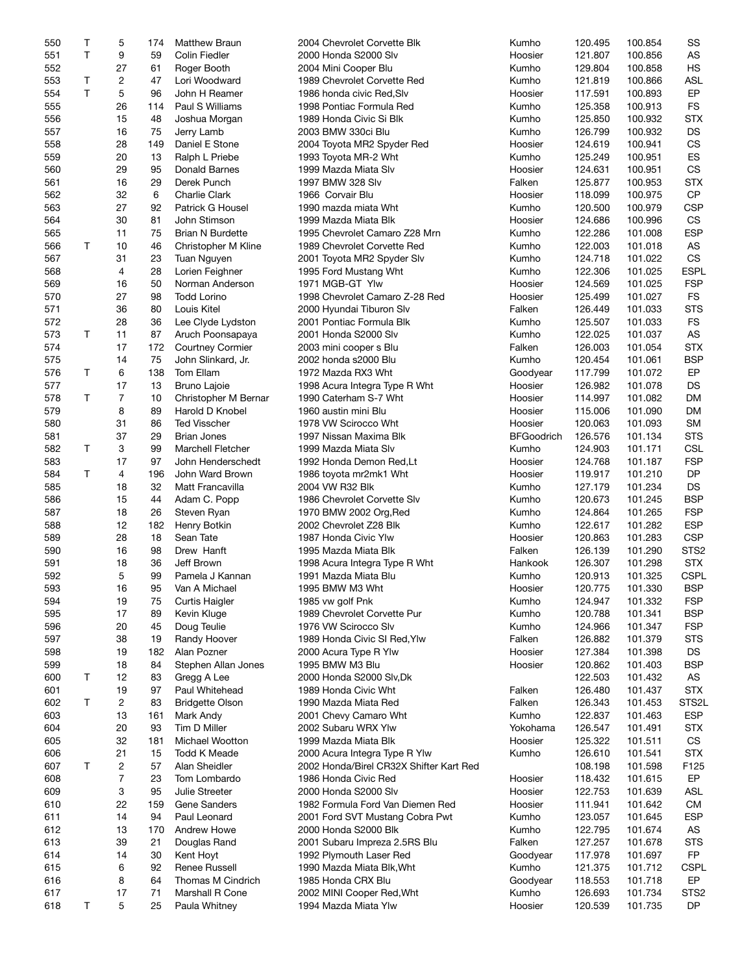| 550 | Τ  | 5              | 174 | <b>Matthew Braun</b>    | 2004 Chevrolet Corvette Blk             | Kumho             | 120.495 | 100.854 | SS               |
|-----|----|----------------|-----|-------------------------|-----------------------------------------|-------------------|---------|---------|------------------|
| 551 | T. | 9              | 59  | Colin Fiedler           | 2000 Honda S2000 Slv                    | Hoosier           | 121.807 | 100.856 | AS               |
| 552 |    | 27             | 61  | Roger Booth             | 2004 Mini Cooper Blu                    | Kumho             | 129.804 | 100.858 | <b>HS</b>        |
| 553 | Τ  | 2              | 47  | Lori Woodward           | 1989 Chevrolet Corvette Red             | Kumho             | 121.819 | 100.866 | <b>ASL</b>       |
|     |    |                |     |                         |                                         |                   |         |         |                  |
| 554 | T. | 5              | 96  | John H Reamer           | 1986 honda civic Red, Slv               | Hoosier           | 117.591 | 100.893 | EP               |
| 555 |    | 26             | 114 | Paul S Williams         | 1998 Pontiac Formula Red                | Kumho             | 125.358 | 100.913 | <b>FS</b>        |
| 556 |    | 15             | 48  | Joshua Morgan           | 1989 Honda Civic Si Blk                 | Kumho             | 125.850 | 100.932 | <b>STX</b>       |
| 557 |    | 16             | 75  | Jerry Lamb              | 2003 BMW 330ci Blu                      | Kumho             | 126.799 | 100.932 | <b>DS</b>        |
| 558 |    | 28             | 149 | Daniel E Stone          | 2004 Toyota MR2 Spyder Red              | Hoosier           | 124.619 | 100.941 | CS               |
| 559 |    | 20             | 13  | Ralph L Priebe          | 1993 Toyota MR-2 Wht                    | Kumho             | 125.249 | 100.951 | <b>ES</b>        |
| 560 |    | 29             | 95  | Donald Barnes           | 1999 Mazda Miata Slv                    | Hoosier           | 124.631 | 100.951 | <b>CS</b>        |
| 561 |    | 16             | 29  | Derek Punch             | 1997 BMW 328 Slv                        | Falken            | 125.877 | 100.953 | <b>STX</b>       |
|     |    |                | 6   | <b>Charlie Clark</b>    | 1966 Corvair Blu                        | Hoosier           |         |         | CP               |
| 562 |    | 32             |     |                         |                                         |                   | 118.099 | 100.975 |                  |
| 563 |    | 27             | 92  | Patrick G Housel        | 1990 mazda miata Wht                    | Kumho             | 120.500 | 100.979 | <b>CSP</b>       |
| 564 |    | 30             | 81  | John Stimson            | 1999 Mazda Miata Blk                    | Hoosier           | 124.686 | 100.996 | CS               |
| 565 |    | 11             | 75  | <b>Brian N Burdette</b> | 1995 Chevrolet Camaro Z28 Mrn           | Kumho             | 122.286 | 101.008 | <b>ESP</b>       |
| 566 | Т  | 10             | 46  | Christopher M Kline     | 1989 Chevrolet Corvette Red             | Kumho             | 122.003 | 101.018 | AS               |
| 567 |    | 31             | 23  | Tuan Nguyen             | 2001 Toyota MR2 Spyder Slv              | Kumho             | 124.718 | 101.022 | <b>CS</b>        |
| 568 |    | 4              | 28  | Lorien Feighner         | 1995 Ford Mustang Wht                   | Kumho             | 122.306 | 101.025 | <b>ESPL</b>      |
| 569 |    | 16             | 50  | Norman Anderson         | 1971 MGB-GT Ylw                         | Hoosier           | 124.569 | 101.025 | <b>FSP</b>       |
| 570 |    | 27             | 98  | <b>Todd Lorino</b>      | 1998 Chevrolet Camaro Z-28 Red          | Hoosier           | 125.499 | 101.027 | <b>FS</b>        |
| 571 |    | 36             | 80  | Louis Kitel             |                                         | Falken            |         |         | <b>STS</b>       |
|     |    |                |     |                         | 2000 Hyundai Tiburon Slv                |                   | 126.449 | 101.033 |                  |
| 572 |    | 28             | 36  | Lee Clyde Lydston       | 2001 Pontiac Formula Blk                | Kumho             | 125.507 | 101.033 | <b>FS</b>        |
| 573 | Τ  | 11             | 87  | Aruch Poonsapaya        | 2001 Honda S2000 Slv                    | Kumho             | 122.025 | 101.037 | AS               |
| 574 |    | 17             | 172 | <b>Courtney Cormier</b> | 2003 mini cooper s Blu                  | Falken            | 126.003 | 101.054 | <b>STX</b>       |
| 575 |    | 14             | 75  | John Slinkard, Jr.      | 2002 honda s2000 Blu                    | Kumho             | 120.454 | 101.061 | <b>BSP</b>       |
| 576 | T  | 6              | 138 | Tom Ellam               | 1972 Mazda RX3 Wht                      | Goodyear          | 117.799 | 101.072 | EP               |
| 577 |    | 17             | 13  | <b>Bruno Lajoie</b>     | 1998 Acura Integra Type R Wht           | Hoosier           | 126.982 | 101.078 | DS               |
| 578 | T  | $\overline{7}$ | 10  | Christopher M Bernar    | 1990 Caterham S-7 Wht                   | Hoosier           | 114.997 | 101.082 | DM               |
| 579 |    | 8              | 89  | Harold D Knobel         | 1960 austin mini Blu                    | Hoosier           | 115.006 | 101.090 | DM               |
|     |    | 31             | 86  |                         |                                         |                   |         |         | SM               |
| 580 |    |                |     | <b>Ted Visscher</b>     | 1978 VW Scirocco Wht                    | Hoosier           | 120.063 | 101.093 |                  |
| 581 |    | 37             | 29  | <b>Brian Jones</b>      | 1997 Nissan Maxima Blk                  | <b>BFGoodrich</b> | 126.576 | 101.134 | <b>STS</b>       |
| 582 | Τ  | 3              | 99  | Marchell Fletcher       | 1999 Mazda Miata Slv                    | Kumho             | 124.903 | 101.171 | <b>CSL</b>       |
| 583 |    | 17             | 97  | John Henderschedt       | 1992 Honda Demon Red, Lt                | Hoosier           | 124.768 | 101.187 | <b>FSP</b>       |
| 584 | T  | 4              | 196 | John Ward Brown         | 1986 toyota mr2mk1 Wht                  | Hoosier           | 119.917 | 101.210 | <b>DP</b>        |
| 585 |    | 18             | 32  | Matt Francavilla        | 2004 VW R32 Blk                         | Kumho             | 127.179 | 101.234 | DS               |
| 586 |    | 15             | 44  | Adam C. Popp            | 1986 Chevrolet Corvette Slv             | Kumho             | 120.673 | 101.245 | <b>BSP</b>       |
| 587 |    | 18             | 26  | Steven Ryan             | 1970 BMW 2002 Org, Red                  | Kumho             | 124.864 | 101.265 | <b>FSP</b>       |
| 588 |    | 12             | 182 | Henry Botkin            | 2002 Chevrolet Z28 Blk                  | Kumho             | 122.617 | 101.282 | <b>ESP</b>       |
|     |    |                |     |                         | 1987 Honda Civic Ylw                    |                   |         |         |                  |
| 589 |    | 28             | 18  | Sean Tate               |                                         | Hoosier           | 120.863 | 101.283 | <b>CSP</b>       |
| 590 |    | 16             | 98  | Drew Hanft              | 1995 Mazda Miata Blk                    | Falken            | 126.139 | 101.290 | STS <sub>2</sub> |
| 591 |    | 18             | 36  | Jeff Brown              | 1998 Acura Integra Type R Wht           | Hankook           | 126.307 | 101.298 | <b>STX</b>       |
| 592 |    | 5              | 99  | Pamela J Kannan         | 1991 Mazda Miata Blu                    | Kumho             | 120.913 | 101.325 | <b>CSPL</b>      |
| 593 |    | 16             | 95  | Van A Michael           | 1995 BMW M3 Wht                         | Hoosier           | 120.775 | 101.330 | <b>BSP</b>       |
| 594 |    | 19             | 75  | Curtis Haigler          | 1985 vw golf Pnk                        | Kumho             | 124.947 | 101.332 | <b>FSP</b>       |
| 595 |    | 17             | 89  | Kevin Kluge             | 1989 Chevrolet Corvette Pur             | Kumho             | 120.788 | 101.341 | <b>BSP</b>       |
| 596 |    | 20             | 45  | Doug Teulie             | 1976 VW Scirocco Slv                    | Kumho             | 124.966 | 101.347 | <b>FSP</b>       |
| 597 |    | 38             | 19  | Randy Hoover            | 1989 Honda Civic SI Red, Ylw            | Falken            | 126.882 | 101.379 | <b>STS</b>       |
| 598 |    | 19             | 182 | Alan Pozner             | 2000 Acura Type R Ylw                   | Hoosier           | 127.384 | 101.398 | DS               |
|     |    |                |     |                         |                                         |                   |         |         |                  |
| 599 |    | 18             | 84  | Stephen Allan Jones     | 1995 BMW M3 Blu                         | Hoosier           | 120.862 | 101.403 | <b>BSP</b>       |
| 600 | Τ  | 12             | 83  | Gregg A Lee             | 2000 Honda S2000 Slv, Dk                |                   | 122.503 | 101.432 | AS               |
| 601 |    | 19             | 97  | Paul Whitehead          | 1989 Honda Civic Wht                    | Falken            | 126.480 | 101.437 | <b>STX</b>       |
| 602 | Т  | 2              | 83  | <b>Bridgette Olson</b>  | 1990 Mazda Miata Red                    | Falken            | 126.343 | 101.453 | STS2L            |
| 603 |    | 13             | 161 | Mark Andy               | 2001 Chevy Camaro Wht                   | Kumho             | 122.837 | 101.463 | <b>ESP</b>       |
| 604 |    | 20             | 93  | Tim D Miller            | 2002 Subaru WRX Ylw                     | Yokohama          | 126.547 | 101.491 | <b>STX</b>       |
| 605 |    | 32             | 181 | Michael Wootton         | 1999 Mazda Miata Blk                    | Hoosier           | 125.322 | 101.511 | CS               |
| 606 |    | 21             | 15  | Todd K Meade            | 2000 Acura Integra Type R Ylw           | Kumho             | 126.610 | 101.541 | <b>STX</b>       |
| 607 | Τ  | 2              | 57  | Alan Sheidler           | 2002 Honda/Birel CR32X Shifter Kart Red |                   | 108.198 | 101.598 | F125             |
|     |    |                |     |                         |                                         |                   |         |         |                  |
| 608 |    | 7              | 23  | Tom Lombardo            | 1986 Honda Civic Red                    | Hoosier           | 118.432 | 101.615 | EP               |
| 609 |    | 3              | 95  | Julie Streeter          | 2000 Honda S2000 Slv                    | Hoosier           | 122.753 | 101.639 | <b>ASL</b>       |
| 610 |    | 22             | 159 | Gene Sanders            | 1982 Formula Ford Van Diemen Red        | Hoosier           | 111.941 | 101.642 | <b>CM</b>        |
| 611 |    | 14             | 94  | Paul Leonard            | 2001 Ford SVT Mustang Cobra Pwt         | Kumho             | 123.057 | 101.645 | <b>ESP</b>       |
| 612 |    | 13             | 170 | <b>Andrew Howe</b>      | 2000 Honda S2000 Blk                    | Kumho             | 122.795 | 101.674 | AS               |
| 613 |    | 39             | 21  | Douglas Rand            | 2001 Subaru Impreza 2.5RS Blu           | Falken            | 127.257 | 101.678 | <b>STS</b>       |
| 614 |    | 14             | 30  | Kent Hoyt               | 1992 Plymouth Laser Red                 | Goodyear          | 117.978 | 101.697 | FP               |
| 615 |    | 6              | 92  | Renee Russell           | 1990 Mazda Miata Blk, Wht               | Kumho             | 121.375 | 101.712 | <b>CSPL</b>      |
| 616 |    | 8              | 64  | Thomas M Cindrich       | 1985 Honda CRX Blu                      | Goodyear          | 118.553 | 101.718 | EP               |
|     |    |                |     |                         |                                         |                   |         |         |                  |
| 617 |    | 17             | 71  | Marshall R Cone         | 2002 MINI Cooper Red, Wht               | Kumho             | 126.693 | 101.734 | STS <sub>2</sub> |
| 618 | Τ  | 5              | 25  | Paula Whitney           | 1994 Mazda Miata Ylw                    | Hoosier           | 120.539 | 101.735 | DP               |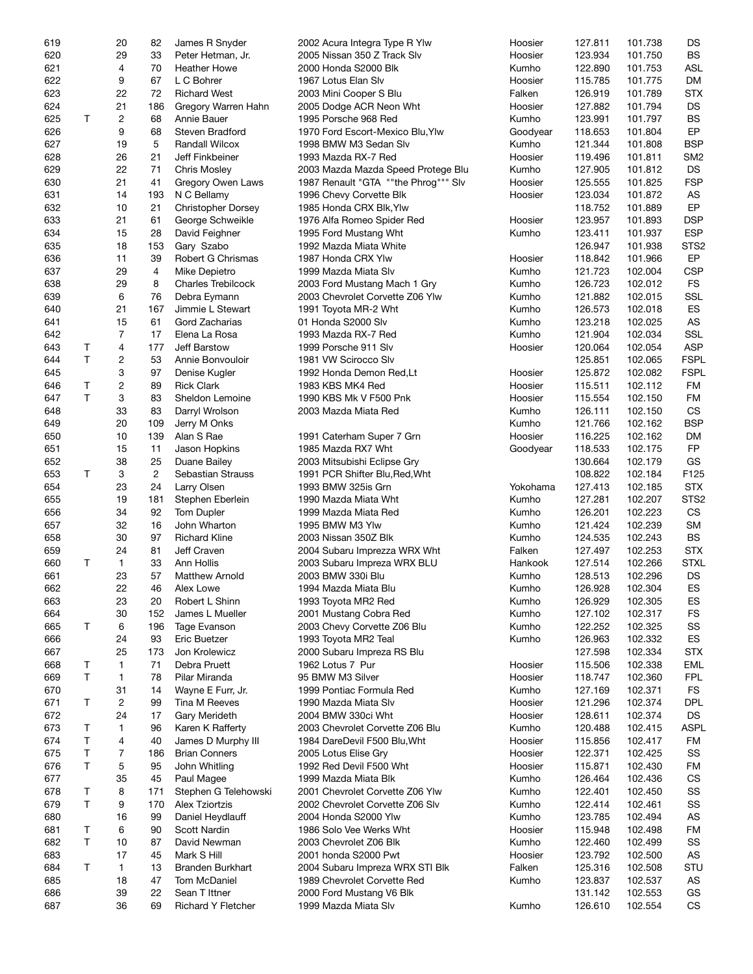| 619 |    | 20             | 82             | James R Snyder            | 2002 Acura Integra Type R Ylw        | Hoosier  | 127.811 | 101.738 | DS               |
|-----|----|----------------|----------------|---------------------------|--------------------------------------|----------|---------|---------|------------------|
| 620 |    | 29             | 33             | Peter Hetman, Jr.         | 2005 Nissan 350 Z Track Slv          | Hoosier  | 123.934 | 101.750 | <b>BS</b>        |
| 621 |    | 4              | 70             | <b>Heather Howe</b>       | 2000 Honda S2000 Blk                 | Kumho    | 122.890 | 101.753 | <b>ASL</b>       |
| 622 |    | 9              | 67             | L C Bohrer                | 1967 Lotus Elan Slv                  | Hoosier  | 115.785 | 101.775 | DM               |
|     |    |                |                |                           |                                      |          |         |         |                  |
| 623 |    | 22             | 72             | <b>Richard West</b>       | 2003 Mini Cooper S Blu               | Falken   | 126.919 | 101.789 | <b>STX</b>       |
| 624 |    | 21             | 186            | Gregory Warren Hahn       | 2005 Dodge ACR Neon Wht              | Hoosier  | 127.882 | 101.794 | <b>DS</b>        |
| 625 | T  | 2              | 68             | Annie Bauer               | 1995 Porsche 968 Red                 | Kumho    | 123.991 | 101.797 | <b>BS</b>        |
| 626 |    | 9              | 68             | Steven Bradford           | 1970 Ford Escort-Mexico Blu, Ylw     | Goodyear | 118.653 | 101.804 | EP               |
| 627 |    | 19             | 5              | Randall Wilcox            | 1998 BMW M3 Sedan Slv                | Kumho    | 121.344 | 101.808 | <b>BSP</b>       |
| 628 |    | 26             | 21             | Jeff Finkbeiner           | 1993 Mazda RX-7 Red                  | Hoosier  | 119.496 | 101.811 | SM <sub>2</sub>  |
| 629 |    | 22             | 71             | <b>Chris Mosley</b>       | 2003 Mazda Mazda Speed Protege Blu   | Kumho    | 127.905 | 101.812 | DS               |
| 630 |    | 21             | 41             | Gregory Owen Laws         | 1987 Renault "GTA ""the Phrog""" Slv | Hoosier  | 125.555 | 101.825 | <b>FSP</b>       |
|     |    |                |                |                           |                                      |          |         |         |                  |
| 631 |    | 14             | 193            | N C Bellamy               | 1996 Chevy Corvette Blk              | Hoosier  | 123.034 | 101.872 | AS               |
| 632 |    | 10             | 21             | <b>Christopher Dorsey</b> | 1985 Honda CRX Blk, Ylw              |          | 118.752 | 101.889 | EP               |
| 633 |    | 21             | 61             | George Schweikle          | 1976 Alfa Romeo Spider Red           | Hoosier  | 123.957 | 101.893 | <b>DSP</b>       |
| 634 |    | 15             | 28             | David Feighner            | 1995 Ford Mustang Wht                | Kumho    | 123.411 | 101.937 | <b>ESP</b>       |
| 635 |    | 18             | 153            | Gary Szabo                | 1992 Mazda Miata White               |          | 126.947 | 101.938 | STS <sub>2</sub> |
| 636 |    | 11             | 39             | Robert G Chrismas         | 1987 Honda CRX Ylw                   | Hoosier  | 118.842 | 101.966 | EP               |
| 637 |    | 29             | 4              | Mike Depietro             | 1999 Mazda Miata Slv                 | Kumho    | 121.723 | 102.004 | <b>CSP</b>       |
| 638 |    | 29             | 8              | <b>Charles Trebilcock</b> | 2003 Ford Mustang Mach 1 Gry         | Kumho    | 126.723 | 102.012 | <b>FS</b>        |
|     |    |                |                |                           |                                      |          |         |         |                  |
| 639 |    | 6              | 76             | Debra Eymann              | 2003 Chevrolet Corvette Z06 Ylw      | Kumho    | 121.882 | 102.015 | SSL              |
| 640 |    | 21             | 167            | Jimmie L Stewart          | 1991 Toyota MR-2 Wht                 | Kumho    | 126.573 | 102.018 | ES               |
| 641 |    | 15             | 61             | Gord Zacharias            | 01 Honda S2000 Slv                   | Kumho    | 123.218 | 102.025 | AS               |
| 642 |    | 7              | 17             | Elena La Rosa             | 1993 Mazda RX-7 Red                  | Kumho    | 121.904 | 102.034 | <b>SSL</b>       |
| 643 | Τ  | 4              | 177            | Jeff Barstow              | 1999 Porsche 911 Slv                 | Hoosier  | 120.064 | 102.054 | <b>ASP</b>       |
| 644 | T. | 2              | 53             | Annie Bonvouloir          | 1981 VW Scirocco Slv                 |          | 125.851 | 102.065 | <b>FSPL</b>      |
| 645 |    | 3              | 97             | Denise Kugler             | 1992 Honda Demon Red, Lt             | Hoosier  | 125.872 | 102.082 | <b>FSPL</b>      |
|     |    |                |                |                           |                                      |          |         |         |                  |
| 646 | Τ  | $\overline{c}$ | 89             | <b>Rick Clark</b>         | 1983 KBS MK4 Red                     | Hoosier  | 115.511 | 102.112 | FM               |
| 647 | T  | 3              | 83             | Sheldon Lemoine           | 1990 KBS Mk V F500 Pnk               | Hoosier  | 115.554 | 102.150 | FM               |
| 648 |    | 33             | 83             | Darryl Wrolson            | 2003 Mazda Miata Red                 | Kumho    | 126.111 | 102.150 | <b>CS</b>        |
| 649 |    | 20             | 109            | Jerry M Onks              |                                      | Kumho    | 121.766 | 102.162 | <b>BSP</b>       |
| 650 |    | 10             | 139            | Alan S Rae                | 1991 Caterham Super 7 Grn            | Hoosier  | 116.225 | 102.162 | DM               |
| 651 |    | 15             | 11             | Jason Hopkins             | 1985 Mazda RX7 Wht                   | Goodyear | 118.533 | 102.175 | <b>FP</b>        |
| 652 |    | 38             | 25             | Duane Bailey              | 2003 Mitsubishi Eclipse Gry          |          | 130.664 | 102.179 | GS               |
| 653 | Т  | 3              | $\overline{c}$ |                           |                                      |          | 108.822 | 102.184 | F125             |
|     |    |                |                | Sebastian Strauss         | 1991 PCR Shifter Blu, Red, Wht       |          |         |         |                  |
| 654 |    | 23             | 24             | Larry Olsen               | 1993 BMW 325is Grn                   | Yokohama | 127.413 | 102.185 | <b>STX</b>       |
| 655 |    | 19             | 181            | Stephen Eberlein          | 1990 Mazda Miata Wht                 | Kumho    | 127.281 | 102.207 | STS <sub>2</sub> |
| 656 |    | 34             | 92             | <b>Tom Dupler</b>         | 1999 Mazda Miata Red                 | Kumho    | 126.201 | 102.223 | CS               |
| 657 |    | 32             | 16             | John Wharton              | 1995 BMW M3 Ylw                      | Kumho    | 121.424 | 102.239 | SM               |
| 658 |    | 30             | 97             | <b>Richard Kline</b>      | 2003 Nissan 350Z Blk                 | Kumho    | 124.535 | 102.243 | <b>BS</b>        |
| 659 |    | 24             | 81             | Jeff Craven               | 2004 Subaru Imprezza WRX Wht         | Falken   | 127.497 | 102.253 | <b>STX</b>       |
| 660 | T  | 1              | 33             | Ann Hollis                | 2003 Subaru Impreza WRX BLU          | Hankook  | 127.514 | 102.266 | <b>STXL</b>      |
|     |    |                |                |                           |                                      |          |         |         |                  |
| 661 |    | 23             | 57             | <b>Matthew Arnold</b>     | 2003 BMW 330i Blu                    | Kumho    | 128.513 | 102.296 | DS               |
| 662 |    | 22             | 46             | Alex Lowe                 | 1994 Mazda Miata Blu                 | Kumho    | 126.928 | 102.304 | ES.              |
| 663 |    | 23             | 20             | Robert L Shinn            | 1993 Toyota MR2 Red                  | Kumho    | 126.929 | 102.305 | ES               |
| 664 |    | 30             | 152            | James L Mueller           | 2001 Mustang Cobra Red               | Kumho    | 127.102 | 102.317 | <b>FS</b>        |
| 665 | T  | 6              | 196            | Tage Evanson              | 2003 Chevy Corvette Z06 Blu          | Kumho    | 122.252 | 102.325 | SS               |
| 666 |    | 24             | 93             | Eric Buetzer              | 1993 Toyota MR2 Teal                 | Kumho    | 126.963 | 102.332 | ES               |
| 667 |    | 25             | 173            | Jon Krolewicz             | 2000 Subaru Impreza RS Blu           |          | 127.598 | 102.334 | <b>STX</b>       |
|     | Τ  |                | 71             | Debra Pruett              | 1962 Lotus 7 Pur                     |          |         | 102.338 |                  |
| 668 |    | 1              |                |                           |                                      | Hoosier  | 115.506 |         | EML              |
| 669 | T  | 1              | 78             | Pilar Miranda             | 95 BMW M3 Silver                     | Hoosier  | 118.747 | 102.360 | <b>FPL</b>       |
| 670 |    | 31             | 14             | Wayne E Furr, Jr.         | 1999 Pontiac Formula Red             | Kumho    | 127.169 | 102.371 | <b>FS</b>        |
| 671 | Т  | 2              | 99             | Tina M Reeves             | 1990 Mazda Miata Slv                 | Hoosier  | 121.296 | 102.374 | DPL              |
| 672 |    | 24             | 17             | Gary Merideth             | 2004 BMW 330ci Wht                   | Hoosier  | 128.611 | 102.374 | DS               |
| 673 | Т  | 1              | 96             | Karen K Rafferty          | 2003 Chevrolet Corvette Z06 Blu      | Kumho    | 120.488 | 102.415 | <b>ASPL</b>      |
| 674 | T  | 4              | 40             | James D Murphy III        | 1984 DareDevil F500 Blu, Wht         | Hoosier  | 115.856 | 102.417 | FM               |
|     | Τ  | 7              |                |                           |                                      |          |         |         | SS               |
| 675 |    |                | 186            | <b>Brian Conners</b>      | 2005 Lotus Elise Gry                 | Hoosier  | 122.371 | 102.425 |                  |
| 676 | T  | 5              | 95             | John Whitling             | 1992 Red Devil F500 Wht              | Hoosier  | 115.871 | 102.430 | FM               |
| 677 |    | 35             | 45             | Paul Magee                | 1999 Mazda Miata Blk                 | Kumho    | 126.464 | 102.436 | CS               |
| 678 | Т  | 8              | 171            | Stephen G Telehowski      | 2001 Chevrolet Corvette Z06 Ylw      | Kumho    | 122.401 | 102.450 | SS               |
| 679 | T. | 9              | 170            | Alex Tziortzis            | 2002 Chevrolet Corvette Z06 Slv      | Kumho    | 122.414 | 102.461 | SS               |
| 680 |    | 16             | 99             | Daniel Heydlauff          | 2004 Honda S2000 Ylw                 | Kumho    | 123.785 | 102.494 | AS               |
| 681 | Т  | 6              | 90             | Scott Nardin              | 1986 Solo Vee Werks Wht              | Hoosier  | 115.948 | 102.498 | FM               |
|     | T  |                |                |                           |                                      |          |         |         |                  |
| 682 |    | 10             | 87             | David Newman              | 2003 Chevrolet Z06 Blk               | Kumho    | 122.460 | 102.499 | SS               |
| 683 |    | 17             | 45             | Mark S Hill               | 2001 honda S2000 Pwt                 | Hoosier  | 123.792 | 102.500 | AS               |
| 684 | Τ  | 1              | 13             | Branden Burkhart          | 2004 Subaru Impreza WRX STI Blk      | Falken   | 125.316 | 102.508 | STU              |
| 685 |    | 18             | 47             | Tom McDaniel              | 1989 Chevrolet Corvette Red          | Kumho    | 123.837 | 102.537 | AS               |
| 686 |    | 39             | 22             | Sean T Ittner             | 2000 Ford Mustang V6 Blk             |          | 131.142 | 102.553 | GS               |
| 687 |    | 36             | 69             | <b>Richard Y Fletcher</b> | 1999 Mazda Miata Slv                 | Kumho    | 126.610 | 102.554 | CS               |
|     |    |                |                |                           |                                      |          |         |         |                  |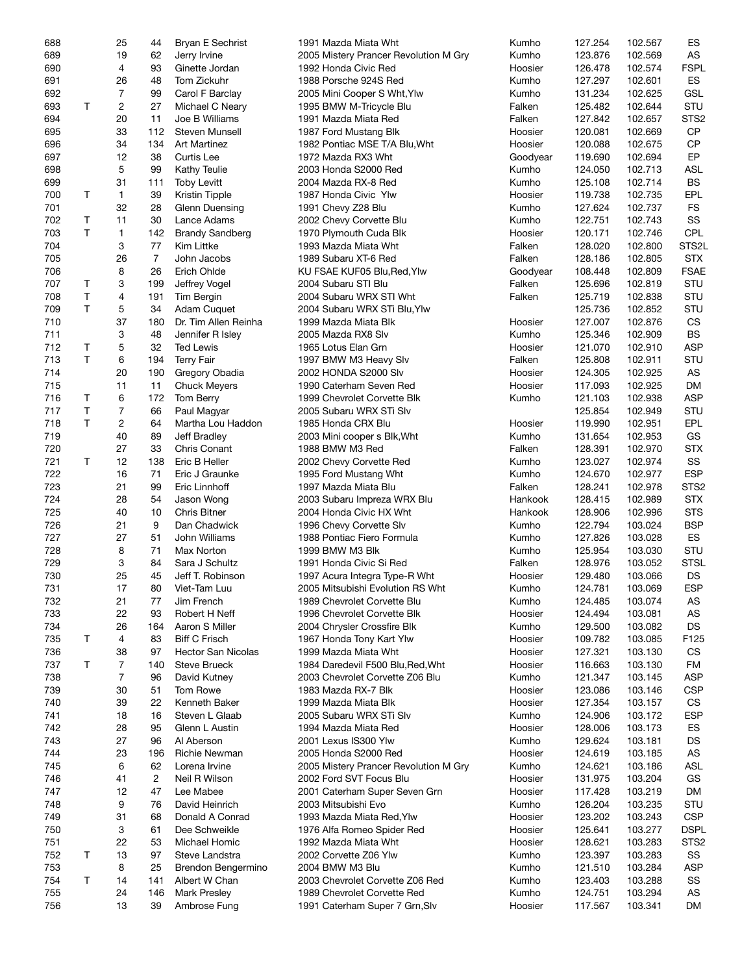| 688 |              | 25             | 44             | <b>Bryan E Sechrist</b>   | 1991 Mazda Miata Wht                  | Kumho    | 127.254 | 102.567 | ES               |
|-----|--------------|----------------|----------------|---------------------------|---------------------------------------|----------|---------|---------|------------------|
| 689 |              | 19             | 62             | Jerry Irvine              | 2005 Mistery Prancer Revolution M Gry | Kumho    | 123.876 | 102.569 | AS               |
| 690 |              | 4              | 93             | Ginette Jordan            | 1992 Honda Civic Red                  | Hoosier  | 126.478 | 102.574 | <b>FSPL</b>      |
| 691 |              | 26             | 48             | Tom Zickuhr               | 1988 Porsche 924S Red                 | Kumho    | 127.297 | 102.601 | ES               |
|     |              |                |                |                           |                                       |          |         |         |                  |
| 692 |              | 7              | 99             | Carol F Barclay           | 2005 Mini Cooper S Wht, Ylw           | Kumho    | 131.234 | 102.625 | GSL              |
| 693 | T            | 2              | 27             | Michael C Neary           | 1995 BMW M-Tricycle Blu               | Falken   | 125.482 | 102.644 | STU              |
| 694 |              | 20             | 11             | Joe B Williams            | 1991 Mazda Miata Red                  | Falken   | 127.842 | 102.657 | STS <sub>2</sub> |
| 695 |              | 33             | 112            | Steven Munsell            | 1987 Ford Mustang Blk                 | Hoosier  | 120.081 | 102.669 | <b>CP</b>        |
| 696 |              | 34             | 134            | <b>Art Martinez</b>       | 1982 Pontiac MSE T/A Blu, Wht         | Hoosier  | 120.088 | 102.675 | <b>CP</b>        |
| 697 |              | 12             | 38             | Curtis Lee                | 1972 Mazda RX3 Wht                    | Goodyear | 119.690 | 102.694 | EP               |
| 698 |              | 5              | 99             | <b>Kathy Teulie</b>       | 2003 Honda S2000 Red                  | Kumho    | 124.050 | 102.713 | <b>ASL</b>       |
| 699 |              | 31             | 111            | <b>Toby Levitt</b>        | 2004 Mazda RX-8 Red                   | Kumho    | 125.108 | 102.714 | BS               |
|     |              |                |                |                           |                                       |          |         |         |                  |
| 700 | Τ            | $\mathbf{1}$   | 39             | <b>Kristin Tipple</b>     | 1987 Honda Civic Ylw                  | Hoosier  | 119.738 | 102.735 | EPL              |
| 701 |              | 32             | 28             | Glenn Duensing            | 1991 Chevy Z28 Blu                    | Kumho    | 127.624 | 102.737 | <b>FS</b>        |
| 702 | Τ            | 11             | 30             | Lance Adams               | 2002 Chevy Corvette Blu               | Kumho    | 122.751 | 102.743 | SS               |
| 703 | T.           | 1              | 142            | <b>Brandy Sandberg</b>    | 1970 Plymouth Cuda Blk                | Hoosier  | 120.171 | 102.746 | <b>CPL</b>       |
| 704 |              | 3              | 77             | Kim Littke                | 1993 Mazda Miata Wht                  | Falken   | 128.020 | 102.800 | STS2L            |
| 705 |              | 26             | $\overline{7}$ | John Jacobs               | 1989 Subaru XT-6 Red                  | Falken   | 128.186 | 102.805 | <b>STX</b>       |
| 706 |              | 8              | 26             | Erich Ohlde               | KU FSAE KUF05 Blu, Red, Ylw           | Goodyear | 108.448 | 102.809 | <b>FSAE</b>      |
|     |              |                |                |                           |                                       |          |         |         |                  |
| 707 | Τ            | 3              | 199            | Jeffrey Vogel             | 2004 Subaru STI Blu                   | Falken   | 125.696 | 102.819 | STU              |
| 708 | Τ            | 4              | 191            | Tim Bergin                | 2004 Subaru WRX STI Wht               | Falken   | 125.719 | 102.838 | STU              |
| 709 | T.           | 5              | 34             | Adam Cuquet               | 2004 Subaru WRX STi Blu, Ylw          |          | 125.736 | 102.852 | STU              |
| 710 |              | 37             | 180            | Dr. Tim Allen Reinha      | 1999 Mazda Miata Blk                  | Hoosier  | 127.007 | 102.876 | CS               |
| 711 |              | 3              | 48             | Jennifer R Isley          | 2005 Mazda RX8 Slv                    | Kumho    | 125.346 | 102.909 | <b>BS</b>        |
| 712 | Τ            | 5              | 32             | <b>Ted Lewis</b>          | 1965 Lotus Elan Grn                   | Hoosier  | 121.070 | 102.910 | <b>ASP</b>       |
| 713 | $\mathsf{T}$ | 6              | 194            | <b>Terry Fair</b>         | 1997 BMW M3 Heavy Slv                 | Falken   | 125.808 | 102.911 | STU              |
|     |              |                |                |                           |                                       |          |         |         |                  |
| 714 |              | 20             | 190            | Gregory Obadia            | 2002 HONDA S2000 Slv                  | Hoosier  | 124.305 | 102.925 | AS               |
| 715 |              | 11             | 11             | <b>Chuck Meyers</b>       | 1990 Caterham Seven Red               | Hoosier  | 117.093 | 102.925 | <b>DM</b>        |
| 716 | Τ            | 6              | 172            | Tom Berry                 | 1999 Chevrolet Corvette Blk           | Kumho    | 121.103 | 102.938 | <b>ASP</b>       |
| 717 | Τ            | $\overline{7}$ | 66             | Paul Magyar               | 2005 Subaru WRX STi Slv               |          | 125.854 | 102.949 | STU              |
| 718 | T.           | 2              | 64             | Martha Lou Haddon         | 1985 Honda CRX Blu                    | Hoosier  | 119.990 | 102.951 | EPL              |
| 719 |              | 40             | 89             | Jeff Bradley              | 2003 Mini cooper s Blk, Wht           | Kumho    | 131.654 | 102.953 | GS               |
| 720 |              | 27             | 33             | <b>Chris Conant</b>       | 1988 BMW M3 Red                       | Falken   | 128.391 | 102.970 | <b>STX</b>       |
|     |              |                |                |                           |                                       |          | 123.027 |         |                  |
| 721 | T            | 12             | 138            | Eric B Heller             | 2002 Chevy Corvette Red               | Kumho    |         | 102.974 | SS               |
| 722 |              | 16             | 71             | Eric J Graunke            | 1995 Ford Mustang Wht                 | Kumho    | 124.670 | 102.977 | <b>ESP</b>       |
| 723 |              | 21             | 99             | Eric Linnhoff             | 1997 Mazda Miata Blu                  | Falken   | 128.241 | 102.978 | STS <sub>2</sub> |
| 724 |              | 28             | 54             | Jason Wong                | 2003 Subaru Impreza WRX Blu           | Hankook  | 128.415 | 102.989 | <b>STX</b>       |
| 725 |              | 40             | 10             | <b>Chris Bitner</b>       | 2004 Honda Civic HX Wht               | Hankook  | 128.906 | 102.996 | <b>STS</b>       |
| 726 |              | 21             | 9              | Dan Chadwick              | 1996 Chevy Corvette Slv               | Kumho    | 122.794 | 103.024 | <b>BSP</b>       |
| 727 |              | 27             | 51             | John Williams             | 1988 Pontiac Fiero Formula            | Kumho    | 127.826 | 103.028 | ES               |
| 728 |              |                | 71             |                           |                                       | Kumho    | 125.954 | 103.030 | STU              |
|     |              | 8              |                | Max Norton                | 1999 BMW M3 Blk                       |          |         |         |                  |
| 729 |              | 3              | 84             | Sara J Schultz            | 1991 Honda Civic Si Red               | Falken   | 128.976 | 103.052 | <b>STSL</b>      |
| 730 |              | 25             | 45             | Jeff T. Robinson          | 1997 Acura Integra Type-R Wht         | Hoosier  | 129.480 | 103.066 | DS               |
| 731 |              | 17             | 80             | Viet-Tam Luu              | 2005 Mitsubishi Evolution RS Wht      | Kumho    | 124.781 | 103.069 | <b>ESP</b>       |
| 732 |              | 21             | 77             | Jim French                | 1989 Chevrolet Corvette Blu           | Kumho    | 124.485 | 103.074 | AS               |
| 733 |              | 22             | 93             | Robert H Neff             | 1996 Chevrolet Corvette Blk           | Hoosier  | 124.494 | 103.081 | AS               |
| 734 |              | 26             | 164            | Aaron S Miller            | 2004 Chrysler Crossfire Blk           | Kumho    | 129.500 | 103.082 | DS               |
| 735 | Τ            | 4              |                | <b>Biff C Frisch</b>      | 1967 Honda Tony Kart Ylw              |          |         |         | F125             |
|     |              |                | 83             |                           |                                       | Hoosier  | 109.782 | 103.085 |                  |
| 736 |              | 38             | 97             | <b>Hector San Nicolas</b> | 1999 Mazda Miata Wht                  | Hoosier  | 127.321 | 103.130 | CS               |
| 737 | T            | 7              | 140            | <b>Steve Brueck</b>       | 1984 Daredevil F500 Blu, Red, Wht     | Hoosier  | 116.663 | 103.130 | FM               |
| 738 |              | 7              | 96             | David Kutney              | 2003 Chevrolet Corvette Z06 Blu       | Kumho    | 121.347 | 103.145 | <b>ASP</b>       |
| 739 |              | 30             | 51             | Tom Rowe                  | 1983 Mazda RX-7 Blk                   | Hoosier  | 123.086 | 103.146 | <b>CSP</b>       |
| 740 |              | 39             | 22             | Kenneth Baker             | 1999 Mazda Miata Blk                  | Hoosier  | 127.354 | 103.157 | CS               |
| 741 |              | 18             | 16             | Steven L Glaab            | 2005 Subaru WRX STi Slv               | Kumho    | 124.906 | 103.172 | <b>ESP</b>       |
| 742 |              |                |                |                           | 1994 Mazda Miata Red                  | Hoosier  |         |         | ES               |
|     |              | 28             | 95             | Glenn L Austin            |                                       |          | 128.006 | 103.173 |                  |
| 743 |              | 27             | 96             | Al Aberson                | 2001 Lexus IS300 Ylw                  | Kumho    | 129.624 | 103.181 | DS               |
| 744 |              | 23             | 196            | <b>Richie Newman</b>      | 2005 Honda S2000 Red                  | Hoosier  | 124.619 | 103.185 | AS               |
| 745 |              | 6              | 62             | Lorena Irvine             | 2005 Mistery Prancer Revolution M Gry | Kumho    | 124.621 | 103.186 | <b>ASL</b>       |
| 746 |              | 41             | $\overline{c}$ | Neil R Wilson             | 2002 Ford SVT Focus Blu               | Hoosier  | 131.975 | 103.204 | GS               |
| 747 |              | 12             | 47             | Lee Mabee                 | 2001 Caterham Super Seven Grn         | Hoosier  | 117.428 | 103.219 | DM               |
| 748 |              | 9              | 76             | David Heinrich            | 2003 Mitsubishi Evo                   | Kumho    | 126.204 | 103.235 | STU              |
|     |              |                |                |                           |                                       |          |         |         |                  |
| 749 |              | 31             | 68             | Donald A Conrad           | 1993 Mazda Miata Red, Ylw             | Hoosier  | 123.202 | 103.243 | <b>CSP</b>       |
| 750 |              | 3              | 61             | Dee Schweikle             | 1976 Alfa Romeo Spider Red            | Hoosier  | 125.641 | 103.277 | <b>DSPL</b>      |
| 751 |              | 22             | 53             | Michael Homic             | 1992 Mazda Miata Wht                  | Hoosier  | 128.621 | 103.283 | STS <sub>2</sub> |
| 752 | Τ            | 13             | 97             | Steve Landstra            | 2002 Corvette Z06 Ylw                 | Kumho    | 123.397 | 103.283 | SS               |
| 753 |              | 8              | 25             | Brendon Bengermino        | 2004 BMW M3 Blu                       | Kumho    | 121.510 | 103.284 | <b>ASP</b>       |
| 754 | Τ            | 14             | 141            | Albert W Chan             | 2003 Chevrolet Corvette Z06 Red       | Kumho    | 123.403 | 103.288 | SS               |
| 755 |              | 24             | 146            | <b>Mark Presley</b>       | 1989 Chevrolet Corvette Red           | Kumho    | 124.751 | 103.294 | AS               |
| 756 |              |                | 39             |                           | 1991 Caterham Super 7 Grn, Slv        |          |         |         | DM               |
|     |              | 13             |                | Ambrose Fung              |                                       | Hoosier  | 117.567 | 103.341 |                  |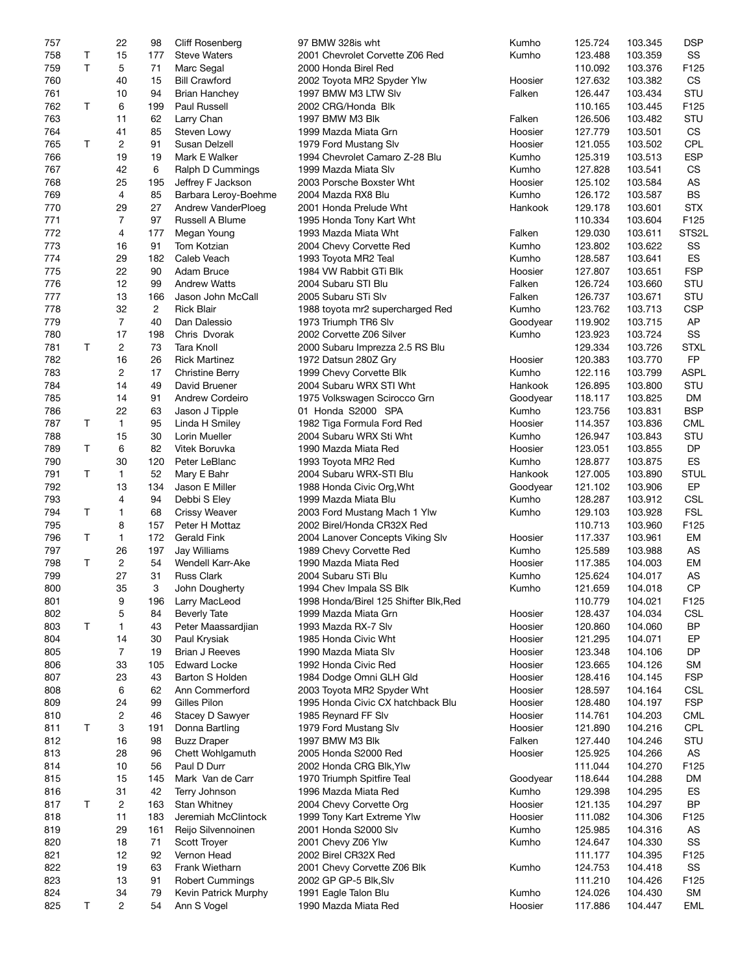| 757 |   | 22             | 98             | Cliff Rosenberg        | 97 BMW 328is wht                      | Kumho    | 125.724 | 103.345 | <b>DSP</b>    |
|-----|---|----------------|----------------|------------------------|---------------------------------------|----------|---------|---------|---------------|
| 758 | Τ | 15             | 177            | <b>Steve Waters</b>    | 2001 Chevrolet Corvette Z06 Red       | Kumho    | 123.488 | 103.359 | SS            |
| 759 | T | 5              | 71             | Marc Segal             | 2000 Honda Birel Red                  |          | 110.092 | 103.376 | F125          |
| 760 |   | 40             | 15             | <b>Bill Crawford</b>   | 2002 Toyota MR2 Spyder Ylw            | Hoosier  | 127.632 | 103.382 | CS            |
| 761 |   | 10             | 94             | Brian Hanchey          | 1997 BMW M3 LTW Slv                   | Falken   | 126.447 | 103.434 | STU           |
| 762 | T | 6              | 199            | Paul Russell           | 2002 CRG/Honda Blk                    |          | 110.165 | 103.445 | F125          |
| 763 |   | 11             | 62             | Larry Chan             | 1997 BMW M3 Blk                       | Falken   | 126.506 | 103.482 | STU           |
| 764 |   | 41             | 85             | Steven Lowy            | 1999 Mazda Miata Grn                  | Hoosier  | 127.779 | 103.501 | CS            |
| 765 | T | $\overline{c}$ | 91             | Susan Delzell          | 1979 Ford Mustang Slv                 | Hoosier  | 121.055 | 103.502 | CPL           |
| 766 |   | 19             | 19             | Mark E Walker          | 1994 Chevrolet Camaro Z-28 Blu        | Kumho    | 125.319 | 103.513 | <b>ESP</b>    |
| 767 |   | 42             | 6              | Ralph D Cummings       | 1999 Mazda Miata Slv                  | Kumho    | 127.828 | 103.541 | CS            |
| 768 |   | 25             | 195            |                        |                                       | Hoosier  | 125.102 |         | AS            |
|     |   |                |                | Jeffrey F Jackson      | 2003 Porsche Boxster Wht              |          |         | 103.584 |               |
| 769 |   | $\overline{4}$ | 85             | Barbara Leroy-Boehme   | 2004 Mazda RX8 Blu                    | Kumho    | 126.172 | 103.587 | <b>BS</b>     |
| 770 |   | 29             | 27             | Andrew VanderPloeg     | 2001 Honda Prelude Wht                | Hankook  | 129.178 | 103.601 | <b>STX</b>    |
| 771 |   | $\overline{7}$ | 97             | Russell A Blume        | 1995 Honda Tony Kart Wht              |          | 110.334 | 103.604 | F125          |
| 772 |   | 4              | 177            | Megan Young            | 1993 Mazda Miata Wht                  | Falken   | 129.030 | 103.611 | STS2L         |
| 773 |   | 16             | 91             | Tom Kotzian            | 2004 Chevy Corvette Red               | Kumho    | 123.802 | 103.622 | SS            |
| 774 |   | 29             | 182            | Caleb Veach            | 1993 Toyota MR2 Teal                  | Kumho    | 128.587 | 103.641 | ES            |
| 775 |   | 22             | 90             | Adam Bruce             | 1984 VW Rabbit GTi Blk                | Hoosier  | 127.807 | 103.651 | <b>FSP</b>    |
| 776 |   | 12             | 99             | <b>Andrew Watts</b>    | 2004 Subaru STI Blu                   | Falken   | 126.724 | 103.660 | STU           |
| 777 |   | 13             | 166            | Jason John McCall      | 2005 Subaru STi Slv                   | Falken   | 126.737 | 103.671 | STU           |
| 778 |   | 32             | $\overline{c}$ | <b>Rick Blair</b>      | 1988 toyota mr2 supercharged Red      | Kumho    | 123.762 | 103.713 | <b>CSP</b>    |
| 779 |   | $\overline{7}$ | 40             | Dan Dalessio           | 1973 Triumph TR6 Slv                  | Goodyear | 119.902 | 103.715 | AP            |
| 780 |   | 17             | 198            | Chris Dvorak           | 2002 Corvette Z06 Silver              | Kumho    | 123.923 | 103.724 | SS            |
| 781 | T | $\overline{c}$ | 73             | <b>Tara Knoll</b>      | 2000 Subaru Imprezza 2.5 RS Blu       |          | 129.334 | 103.726 | <b>STXL</b>   |
| 782 |   | 16             | 26             | <b>Rick Martinez</b>   | 1972 Datsun 280Z Gry                  | Hoosier  | 120.383 | 103.770 | FP            |
| 783 |   | $\overline{c}$ | 17             | <b>Christine Berry</b> | 1999 Chevy Corvette Blk               | Kumho    | 122.116 | 103.799 | <b>ASPL</b>   |
| 784 |   | 14             | 49             | David Bruener          | 2004 Subaru WRX STI Wht               | Hankook  | 126.895 | 103.800 | STU           |
| 785 |   | 14             | 91             |                        |                                       |          | 118.117 |         | DM            |
|     |   |                |                | <b>Andrew Cordeiro</b> | 1975 Volkswagen Scirocco Grn          | Goodyear |         | 103.825 |               |
| 786 |   | 22             | 63             | Jason J Tipple         | 01 Honda S2000 SPA                    | Kumho    | 123.756 | 103.831 | <b>BSP</b>    |
| 787 | Τ | $\mathbf{1}$   | 95             | Linda H Smiley         | 1982 Tiga Formula Ford Red            | Hoosier  | 114.357 | 103.836 | CML           |
| 788 |   | 15             | 30             | Lorin Mueller          | 2004 Subaru WRX Sti Wht               | Kumho    | 126.947 | 103.843 | STU           |
| 789 | T | 6              | 82             | Vitek Boruvka          | 1990 Mazda Miata Red                  | Hoosier  | 123.051 | 103.855 | DP            |
| 790 |   | 30             | 120            | Peter LeBlanc          | 1993 Toyota MR2 Red                   | Kumho    | 128.877 | 103.875 | ES            |
| 791 | T | 1              | 52             | Mary E Bahr            | 2004 Subaru WRX-STI Blu               | Hankook  | 127.005 | 103.890 | <b>STUL</b>   |
| 792 |   | 13             | 134            | Jason E Miller         | 1988 Honda Civic Org, Wht             | Goodyear | 121.102 | 103.906 | EP            |
| 793 |   | 4              | 94             | Debbi S Eley           | 1999 Mazda Miata Blu                  | Kumho    | 128.287 | 103.912 | <b>CSL</b>    |
| 794 | Τ | 1              | 68             | <b>Crissy Weaver</b>   | 2003 Ford Mustang Mach 1 Ylw          | Kumho    | 129.103 | 103.928 | <b>FSL</b>    |
| 795 |   | 8              | 157            | Peter H Mottaz         | 2002 Birel/Honda CR32X Red            |          | 110.713 | 103.960 | F125          |
| 796 | T | $\mathbf{1}$   | 172            | Gerald Fink            | 2004 Lanover Concepts Viking Slv      | Hoosier  | 117.337 | 103.961 | EM            |
| 797 |   | 26             | 197            | Jay Williams           | 1989 Chevy Corvette Red               | Kumho    | 125.589 | 103.988 | AS            |
| 798 | T | $\overline{c}$ | 54             | Wendell Karr-Ake       | 1990 Mazda Miata Red                  | Hoosier  | 117.385 | 104.003 | EM            |
| 799 |   | 27             | 31             | <b>Russ Clark</b>      | 2004 Subaru STi Blu                   | Kumho    | 125.624 | 104.017 | AS            |
| 800 |   | 35             | 3              | John Dougherty         | 1994 Chev Impala SS Blk               | Kumho    | 121.659 | 104.018 | $\mathsf{CP}$ |
| 801 |   | 9              | 196            | Larry MacLeod          | 1998 Honda/Birel 125 Shifter Blk, Red |          | 110.779 | 104.021 | F125          |
| 802 |   |                | 84             | <b>Beverly Tate</b>    |                                       |          | 128.437 |         |               |
|     |   | 5              |                |                        | 1999 Mazda Miata Grn                  | Hoosier  |         | 104.034 | <b>CSL</b>    |
| 803 | T | 1              | 43             | Peter Maassardjian     | 1993 Mazda RX-7 Slv                   | Hoosier  | 120.860 | 104.060 | <b>BP</b>     |
| 804 |   | 14             | 30             | Paul Krysiak           | 1985 Honda Civic Wht                  | Hoosier  | 121.295 | 104.071 | EP            |
| 805 |   | 7              | 19             | Brian J Reeves         | 1990 Mazda Miata Slv                  | Hoosier  | 123.348 | 104.106 | DP            |
| 806 |   | 33             | 105            | <b>Edward Locke</b>    | 1992 Honda Civic Red                  | Hoosier  | 123.665 | 104.126 | <b>SM</b>     |
| 807 |   | 23             | 43             | Barton S Holden        | 1984 Dodge Omni GLH Gld               | Hoosier  | 128.416 | 104.145 | <b>FSP</b>    |
| 808 |   | 6              | 62             | Ann Commerford         | 2003 Toyota MR2 Spyder Wht            | Hoosier  | 128.597 | 104.164 | <b>CSL</b>    |
| 809 |   | 24             | 99             | Gilles Pilon           | 1995 Honda Civic CX hatchback Blu     | Hoosier  | 128.480 | 104.197 | <b>FSP</b>    |
| 810 |   | 2              | 46             | Stacey D Sawyer        | 1985 Reynard FF Slv                   | Hoosier  | 114.761 | 104.203 | <b>CML</b>    |
| 811 | T | 3              | 191            | Donna Bartling         | 1979 Ford Mustang Slv                 | Hoosier  | 121.890 | 104.216 | <b>CPL</b>    |
| 812 |   | 16             | 98             | <b>Buzz Draper</b>     | 1997 BMW M3 Blk                       | Falken   | 127.440 | 104.246 | STU           |
| 813 |   | 28             | 96             | Chett Wohlgamuth       | 2005 Honda S2000 Red                  | Hoosier  | 125.925 | 104.266 | AS            |
| 814 |   | 10             | 56             | Paul D Durr            | 2002 Honda CRG Blk, Ylw               |          | 111.044 | 104.270 | F125          |
| 815 |   | 15             | 145            | Mark Van de Carr       | 1970 Triumph Spitfire Teal            | Goodyear | 118.644 | 104.288 | DM            |
| 816 |   | 31             | 42             | Terry Johnson          | 1996 Mazda Miata Red                  | Kumho    | 129.398 | 104.295 | ES            |
| 817 | T | 2              | 163            | <b>Stan Whitney</b>    | 2004 Chevy Corvette Org               | Hoosier  | 121.135 | 104.297 | <b>BP</b>     |
|     |   | 11             |                | Jeremiah McClintock    |                                       |          |         |         |               |
| 818 |   |                | 183            |                        | 1999 Tony Kart Extreme Ylw            | Hoosier  | 111.082 | 104.306 | F125          |
| 819 |   | 29             | 161            | Reijo Silvennoinen     | 2001 Honda S2000 Slv                  | Kumho    | 125.985 | 104.316 | AS            |
| 820 |   | 18             | 71             | Scott Troyer           | 2001 Chevy Z06 Ylw                    | Kumho    | 124.647 | 104.330 | SS            |
| 821 |   | 12             | 92             | Vernon Head            | 2002 Birel CR32X Red                  |          | 111.177 | 104.395 | F125          |
| 822 |   | 19             | 63             | Frank Wietharn         | 2001 Chevy Corvette Z06 Blk           | Kumho    | 124.753 | 104.418 | SS            |
| 823 |   | 13             | 91             | <b>Robert Cummings</b> | 2002 GP GP-5 Blk, Slv                 |          | 111.210 | 104.426 | F125          |
| 824 |   | 34             | 79             | Kevin Patrick Murphy   | 1991 Eagle Talon Blu                  | Kumho    | 124.026 | 104.430 | <b>SM</b>     |
| 825 | Τ | $\overline{c}$ | 54             | Ann S Vogel            | 1990 Mazda Miata Red                  | Hoosier  | 117.886 | 104.447 | <b>EML</b>    |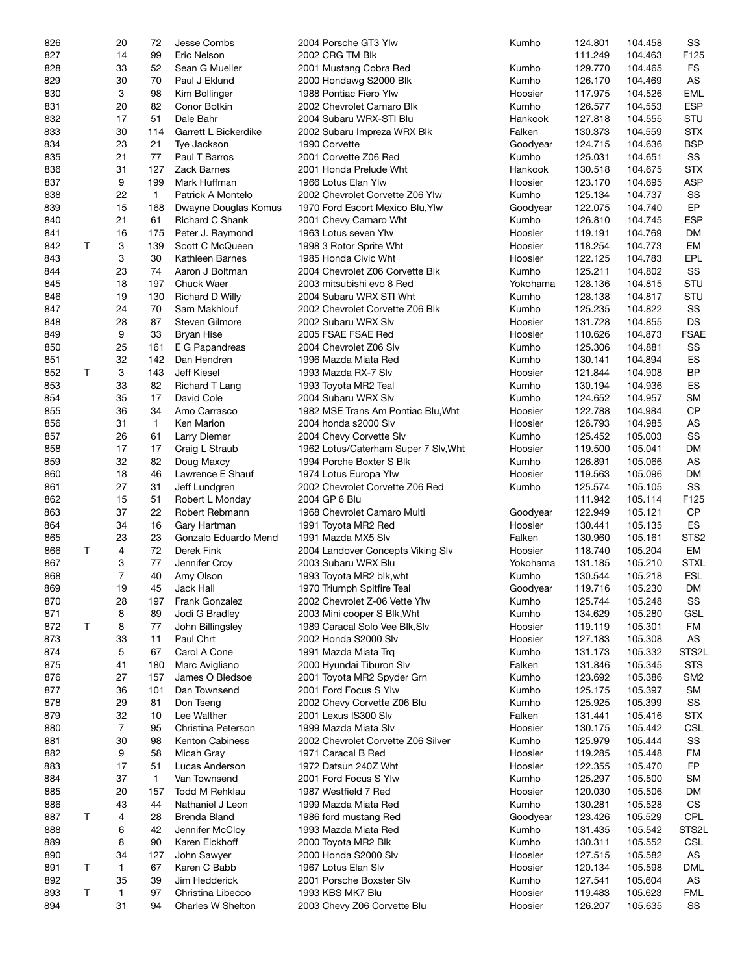| 826 |   | 20             | 72           | Jesse Combs            | 2004 Porsche GT3 Ylw                 | Kumho    | 124.801 | 104.458 | SS               |
|-----|---|----------------|--------------|------------------------|--------------------------------------|----------|---------|---------|------------------|
| 827 |   | 14             | 99           | Eric Nelson            | 2002 CRG TM Blk                      |          | 111.249 | 104.463 | F125             |
| 828 |   | 33             | 52           | Sean G Mueller         | 2001 Mustang Cobra Red               | Kumho    | 129.770 | 104.465 | <b>FS</b>        |
| 829 |   | 30             | 70           | Paul J Eklund          | 2000 Hondawg S2000 Blk               | Kumho    | 126.170 | 104.469 | AS               |
|     |   |                |              |                        |                                      |          |         |         |                  |
| 830 |   | 3              | 98           | Kim Bollinger          | 1988 Pontiac Fiero Ylw               | Hoosier  | 117.975 | 104.526 | <b>EML</b>       |
| 831 |   | 20             | 82           | Conor Botkin           | 2002 Chevrolet Camaro Blk            | Kumho    | 126.577 | 104.553 | <b>ESP</b>       |
| 832 |   | 17             | 51           | Dale Bahr              | 2004 Subaru WRX-STI Blu              | Hankook  | 127.818 | 104.555 | STU              |
| 833 |   | 30             | 114          | Garrett L Bickerdike   | 2002 Subaru Impreza WRX Blk          | Falken   | 130.373 | 104.559 | <b>STX</b>       |
| 834 |   | 23             | 21           | Tye Jackson            | 1990 Corvette                        | Goodyear | 124.715 | 104.636 | <b>BSP</b>       |
| 835 |   | 21             | 77           | Paul T Barros          | 2001 Corvette Z06 Red                | Kumho    | 125.031 | 104.651 | SS               |
| 836 |   | 31             | 127          | <b>Zack Barnes</b>     | 2001 Honda Prelude Wht               | Hankook  | 130.518 | 104.675 | <b>STX</b>       |
| 837 |   | 9              | 199          | Mark Huffman           | 1966 Lotus Elan Ylw                  | Hoosier  | 123.170 | 104.695 | <b>ASP</b>       |
|     |   |                |              |                        |                                      |          |         |         |                  |
| 838 |   | 22             | 1            | Patrick A Montelo      | 2002 Chevrolet Corvette Z06 Ylw      | Kumho    | 125.134 | 104.737 | SS               |
| 839 |   | 15             | 168          | Dwayne Douglas Komus   | 1970 Ford Escort Mexico Blu, Ylw     | Goodyear | 122.075 | 104.740 | EP               |
| 840 |   | 21             | 61           | Richard C Shank        | 2001 Chevy Camaro Wht                | Kumho    | 126.810 | 104.745 | <b>ESP</b>       |
| 841 |   | 16             | 175          | Peter J. Raymond       | 1963 Lotus seven Ylw                 | Hoosier  | 119.191 | 104.769 | DM               |
| 842 | T | 3              | 139          | Scott C McQueen        | 1998 3 Rotor Sprite Wht              | Hoosier  | 118.254 | 104.773 | EM               |
| 843 |   | 3              | 30           | Kathleen Barnes        | 1985 Honda Civic Wht                 | Hoosier  | 122.125 | 104.783 | EPL              |
| 844 |   | 23             | 74           | Aaron J Boltman        | 2004 Chevrolet Z06 Corvette Blk      | Kumho    | 125.211 | 104.802 | SS               |
| 845 |   | 18             |              |                        |                                      |          |         |         | STU              |
|     |   |                | 197          | <b>Chuck Waer</b>      | 2003 mitsubishi evo 8 Red            | Yokohama | 128.136 | 104.815 |                  |
| 846 |   | 19             | 130          | <b>Richard D Willy</b> | 2004 Subaru WRX STI Wht              | Kumho    | 128.138 | 104.817 | STU              |
| 847 |   | 24             | 70           | Sam Makhlouf           | 2002 Chevrolet Corvette Z06 Blk      | Kumho    | 125.235 | 104.822 | SS               |
| 848 |   | 28             | 87           | Steven Gilmore         | 2002 Subaru WRX Slv                  | Hoosier  | 131.728 | 104.855 | <b>DS</b>        |
| 849 |   | 9              | 33           | <b>Bryan Hise</b>      | 2005 FSAE FSAE Red                   | Hoosier  | 110.626 | 104.873 | <b>FSAE</b>      |
| 850 |   | 25             | 161          | E G Papandreas         | 2004 Chevrolet Z06 Slv               | Kumho    | 125.306 | 104.881 | SS               |
| 851 |   | 32             | 142          | Dan Hendren            | 1996 Mazda Miata Red                 | Kumho    | 130.141 | 104.894 | ES               |
|     | Τ |                |              |                        |                                      |          |         |         | <b>BP</b>        |
| 852 |   | 3              | 143          | Jeff Kiesel            | 1993 Mazda RX-7 Slv                  | Hoosier  | 121.844 | 104.908 |                  |
| 853 |   | 33             | 82           | <b>Richard T Lang</b>  | 1993 Toyota MR2 Teal                 | Kumho    | 130.194 | 104.936 | ES               |
| 854 |   | 35             | 17           | David Cole             | 2004 Subaru WRX Slv                  | Kumho    | 124.652 | 104.957 | <b>SM</b>        |
| 855 |   | 36             | 34           | Amo Carrasco           | 1982 MSE Trans Am Pontiac Blu, Wht   | Hoosier  | 122.788 | 104.984 | <b>CP</b>        |
| 856 |   | 31             | 1            | Ken Marion             | 2004 honda s2000 Slv                 | Hoosier  | 126.793 | 104.985 | AS               |
| 857 |   | 26             | 61           | Larry Diemer           | 2004 Chevy Corvette Slv              | Kumho    | 125.452 | 105.003 | SS               |
| 858 |   | 17             | 17           | Craig L Straub         | 1962 Lotus/Caterham Super 7 Slv, Wht | Hoosier  | 119.500 | 105.041 | DM               |
| 859 |   | 32             | 82           | Doug Maxcy             | 1994 Porche Boxter S Blk             | Kumho    | 126.891 | 105.066 | AS               |
|     |   |                |              |                        |                                      |          |         |         | <b>DM</b>        |
| 860 |   | 18             | 46           | Lawrence E Shauf       | 1974 Lotus Europa Ylw                | Hoosier  | 119.563 | 105.096 |                  |
| 861 |   | 27             | 31           | Jeff Lundgren          | 2002 Chevrolet Corvette Z06 Red      | Kumho    | 125.574 | 105.105 | SS               |
| 862 |   | 15             | 51           | Robert L Monday        | 2004 GP 6 Blu                        |          | 111.942 | 105.114 | F125             |
| 863 |   | 37             | 22           | Robert Rebmann         | 1968 Chevrolet Camaro Multi          | Goodyear | 122.949 | 105.121 | CP               |
| 864 |   | 34             | 16           | Gary Hartman           | 1991 Toyota MR2 Red                  | Hoosier  | 130.441 | 105.135 | ES               |
| 865 |   | 23             | 23           | Gonzalo Eduardo Mend   | 1991 Mazda MX5 Slv                   | Falken   | 130.960 | 105.161 | STS <sub>2</sub> |
| 866 | Τ | 4              | 72           | Derek Fink             | 2004 Landover Concepts Viking Slv    | Hoosier  | 118.740 | 105.204 | EM               |
| 867 |   | 3              | 77           | Jennifer Croy          |                                      |          | 131.185 |         | <b>STXL</b>      |
|     |   |                |              |                        | 2003 Subaru WRX Blu                  | Yokohama |         | 105.210 |                  |
| 868 |   | 7              | 40           | Amy Olson              | 1993 Toyota MR2 blk, wht             | Kumho    | 130.544 | 105.218 | <b>ESL</b>       |
| 869 |   | 19             | 45           | Jack Hall              | 1970 Triumph Spitfire Teal           | Goodyear | 119.716 | 105.230 | <b>DM</b>        |
| 870 |   | 28             | 197          | Frank Gonzalez         | 2002 Chevrolet Z-06 Vette Ylw        | Kumho    | 125.744 | 105.248 | SS               |
| 871 |   | 8              | 89           | Jodi G Bradley         | 2003 Mini cooper S Blk, Wht          | Kumho    | 134.629 | 105.280 | <b>GSL</b>       |
| 872 | Τ | 8              | 77           | John Billingsley       | 1989 Caracal Solo Vee Blk, Slv       | Hoosier  | 119.119 | 105.301 | FM               |
| 873 |   | 33             | 11           | Paul Chrt              | 2002 Honda S2000 Slv                 | Hoosier  | 127.183 | 105.308 | AS               |
| 874 |   | 5              | 67           | Carol A Cone           | 1991 Mazda Miata Trq                 | Kumho    | 131.173 | 105.332 | STS2L            |
|     |   |                |              |                        |                                      |          |         |         |                  |
| 875 |   | 41             | 180          | Marc Avigliano         | 2000 Hyundai Tiburon Slv             | Falken   | 131.846 | 105.345 | <b>STS</b>       |
| 876 |   | 27             | 157          | James O Bledsoe        | 2001 Toyota MR2 Spyder Grn           | Kumho    | 123.692 | 105.386 | SM <sub>2</sub>  |
| 877 |   | 36             | 101          | Dan Townsend           | 2001 Ford Focus S Ylw                | Kumho    | 125.175 | 105.397 | SM               |
| 878 |   | 29             | 81           | Don Tseng              | 2002 Chevy Corvette Z06 Blu          | Kumho    | 125.925 | 105.399 | SS               |
| 879 |   | 32             | 10           | Lee Walther            | 2001 Lexus IS300 Slv                 | Falken   | 131.441 | 105.416 | <b>STX</b>       |
| 880 |   | $\overline{7}$ | 95           | Christina Peterson     | 1999 Mazda Miata Slv                 | Hoosier  | 130.175 | 105.442 | <b>CSL</b>       |
| 881 |   | 30             | 98           | Kenton Cabiness        | 2002 Chevrolet Corvette Z06 Silver   | Kumho    | 125.979 | 105.444 | SS               |
|     |   |                |              |                        |                                      |          |         |         |                  |
| 882 |   | 9              | 58           | Micah Gray             | 1971 Caracal B Red                   | Hoosier  | 119.285 | 105.448 | FM               |
| 883 |   | 17             | 51           | Lucas Anderson         | 1972 Datsun 240Z Wht                 | Hoosier  | 122.355 | 105.470 | FP               |
| 884 |   | 37             | $\mathbf{1}$ | Van Townsend           | 2001 Ford Focus S Ylw                | Kumho    | 125.297 | 105.500 | <b>SM</b>        |
| 885 |   | 20             | 157          | Todd M Rehklau         | 1987 Westfield 7 Red                 | Hoosier  | 120.030 | 105.506 | DM               |
| 886 |   | 43             | 44           | Nathaniel J Leon       | 1999 Mazda Miata Red                 | Kumho    | 130.281 | 105.528 | CS               |
| 887 | т | 4              | 28           | Brenda Bland           | 1986 ford mustang Red                | Goodyear | 123.426 | 105.529 | <b>CPL</b>       |
|     |   |                |              |                        |                                      |          |         |         |                  |
| 888 |   | 6              | 42           | Jennifer McCloy        | 1993 Mazda Miata Red                 | Kumho    | 131.435 | 105.542 | STS2L            |
| 889 |   | 8              | 90           | Karen Eickhoff         | 2000 Toyota MR2 Blk                  | Kumho    | 130.311 | 105.552 | <b>CSL</b>       |
| 890 |   | 34             | 127          | John Sawyer            | 2000 Honda S2000 Slv                 | Hoosier  | 127.515 | 105.582 | AS               |
| 891 | т | $\mathbf{1}$   | 67           | Karen C Babb           | 1967 Lotus Elan Slv                  | Hoosier  | 120.134 | 105.598 | DML              |
| 892 |   | 35             | 39           | Jim Hedderick          | 2001 Porsche Boxster Slv             | Kumho    | 127.541 | 105.604 | AS               |
| 893 | Т | 1              | 97           | Christina Libecco      | 1993 KBS MK7 Blu                     | Hoosier  | 119.483 | 105.623 | <b>FML</b>       |
| 894 |   | 31             | 94           | Charles W Shelton      | 2003 Chevy Z06 Corvette Blu          | Hoosier  | 126.207 | 105.635 | SS               |
|     |   |                |              |                        |                                      |          |         |         |                  |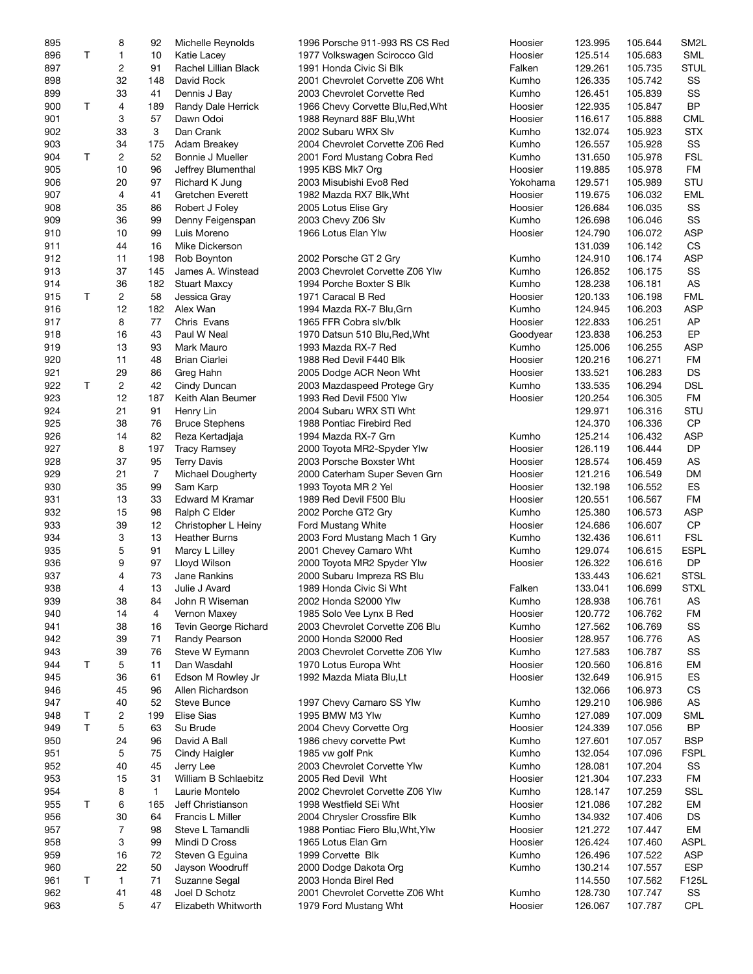| 895 |   | 8              | 92               | Michelle Reynolds        | 1996 Porsche 911-993 RS CS Red    | Hoosier  | 123.995 | 105.644 | SM <sub>2</sub> L |
|-----|---|----------------|------------------|--------------------------|-----------------------------------|----------|---------|---------|-------------------|
| 896 | Τ | 1              | 10               | Katie Lacey              | 1977 Volkswagen Scirocco Gld      | Hoosier  | 125.514 | 105.683 | <b>SML</b>        |
| 897 |   | $\overline{c}$ | 91               | Rachel Lillian Black     | 1991 Honda Civic Si Blk           | Falken   | 129.261 | 105.735 | <b>STUL</b>       |
|     |   | 32             |                  | David Rock               |                                   |          |         | 105.742 | SS                |
| 898 |   |                | 148              |                          | 2001 Chevrolet Corvette Z06 Wht   | Kumho    | 126.335 |         |                   |
| 899 |   | 33             | 41               | Dennis J Bay             | 2003 Chevrolet Corvette Red       | Kumho    | 126.451 | 105.839 | SS                |
| 900 | T | 4              | 189              | Randy Dale Herrick       | 1966 Chevy Corvette Blu, Red, Wht | Hoosier  | 122.935 | 105.847 | <b>BP</b>         |
| 901 |   | 3              | 57               | Dawn Odoi                | 1988 Reynard 88F Blu, Wht         | Hoosier  | 116.617 | 105.888 | <b>CML</b>        |
| 902 |   | 33             | 3                | Dan Crank                | 2002 Subaru WRX Slv               | Kumho    | 132.074 | 105.923 | <b>STX</b>        |
| 903 |   | 34             | 175              | Adam Breakey             | 2004 Chevrolet Corvette Z06 Red   | Kumho    | 126.557 | 105.928 | SS                |
| 904 | Τ | 2              | 52               | Bonnie J Mueller         | 2001 Ford Mustang Cobra Red       | Kumho    | 131.650 | 105.978 | <b>FSL</b>        |
| 905 |   | 10             | 96               |                          |                                   | Hoosier  | 119.885 | 105.978 | <b>FM</b>         |
|     |   |                |                  | Jeffrey Blumenthal       | 1995 KBS Mk7 Org                  |          |         |         |                   |
| 906 |   | 20             | 97               | Richard K Jung           | 2003 Misubishi Evo8 Red           | Yokohama | 129.571 | 105.989 | <b>STU</b>        |
| 907 |   | 4              | 41               | Gretchen Everett         | 1982 Mazda RX7 Blk, Wht           | Hoosier  | 119.675 | 106.032 | <b>EML</b>        |
| 908 |   | 35             | 86               | Robert J Foley           | 2005 Lotus Elise Gry              | Hoosier  | 126.684 | 106.035 | SS                |
| 909 |   | 36             | 99               | Denny Feigenspan         | 2003 Chevy Z06 Slv                | Kumho    | 126.698 | 106.046 | SS                |
| 910 |   | 10             | 99               | Luis Moreno              | 1966 Lotus Elan Ylw               | Hoosier  | 124.790 | 106.072 | <b>ASP</b>        |
| 911 |   | 44             | 16               | Mike Dickerson           |                                   |          | 131.039 | 106.142 | CS                |
| 912 |   | 11             | 198              |                          |                                   | Kumho    | 124.910 | 106.174 | <b>ASP</b>        |
|     |   |                |                  | Rob Boynton              | 2002 Porsche GT 2 Gry             |          |         |         |                   |
| 913 |   | 37             | 145              | James A. Winstead        | 2003 Chevrolet Corvette Z06 Ylw   | Kumho    | 126.852 | 106.175 | SS                |
| 914 |   | 36             | 182              | <b>Stuart Maxcy</b>      | 1994 Porche Boxter S Blk          | Kumho    | 128.238 | 106.181 | AS                |
| 915 | Τ | $\overline{c}$ | 58               | Jessica Gray             | 1971 Caracal B Red                | Hoosier  | 120.133 | 106.198 | <b>FML</b>        |
| 916 |   | 12             | 182              | Alex Wan                 | 1994 Mazda RX-7 Blu, Grn          | Kumho    | 124.945 | 106.203 | <b>ASP</b>        |
| 917 |   | 8              | 77               | Chris Evans              | 1965 FFR Cobra slv/blk            | Hoosier  | 122.833 | 106.251 | AP                |
| 918 |   | 16             | 43               | Paul W Neal              | 1970 Datsun 510 Blu, Red, Wht     | Goodyear | 123.838 | 106.253 | EP                |
|     |   |                |                  |                          |                                   |          |         |         |                   |
| 919 |   | 13             | 93               | Mark Mauro               | 1993 Mazda RX-7 Red               | Kumho    | 125.006 | 106.255 | <b>ASP</b>        |
| 920 |   | 11             | 48               | <b>Brian Ciarlei</b>     | 1988 Red Devil F440 Blk           | Hoosier  | 120.216 | 106.271 | FM                |
| 921 |   | 29             | 86               | Greg Hahn                | 2005 Dodge ACR Neon Wht           | Hoosier  | 133.521 | 106.283 | DS                |
| 922 | T | $\overline{c}$ | 42               | Cindy Duncan             | 2003 Mazdaspeed Protege Gry       | Kumho    | 133.535 | 106.294 | <b>DSL</b>        |
| 923 |   | 12             | 187              | Keith Alan Beumer        | 1993 Red Devil F500 Ylw           | Hoosier  | 120.254 | 106.305 | <b>FM</b>         |
| 924 |   | 21             | 91               | Henry Lin                | 2004 Subaru WRX STI Wht           |          | 129.971 | 106.316 | STU               |
|     |   |                |                  |                          |                                   |          |         |         |                   |
| 925 |   | 38             | 76               | <b>Bruce Stephens</b>    | 1988 Pontiac Firebird Red         |          | 124.370 | 106.336 | <b>CP</b>         |
| 926 |   | 14             | 82               | Reza Kertadjaja          | 1994 Mazda RX-7 Grn               | Kumho    | 125.214 | 106.432 | <b>ASP</b>        |
| 927 |   | 8              | 197              | <b>Tracy Ramsey</b>      | 2000 Toyota MR2-Spyder Ylw        | Hoosier  | 126.119 | 106.444 | <b>DP</b>         |
| 928 |   | 37             | 95               | <b>Terry Davis</b>       | 2003 Porsche Boxster Wht          | Hoosier  | 128.574 | 106.459 | AS                |
| 929 |   | 21             | $\overline{7}$   | <b>Michael Dougherty</b> | 2000 Caterham Super Seven Grn     | Hoosier  | 121.216 | 106.549 | DM                |
| 930 |   | 35             | 99               | Sam Karp                 | 1993 Toyota MR 2 Yel              | Hoosier  | 132.198 | 106.552 | ES                |
| 931 |   | 13             | 33               | Edward M Kramar          | 1989 Red Devil F500 Blu           | Hoosier  | 120.551 | 106.567 | FM                |
|     |   |                |                  |                          |                                   |          |         |         |                   |
| 932 |   | 15             | 98               | Ralph C Elder            | 2002 Porche GT2 Gry               | Kumho    | 125.380 | 106.573 | <b>ASP</b>        |
| 933 |   | 39             | 12               | Christopher L Heiny      | Ford Mustang White                | Hoosier  | 124.686 | 106.607 | <b>CP</b>         |
| 934 |   | 3              | 13               | <b>Heather Burns</b>     | 2003 Ford Mustang Mach 1 Gry      | Kumho    | 132.436 | 106.611 | <b>FSL</b>        |
| 935 |   | 5              | 91               | Marcy L Lilley           | 2001 Chevey Camaro Wht            | Kumho    | 129.074 | 106.615 | <b>ESPL</b>       |
| 936 |   | 9              | 97               | Lloyd Wilson             | 2000 Toyota MR2 Spyder Ylw        | Hoosier  | 126.322 | 106.616 | <b>DP</b>         |
| 937 |   | 4              | 73               | Jane Rankins             | 2000 Subaru Impreza RS Blu        |          | 133.443 | 106.621 | <b>STSL</b>       |
| 938 |   | 4              | 13 <sup>13</sup> | Julie J Avard            | 1989 Honda Civic Si Wht           | Falken   | 133.041 | 106.699 | <b>STXL</b>       |
|     |   |                |                  |                          |                                   |          |         |         |                   |
| 939 |   | 38             | 84               | John R Wiseman           | 2002 Honda S2000 Ylw              | Kumho    | 128.938 | 106.761 | AS                |
| 940 |   | 14             | 4                | Vernon Maxey             | 1985 Solo Vee Lynx B Red          | Hoosier  | 120.772 | 106.762 | FM                |
| 941 |   | 38             | 16               | Tevin George Richard     | 2003 Chevrolet Corvette Z06 Blu   | Kumho    | 127.562 | 106.769 | SS                |
| 942 |   | 39             | 71               | Randy Pearson            | 2000 Honda S2000 Red              | Hoosier  | 128.957 | 106.776 | AS                |
| 943 |   | 39             | 76               | Steve W Eymann           | 2003 Chevrolet Corvette Z06 Ylw   | Kumho    | 127.583 | 106.787 | SS                |
| 944 | Τ | 5              | 11               | Dan Wasdahl              | 1970 Lotus Europa Wht             | Hoosier  | 120.560 | 106.816 | EМ                |
| 945 |   | 36             | 61               | Edson M Rowley Jr        | 1992 Mazda Miata Blu, Lt          | Hoosier  | 132.649 | 106.915 | ES                |
|     |   | 45             | 96               | Allen Richardson         |                                   |          |         |         |                   |
| 946 |   |                |                  |                          |                                   |          | 132.066 | 106.973 | CS                |
| 947 |   | 40             | 52               | Steve Bunce              | 1997 Chevy Camaro SS Ylw          | Kumho    | 129.210 | 106.986 | AS                |
| 948 | Т | 2              | 199              | <b>Elise Sias</b>        | 1995 BMW M3 Ylw                   | Kumho    | 127.089 | 107.009 | <b>SML</b>        |
| 949 | T | 5              | 63               | Su Brude                 | 2004 Chevy Corvette Org           | Hoosier  | 124.339 | 107.056 | ΒP                |
| 950 |   | 24             | 96               | David A Ball             | 1986 chevy corvette Pwt           | Kumho    | 127.601 | 107.057 | <b>BSP</b>        |
| 951 |   | 5              | 75               | Cindy Haigler            | 1985 vw golf Pnk                  | Kumho    | 132.054 | 107.096 | FSPL              |
| 952 |   | 40             | 45               | Jerry Lee                | 2003 Chevrolet Corvette Ylw       | Kumho    | 128.081 | 107.204 | SS                |
|     |   |                |                  |                          |                                   |          |         |         |                   |
| 953 |   | 15             | 31               | William B Schlaebitz     | 2005 Red Devil Wht                | Hoosier  | 121.304 | 107.233 | FM                |
| 954 |   | 8              | $\mathbf{1}$     | Laurie Montelo           | 2002 Chevrolet Corvette Z06 Ylw   | Kumho    | 128.147 | 107.259 | SSL               |
| 955 | T | 6              | 165              | Jeff Christianson        | 1998 Westfield SEi Wht            | Hoosier  | 121.086 | 107.282 | EM                |
| 956 |   | 30             | 64               | Francis L Miller         | 2004 Chrysler Crossfire Blk       | Kumho    | 134.932 | 107.406 | DS                |
| 957 |   | 7              | 98               | Steve L Tamandli         | 1988 Pontiac Fiero Blu, Wht, Ylw  | Hoosier  | 121.272 | 107.447 | EM                |
| 958 |   | 3              | 99               | Mindi D Cross            | 1965 Lotus Elan Grn               | Hoosier  | 126.424 | 107.460 | ASPL              |
| 959 |   | 16             | 72               | Steven G Eguina          | 1999 Corvette Blk                 | Kumho    | 126.496 | 107.522 | <b>ASP</b>        |
|     |   |                |                  |                          |                                   |          |         |         |                   |
| 960 |   | 22             | 50               | Jayson Woodruff          | 2000 Dodge Dakota Org             | Kumho    | 130.214 | 107.557 | <b>ESP</b>        |
| 961 | т | 1              | 71               | Suzanne Segal            | 2003 Honda Birel Red              |          | 114.550 | 107.562 | F125L             |
| 962 |   | 41             | 48               | Joel D Schotz            | 2001 Chevrolet Corvette Z06 Wht   | Kumho    | 128.730 | 107.747 | SS                |
| 963 |   | 5              | 47               | Elizabeth Whitworth      | 1979 Ford Mustang Wht             | Hoosier  | 126.067 | 107.787 | <b>CPL</b>        |
|     |   |                |                  |                          |                                   |          |         |         |                   |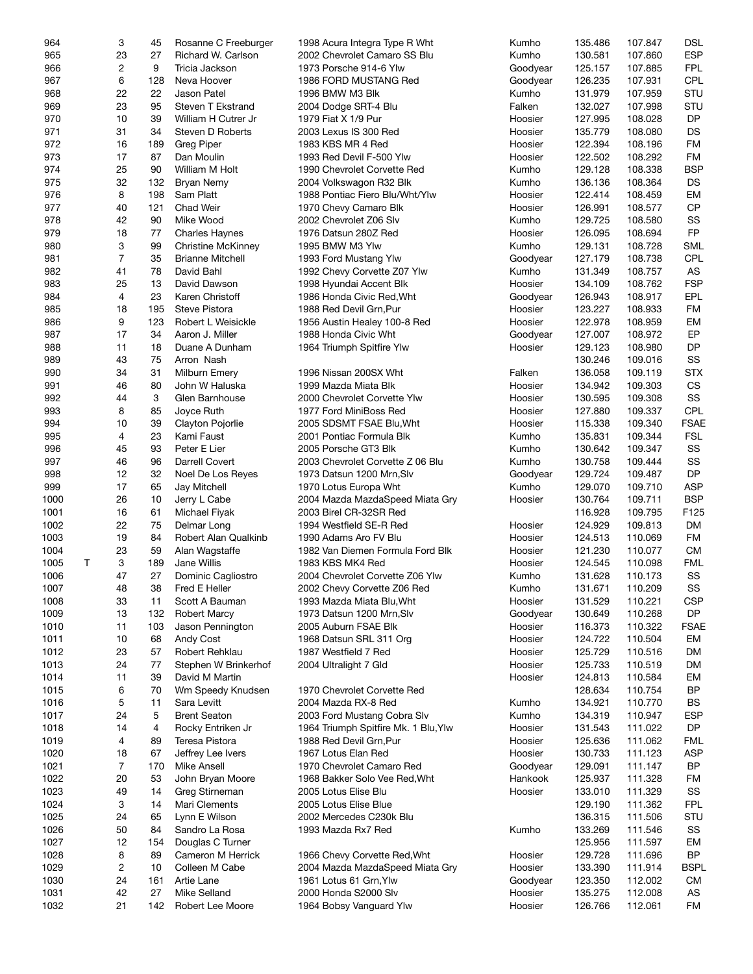| 964  | 3              | 45  | Rosanne C Freeburger      | 1998 Acura Integra Type R Wht        | Kumho    | 135.486 | 107.847 | <b>DSL</b>  |
|------|----------------|-----|---------------------------|--------------------------------------|----------|---------|---------|-------------|
| 965  | 23             | 27  | Richard W. Carlson        | 2002 Chevrolet Camaro SS Blu         | Kumho    | 130.581 | 107.860 | <b>ESP</b>  |
|      |                |     |                           |                                      |          |         |         |             |
| 966  | 2              | 9   | Tricia Jackson            | 1973 Porsche 914-6 Ylw               | Goodyear | 125.157 | 107.885 | <b>FPL</b>  |
| 967  | 6              | 128 | Neva Hoover               | 1986 FORD MUSTANG Red                | Goodyear | 126.235 | 107.931 | CPL         |
| 968  | 22             | 22  | Jason Patel               | 1996 BMW M3 Blk                      | Kumho    | 131.979 | 107.959 | STU         |
| 969  | 23             | 95  | Steven T Ekstrand         | 2004 Dodge SRT-4 Blu                 | Falken   | 132.027 | 107.998 | STU         |
| 970  | 10             | 39  | William H Cutrer Jr       | 1979 Fiat X 1/9 Pur                  | Hoosier  | 127.995 | 108.028 | <b>DP</b>   |
| 971  | 31             | 34  | Steven D Roberts          | 2003 Lexus IS 300 Red                | Hoosier  | 135.779 | 108.080 | <b>DS</b>   |
|      |                |     |                           |                                      |          |         |         |             |
| 972  | 16             | 189 | <b>Greg Piper</b>         | 1983 KBS MR 4 Red                    | Hoosier  | 122.394 | 108.196 | FM          |
| 973  | 17             | 87  | Dan Moulin                | 1993 Red Devil F-500 Ylw             | Hoosier  | 122.502 | 108.292 | FM          |
| 974  | 25             | 90  | William M Holt            | 1990 Chevrolet Corvette Red          | Kumho    | 129.128 | 108.338 | <b>BSP</b>  |
| 975  | 32             | 132 | Bryan Nemy                | 2004 Volkswagon R32 Blk              | Kumho    | 136.136 | 108.364 | <b>DS</b>   |
| 976  | 8              | 198 | Sam Platt                 | 1988 Pontiac Fiero Blu/Wht/Ylw       | Hoosier  | 122.414 | 108.459 | EM          |
|      |                |     |                           |                                      |          |         |         |             |
| 977  | 40             | 121 | Chad Weir                 | 1970 Chevy Camaro Blk                | Hoosier  | 126.991 | 108.577 | <b>CP</b>   |
| 978  | 42             | 90  | Mike Wood                 | 2002 Chevrolet Z06 Slv               | Kumho    | 129.725 | 108.580 | SS          |
| 979  | 18             | 77  | <b>Charles Haynes</b>     | 1976 Datsun 280Z Red                 | Hoosier  | 126.095 | 108.694 | <b>FP</b>   |
| 980  | 3              | 99  | <b>Christine McKinney</b> | 1995 BMW M3 Ylw                      | Kumho    | 129.131 | 108.728 | <b>SML</b>  |
| 981  | 7              | 35  | <b>Brianne Mitchell</b>   | 1993 Ford Mustang Ylw                | Goodyear | 127.179 | 108.738 | <b>CPL</b>  |
| 982  | 41             | 78  | David Bahl                | 1992 Chevy Corvette Z07 Ylw          | Kumho    | 131.349 | 108.757 | AS          |
|      |                |     |                           |                                      |          |         |         |             |
| 983  | 25             | 13  | David Dawson              | 1998 Hyundai Accent Blk              | Hoosier  | 134.109 | 108.762 | <b>FSP</b>  |
| 984  | 4              | 23  | Karen Christoff           | 1986 Honda Civic Red, Wht            | Goodyear | 126.943 | 108.917 | EPL         |
| 985  | 18             | 195 | <b>Steve Pistora</b>      | 1988 Red Devil Grn, Pur              | Hoosier  | 123.227 | 108.933 | FM          |
| 986  | 9              | 123 | Robert L Weisickle        | 1956 Austin Healey 100-8 Red         | Hoosier  | 122.978 | 108.959 | EM          |
| 987  | 17             | 34  | Aaron J. Miller           | 1988 Honda Civic Wht                 | Goodyear | 127.007 | 108.972 | EP          |
|      |                |     |                           |                                      |          |         |         |             |
| 988  | 11             | 18  | Duane A Dunham            | 1964 Triumph Spitfire Ylw            | Hoosier  | 129.123 | 108.980 | <b>DP</b>   |
| 989  | 43             | 75  | Arron Nash                |                                      |          | 130.246 | 109.016 | SS          |
| 990  | 34             | 31  | Milburn Emery             | 1996 Nissan 200SX Wht                | Falken   | 136.058 | 109.119 | <b>STX</b>  |
| 991  | 46             | 80  | John W Haluska            | 1999 Mazda Miata Blk                 | Hoosier  | 134.942 | 109.303 | <b>CS</b>   |
| 992  | 44             | 3   | Glen Barnhouse            | 2000 Chevrolet Corvette Ylw          | Hoosier  | 130.595 | 109.308 | SS          |
| 993  | 8              | 85  | Joyce Ruth                | 1977 Ford MiniBoss Red               | Hoosier  | 127.880 | 109.337 | CPL         |
|      |                |     |                           |                                      |          |         |         |             |
| 994  | 10             | 39  | Clayton Pojorlie          | 2005 SDSMT FSAE Blu, Wht             | Hoosier  | 115.338 | 109.340 | <b>FSAE</b> |
| 995  | 4              | 23  | Kami Faust                | 2001 Pontiac Formula Blk             | Kumho    | 135.831 | 109.344 | <b>FSL</b>  |
| 996  | 45             | 93  | Peter E Lier              | 2005 Porsche GT3 Blk                 | Kumho    | 130.642 | 109.347 | SS          |
| 997  | 46             | 96  | Darrell Covert            | 2003 Chevrolet Corvette Z 06 Blu     | Kumho    | 130.758 | 109.444 | SS          |
| 998  | 12             | 32  | Noel De Los Reyes         | 1973 Datsun 1200 Mrn, Slv            | Goodyear | 129.724 | 109.487 | <b>DP</b>   |
| 999  | 17             | 65  | Jay Mitchell              | 1970 Lotus Europa Wht                | Kumho    | 129.070 | 109.710 | <b>ASP</b>  |
|      |                |     |                           |                                      |          |         |         |             |
| 1000 | 26             | 10  | Jerry L Cabe              | 2004 Mazda MazdaSpeed Miata Gry      | Hoosier  | 130.764 | 109.711 | <b>BSP</b>  |
| 1001 | 16             | 61  | Michael Fiyak             | 2003 Birel CR-32SR Red               |          | 116.928 | 109.795 | F125        |
| 1002 | 22             | 75  | Delmar Long               | 1994 Westfield SE-R Red              | Hoosier  | 124.929 | 109.813 | DM          |
| 1003 | 19             | 84  | Robert Alan Qualkinb      | 1990 Adams Aro FV Blu                | Hoosier  | 124.513 | 110.069 | FM          |
| 1004 | 23             | 59  | Alan Wagstaffe            | 1982 Van Diemen Formula Ford Blk     | Hoosier  | 121.230 | 110.077 | <b>CM</b>   |
| 1005 | 3<br>Т         | 189 | Jane Willis               | 1983 KBS MK4 Red                     | Hoosier  | 124.545 | 110.098 | <b>FML</b>  |
|      |                |     |                           |                                      |          |         |         |             |
| 1006 | 47             | 27  | Dominic Cagliostro        | 2004 Chevrolet Corvette Z06 Ylw      | Kumho    | 131.628 | 110.173 | SS          |
| 1007 | 48             | 38  | Fred E Heller             | 2002 Chevy Corvette Z06 Red          | Kumho    | 131.671 | 110.209 | SS          |
| 1008 | 33             | 11  | Scott A Bauman            | 1993 Mazda Miata Blu, Wht            | Hoosier  | 131.529 | 110.221 | <b>CSP</b>  |
| 1009 | 13             | 132 | <b>Robert Marcy</b>       | 1973 Datsun 1200 Mrn, Slv            | Goodyear | 130.649 | 110.268 | DP          |
| 1010 | 11             | 103 | Jason Pennington          | 2005 Auburn FSAE Blk                 | Hoosier  | 116.373 | 110.322 | <b>FSAE</b> |
|      |                |     |                           |                                      |          | 124.722 | 110.504 |             |
| 1011 | 10             | 68  | Andy Cost                 | 1968 Datsun SRL 311 Org              | Hoosier  |         |         | EM          |
| 1012 | 23             | 57  | Robert Rehklau            | 1987 Westfield 7 Red                 | Hoosier  | 125.729 | 110.516 | DM          |
| 1013 | 24             | 77  | Stephen W Brinkerhof      | 2004 Ultralight 7 Gld                | Hoosier  | 125.733 | 110.519 | DM          |
| 1014 | 11             | 39  | David M Martin            |                                      | Hoosier  | 124.813 | 110.584 | EM          |
| 1015 | 6              | 70  | Wm Speedy Knudsen         | 1970 Chevrolet Corvette Red          |          | 128.634 | 110.754 | <b>BP</b>   |
| 1016 | 5              | 11  | Sara Levitt               | 2004 Mazda RX-8 Red                  | Kumho    | 134.921 | 110.770 | <b>BS</b>   |
|      |                | 5   | <b>Brent Seaton</b>       | 2003 Ford Mustang Cobra Slv          |          |         |         | <b>ESP</b>  |
| 1017 | 24             |     |                           |                                      | Kumho    | 134.319 | 110.947 |             |
| 1018 | 14             | 4   | Rocky Entriken Jr         | 1964 Triumph Spitfire Mk. 1 Blu, Ylw | Hoosier  | 131.543 | 111.022 | DP          |
| 1019 | 4              | 89  | Teresa Pistora            | 1988 Red Devil Grn, Pur              | Hoosier  | 125.636 | 111.062 | FML         |
| 1020 | 18             | 67  | Jeffrey Lee Ivers         | 1967 Lotus Elan Red                  | Hoosier  | 130.733 | 111.123 | <b>ASP</b>  |
| 1021 | $\overline{7}$ | 170 | Mike Ansell               | 1970 Chevrolet Camaro Red            | Goodyear | 129.091 | 111.147 | <b>BP</b>   |
| 1022 | 20             | 53  | John Bryan Moore          | 1968 Bakker Solo Vee Red, Wht        | Hankook  | 125.937 | 111.328 | FM          |
|      |                |     |                           |                                      |          |         |         |             |
| 1023 | 49             | 14  | Greg Stirneman            | 2005 Lotus Elise Blu                 | Hoosier  | 133.010 | 111.329 | SS          |
| 1024 | 3              | 14  | Mari Clements             | 2005 Lotus Elise Blue                |          | 129.190 | 111.362 | <b>FPL</b>  |
| 1025 | 24             | 65  | Lynn E Wilson             | 2002 Mercedes C230k Blu              |          | 136.315 | 111.506 | STU         |
| 1026 | 50             | 84  | Sandro La Rosa            | 1993 Mazda Rx7 Red                   | Kumho    | 133.269 | 111.546 | SS          |
| 1027 | 12             | 154 | Douglas C Turner          |                                      |          | 125.956 | 111.597 | EM          |
| 1028 | 8              | 89  | Cameron M Herrick         | 1966 Chevy Corvette Red, Wht         | Hoosier  | 129.728 | 111.696 | <b>BP</b>   |
|      |                |     |                           |                                      |          |         |         |             |
| 1029 | 2              | 10  | Colleen M Cabe            | 2004 Mazda MazdaSpeed Miata Gry      | Hoosier  | 133.390 | 111.914 | <b>BSPL</b> |
| 1030 | 24             | 161 | Artie Lane                | 1961 Lotus 61 Grn, Ylw               | Goodyear | 123.350 | 112.002 | СM          |
| 1031 | 42             | 27  | Mike Selland              | 2000 Honda S2000 Slv                 | Hoosier  | 135.275 | 112.008 | AS          |
| 1032 | 21             | 142 | Robert Lee Moore          | 1964 Bobsy Vanguard Ylw              | Hoosier  | 126.766 | 112.061 | FM          |
|      |                |     |                           |                                      |          |         |         |             |